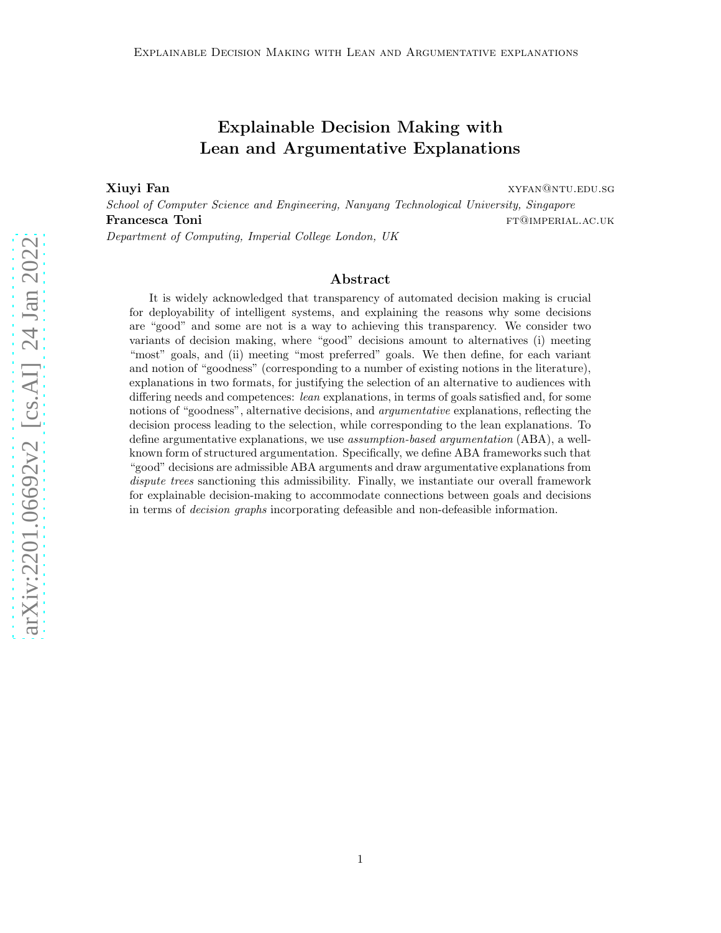# Explainable Decision Making with Lean and Argumentative Explanations

**Xiuyi Fan** xyfan@ntu.edu.sg

School of Computer Science and Engineering, Nanyang Technological University, Singapore **Francesca Toni ftancesca Toni ftancesca FT@imperial.ac.uk** Department of Computing, Imperial College London, UK

#### Abstract

It is widely acknowledged that transparency of automated decision making is crucial for deployability of intelligent systems, and explaining the reasons why some decisions are "good" and some are not is a way to achieving this transparency. We consider two variants of decision making, where "good" decisions amount to alternatives (i) meeting "most" goals, and (ii) meeting "most preferred" goals. We then define, for each variant and notion of "goodness" (corresponding to a number of existing notions in the literature), explanations in two formats, for justifying the selection of an alternative to audiences with differing needs and competences: *lean* explanations, in terms of goals satisfied and, for some notions of "goodness", alternative decisions, and *argumentative* explanations, reflecting the decision process leading to the selection, while corresponding to the lean explanations. To define argumentative explanations, we use *assumption-based argumentation* (ABA), a wellknown form of structured argumentation. Specifically, we define ABA frameworks such that "good" decisions are admissible ABA arguments and draw argumentative explanations from dispute trees sanctioning this admissibility. Finally, we instantiate our overall framework for explainable decision-making to accommodate connections between goals and decisions in terms of decision graphs incorporating defeasible and non-defeasible information.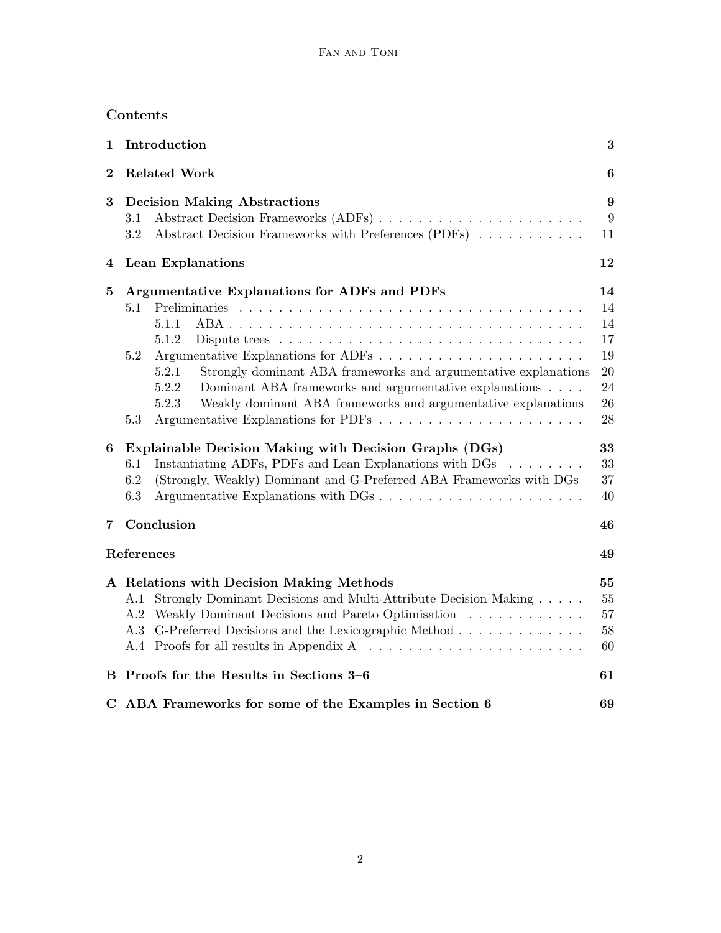# Contents

| 1            | Introduction                                                                                     |                  |  |  |
|--------------|--------------------------------------------------------------------------------------------------|------------------|--|--|
| $\bf{2}$     | <b>Related Work</b>                                                                              |                  |  |  |
| 3            | <b>Decision Making Abstractions</b>                                                              | $\boldsymbol{9}$ |  |  |
|              | Abstract Decision Frameworks (ADFs)<br>3.1                                                       | 9                |  |  |
|              | Abstract Decision Frameworks with Preferences (PDFs)<br>3.2                                      | 11               |  |  |
| 4            | Lean Explanations                                                                                | 12               |  |  |
| $\mathbf{5}$ | Argumentative Explanations for ADFs and PDFs                                                     | 14               |  |  |
|              | 5.1                                                                                              | 14               |  |  |
|              | 5.1.1                                                                                            | 14               |  |  |
|              | 5.1.2<br>Dispute trees $\dots \dots \dots \dots \dots \dots \dots \dots \dots \dots \dots \dots$ | 17               |  |  |
|              | 5.2                                                                                              | 19               |  |  |
|              | Strongly dominant ABA frameworks and argumentative explanations<br>5.2.1                         | 20               |  |  |
|              | 5.2.2<br>Dominant ABA frameworks and argumentative explanations                                  | 24               |  |  |
|              | Weakly dominant ABA frameworks and argumentative explanations<br>5.2.3                           | 26               |  |  |
|              | 5.3                                                                                              | 28               |  |  |
| 6            | Explainable Decision Making with Decision Graphs (DGs)                                           | 33               |  |  |
|              | Instantiating ADFs, PDFs and Lean Explanations with $DGs$<br>6.1                                 | 33               |  |  |
|              | (Strongly, Weakly) Dominant and G-Preferred ABA Frameworks with DGs<br>6.2                       | 37               |  |  |
|              | 6.3                                                                                              | 40               |  |  |
| 7            | Conclusion<br>46                                                                                 |                  |  |  |
|              | References                                                                                       | 49               |  |  |
|              | A Relations with Decision Making Methods                                                         | 55               |  |  |
|              | A.1 Strongly Dominant Decisions and Multi-Attribute Decision Making                              | 55               |  |  |
|              | A.2 Weakly Dominant Decisions and Pareto Optimisation                                            | 57               |  |  |
|              | A.3 G-Preferred Decisions and the Lexicographic Method                                           | $58\,$           |  |  |
|              |                                                                                                  | 60               |  |  |
|              | B Proofs for the Results in Sections 3-6                                                         | 61               |  |  |
|              | C ABA Frameworks for some of the Examples in Section 6                                           | 69               |  |  |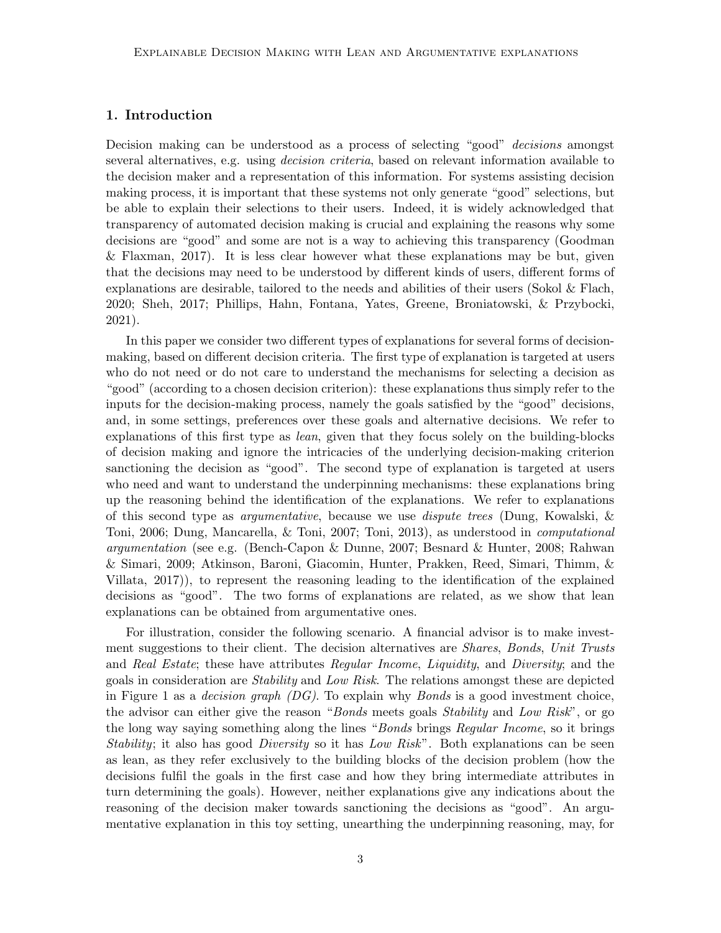## 1. Introduction

Decision making can be understood as a process of selecting "good" decisions amongst several alternatives, e.g. using *decision criteria*, based on relevant information available to the decision maker and a representation of this information. For systems assisting decision making process, it is important that these systems not only generate "good" selections, but be able to explain their selections to their users. Indeed, it is widely acknowledged that transparency of automated decision making is crucial and explaining the reasons why some decisions are "good" and some are not is a way to achieving this transparency (Goodman & Flaxman, 2017). It is less clear however what these explanations may be but, given that the decisions may need to be understood by different kinds of users, different forms of explanations are desirable, tailored to the needs and abilities of their users (Sokol & Flach, 2020; Sheh, 2017; Phillips, Hahn, Fontana, Yates, Greene, Broniatowski, & Przybocki, 2021).

In this paper we consider two different types of explanations for several forms of decisionmaking, based on different decision criteria. The first type of explanation is targeted at users who do not need or do not care to understand the mechanisms for selecting a decision as "good" (according to a chosen decision criterion): these explanations thus simply refer to the inputs for the decision-making process, namely the goals satisfied by the "good" decisions, and, in some settings, preferences over these goals and alternative decisions. We refer to explanations of this first type as lean, given that they focus solely on the building-blocks of decision making and ignore the intricacies of the underlying decision-making criterion sanctioning the decision as "good". The second type of explanation is targeted at users who need and want to understand the underpinning mechanisms: these explanations bring up the reasoning behind the identification of the explanations. We refer to explanations of this second type as argumentative, because we use dispute trees (Dung, Kowalski, & Toni, 2006; Dung, Mancarella, & Toni, 2007; Toni, 2013), as understood in computational argumentation (see e.g. (Bench-Capon & Dunne, 2007; Besnard & Hunter, 2008; Rahwan & Simari, 2009; Atkinson, Baroni, Giacomin, Hunter, Prakken, Reed, Simari, Thimm, & Villata, 2017)), to represent the reasoning leading to the identification of the explained decisions as "good". The two forms of explanations are related, as we show that lean explanations can be obtained from argumentative ones.

For illustration, consider the following scenario. A financial advisor is to make investment suggestions to their client. The decision alternatives are Shares, Bonds, Unit Trusts and Real Estate; these have attributes Regular Income, Liquidity, and Diversity; and the goals in consideration are Stability and Low Risk. The relations amongst these are depicted in Figure 1 as a *decision graph (DG)*. To explain why *Bonds* is a good investment choice, the advisor can either give the reason "*Bonds* meets goals *Stability* and Low Risk", or go the long way saying something along the lines "Bonds brings Regular Income, so it brings Stability; it also has good *Diversity* so it has *Low Risk*". Both explanations can be seen as lean, as they refer exclusively to the building blocks of the decision problem (how the decisions fulfil the goals in the first case and how they bring intermediate attributes in turn determining the goals). However, neither explanations give any indications about the reasoning of the decision maker towards sanctioning the decisions as "good". An argumentative explanation in this toy setting, unearthing the underpinning reasoning, may, for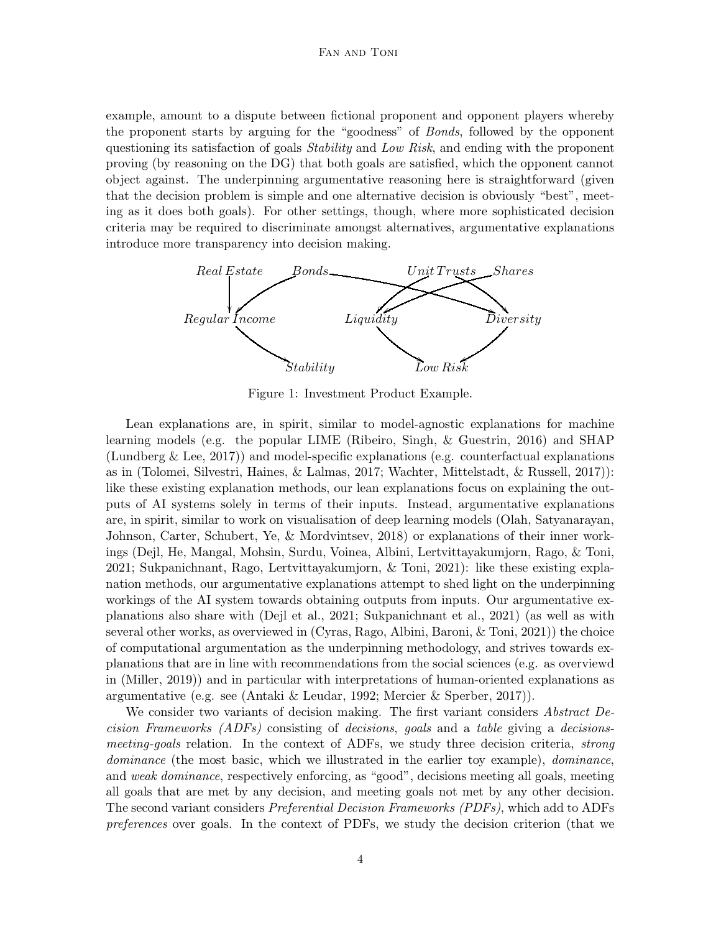#### Fan and Toni

example, amount to a dispute between fictional proponent and opponent players whereby the proponent starts by arguing for the "goodness" of Bonds, followed by the opponent questioning its satisfaction of goals *Stability* and Low Risk, and ending with the proponent proving (by reasoning on the DG) that both goals are satisfied, which the opponent cannot object against. The underpinning argumentative reasoning here is straightforward (given that the decision problem is simple and one alternative decision is obviously "best", meeting as it does both goals). For other settings, though, where more sophisticated decision criteria may be required to discriminate amongst alternatives, argumentative explanations introduce more transparency into decision making.



Figure 1: Investment Product Example.

Lean explanations are, in spirit, similar to model-agnostic explanations for machine learning models (e.g. the popular LIME (Ribeiro, Singh, & Guestrin, 2016) and SHAP (Lundberg & Lee, 2017)) and model-specific explanations (e.g. counterfactual explanations as in (Tolomei, Silvestri, Haines, & Lalmas, 2017; Wachter, Mittelstadt, & Russell, 2017)): like these existing explanation methods, our lean explanations focus on explaining the outputs of AI systems solely in terms of their inputs. Instead, argumentative explanations are, in spirit, similar to work on visualisation of deep learning models (Olah, Satyanarayan, Johnson, Carter, Schubert, Ye, & Mordvintsev, 2018) or explanations of their inner workings (Dejl, He, Mangal, Mohsin, Surdu, Voinea, Albini, Lertvittayakumjorn, Rago, & Toni, 2021; Sukpanichnant, Rago, Lertvittayakumjorn, & Toni, 2021): like these existing explanation methods, our argumentative explanations attempt to shed light on the underpinning workings of the AI system towards obtaining outputs from inputs. Our argumentative explanations also share with (Dejl et al., 2021; Sukpanichnant et al., 2021) (as well as with several other works, as overviewed in (Cyras, Rago, Albini, Baroni, & Toni, 2021)) the choice of computational argumentation as the underpinning methodology, and strives towards explanations that are in line with recommendations from the social sciences (e.g. as overviewd in (Miller, 2019)) and in particular with interpretations of human-oriented explanations as argumentative (e.g. see (Antaki & Leudar, 1992; Mercier & Sperber, 2017)).

We consider two variants of decision making. The first variant considers *Abstract De*cision Frameworks (ADFs) consisting of decisions, goals and a table giving a decisionsmeeting-goals relation. In the context of ADFs, we study three decision criteria, *strong* dominance (the most basic, which we illustrated in the earlier toy example), *dominance*, and weak dominance, respectively enforcing, as "good", decisions meeting all goals, meeting all goals that are met by any decision, and meeting goals not met by any other decision. The second variant considers Preferential Decision Frameworks (PDFs), which add to ADFs preferences over goals. In the context of PDFs, we study the decision criterion (that we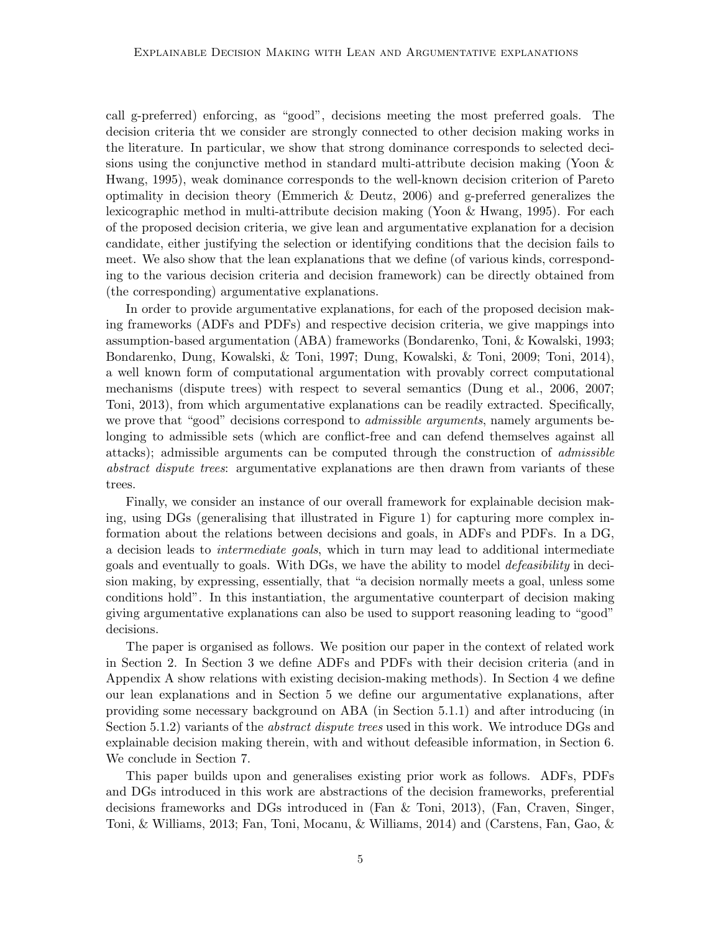call g-preferred) enforcing, as "good", decisions meeting the most preferred goals. The decision criteria tht we consider are strongly connected to other decision making works in the literature. In particular, we show that strong dominance corresponds to selected decisions using the conjunctive method in standard multi-attribute decision making (Yoon & Hwang, 1995), weak dominance corresponds to the well-known decision criterion of Pareto optimality in decision theory (Emmerich & Deutz, 2006) and g-preferred generalizes the lexicographic method in multi-attribute decision making (Yoon & Hwang, 1995). For each of the proposed decision criteria, we give lean and argumentative explanation for a decision candidate, either justifying the selection or identifying conditions that the decision fails to meet. We also show that the lean explanations that we define (of various kinds, corresponding to the various decision criteria and decision framework) can be directly obtained from (the corresponding) argumentative explanations.

In order to provide argumentative explanations, for each of the proposed decision making frameworks (ADFs and PDFs) and respective decision criteria, we give mappings into assumption-based argumentation (ABA) frameworks (Bondarenko, Toni, & Kowalski, 1993; Bondarenko, Dung, Kowalski, & Toni, 1997; Dung, Kowalski, & Toni, 2009; Toni, 2014), a well known form of computational argumentation with provably correct computational mechanisms (dispute trees) with respect to several semantics (Dung et al., 2006, 2007; Toni, 2013), from which argumentative explanations can be readily extracted. Specifically, we prove that "good" decisions correspond to *admissible arguments*, namely arguments belonging to admissible sets (which are conflict-free and can defend themselves against all attacks); admissible arguments can be computed through the construction of admissible abstract dispute trees: argumentative explanations are then drawn from variants of these trees.

Finally, we consider an instance of our overall framework for explainable decision making, using DGs (generalising that illustrated in Figure 1) for capturing more complex information about the relations between decisions and goals, in ADFs and PDFs. In a DG, a decision leads to *intermediate goals*, which in turn may lead to additional intermediate goals and eventually to goals. With DGs, we have the ability to model *defeasibility* in decision making, by expressing, essentially, that "a decision normally meets a goal, unless some conditions hold". In this instantiation, the argumentative counterpart of decision making giving argumentative explanations can also be used to support reasoning leading to "good" decisions.

The paper is organised as follows. We position our paper in the context of related work in Section 2. In Section 3 we define ADFs and PDFs with their decision criteria (and in Appendix A show relations with existing decision-making methods). In Section 4 we define our lean explanations and in Section 5 we define our argumentative explanations, after providing some necessary background on ABA (in Section 5.1.1) and after introducing (in Section 5.1.2) variants of the *abstract dispute trees* used in this work. We introduce DGs and explainable decision making therein, with and without defeasible information, in Section 6. We conclude in Section 7.

This paper builds upon and generalises existing prior work as follows. ADFs, PDFs and DGs introduced in this work are abstractions of the decision frameworks, preferential decisions frameworks and DGs introduced in (Fan & Toni, 2013), (Fan, Craven, Singer, Toni, & Williams, 2013; Fan, Toni, Mocanu, & Williams, 2014) and (Carstens, Fan, Gao, &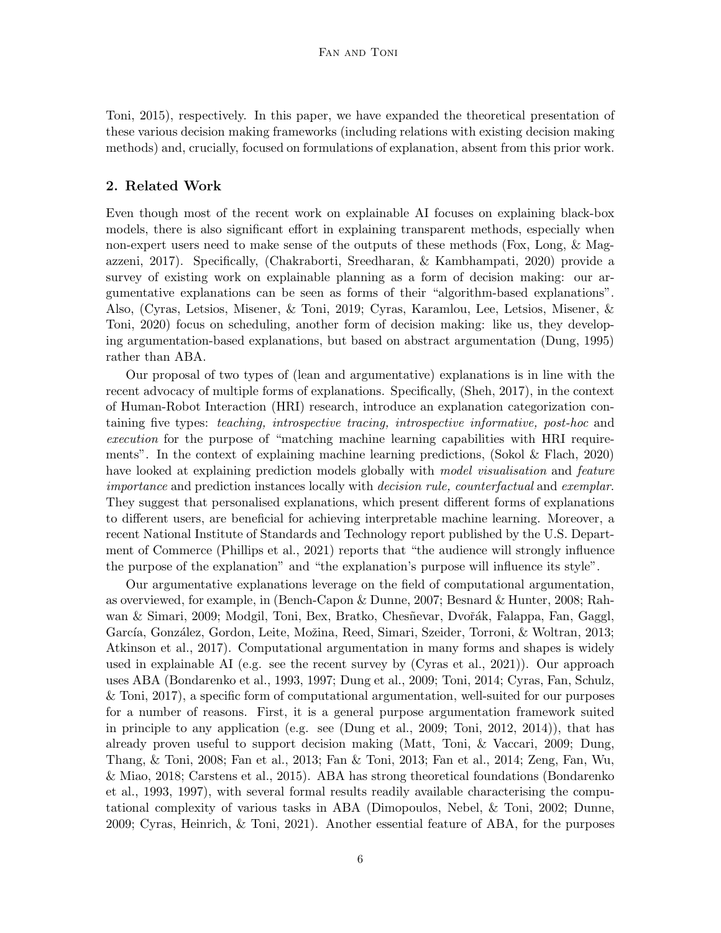Toni, 2015), respectively. In this paper, we have expanded the theoretical presentation of these various decision making frameworks (including relations with existing decision making methods) and, crucially, focused on formulations of explanation, absent from this prior work.

## 2. Related Work

Even though most of the recent work on explainable AI focuses on explaining black-box models, there is also significant effort in explaining transparent methods, especially when non-expert users need to make sense of the outputs of these methods (Fox, Long, & Magazzeni, 2017). Specifically, (Chakraborti, Sreedharan, & Kambhampati, 2020) provide a survey of existing work on explainable planning as a form of decision making: our argumentative explanations can be seen as forms of their "algorithm-based explanations". Also, (Cyras, Letsios, Misener, & Toni, 2019; Cyras, Karamlou, Lee, Letsios, Misener, & Toni, 2020) focus on scheduling, another form of decision making: like us, they developing argumentation-based explanations, but based on abstract argumentation (Dung, 1995) rather than ABA.

Our proposal of two types of (lean and argumentative) explanations is in line with the recent advocacy of multiple forms of explanations. Specifically, (Sheh, 2017), in the context of Human-Robot Interaction (HRI) research, introduce an explanation categorization containing five types: teaching, introspective tracing, introspective informative, post-hoc and execution for the purpose of "matching machine learning capabilities with HRI requirements". In the context of explaining machine learning predictions, (Sokol & Flach, 2020) have looked at explaining prediction models globally with *model visualisation* and *feature* importance and prediction instances locally with decision rule, counterfactual and exemplar. They suggest that personalised explanations, which present different forms of explanations to different users, are beneficial for achieving interpretable machine learning. Moreover, a recent National Institute of Standards and Technology report published by the U.S. Department of Commerce (Phillips et al., 2021) reports that "the audience will strongly influence the purpose of the explanation" and "the explanation's purpose will influence its style".

Our argumentative explanations leverage on the field of computational argumentation, as overviewed, for example, in (Bench-Capon & Dunne, 2007; Besnard & Hunter, 2008; Rahwan & Simari, 2009; Modgil, Toni, Bex, Bratko, Chesñevar, Dvořák, Falappa, Fan, Gaggl, García, González, Gordon, Leite, Možina, Reed, Simari, Szeider, Torroni, & Woltran, 2013; Atkinson et al., 2017). Computational argumentation in many forms and shapes is widely used in explainable AI (e.g. see the recent survey by (Cyras et al., 2021)). Our approach uses ABA (Bondarenko et al., 1993, 1997; Dung et al., 2009; Toni, 2014; Cyras, Fan, Schulz, & Toni, 2017), a specific form of computational argumentation, well-suited for our purposes for a number of reasons. First, it is a general purpose argumentation framework suited in principle to any application (e.g. see (Dung et al., 2009; Toni, 2012, 2014)), that has already proven useful to support decision making (Matt, Toni, & Vaccari, 2009; Dung, Thang, & Toni, 2008; Fan et al., 2013; Fan & Toni, 2013; Fan et al., 2014; Zeng, Fan, Wu, & Miao, 2018; Carstens et al., 2015). ABA has strong theoretical foundations (Bondarenko et al., 1993, 1997), with several formal results readily available characterising the computational complexity of various tasks in ABA (Dimopoulos, Nebel, & Toni, 2002; Dunne, 2009; Cyras, Heinrich, & Toni, 2021). Another essential feature of ABA, for the purposes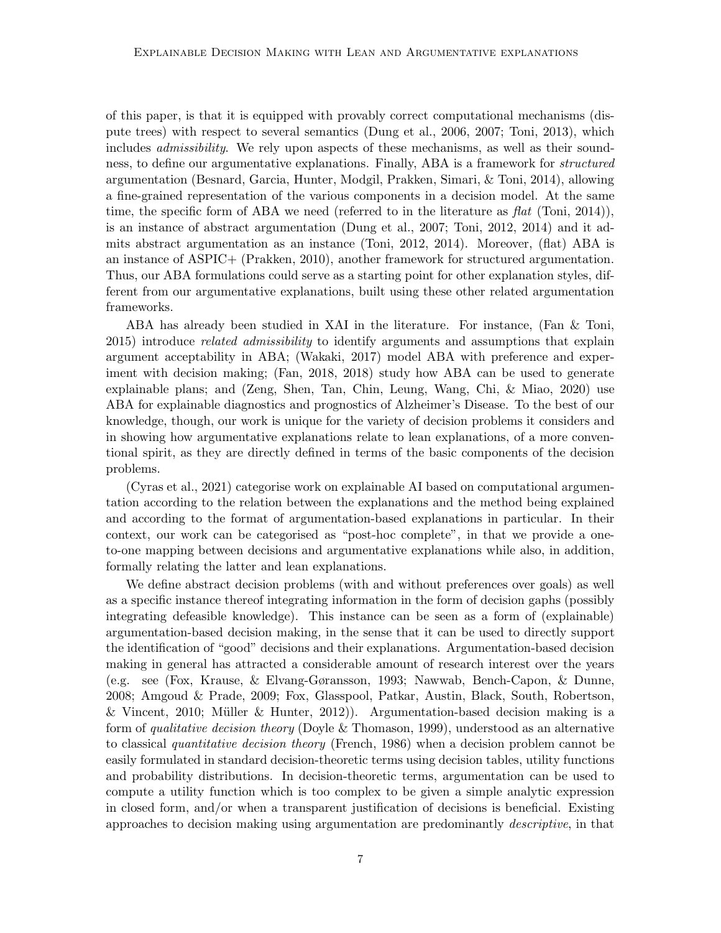of this paper, is that it is equipped with provably correct computational mechanisms (dispute trees) with respect to several semantics (Dung et al., 2006, 2007; Toni, 2013), which includes *admissibility*. We rely upon aspects of these mechanisms, as well as their soundness, to define our argumentative explanations. Finally, ABA is a framework for structured argumentation (Besnard, Garcia, Hunter, Modgil, Prakken, Simari, & Toni, 2014), allowing a fine-grained representation of the various components in a decision model. At the same time, the specific form of ABA we need (referred to in the literature as  $flat$  (Toni, 2014)), is an instance of abstract argumentation (Dung et al., 2007; Toni, 2012, 2014) and it admits abstract argumentation as an instance (Toni, 2012, 2014). Moreover, (flat) ABA is an instance of ASPIC+ (Prakken, 2010), another framework for structured argumentation. Thus, our ABA formulations could serve as a starting point for other explanation styles, different from our argumentative explanations, built using these other related argumentation frameworks.

ABA has already been studied in XAI in the literature. For instance, (Fan & Toni, 2015) introduce *related admissibility* to identify arguments and assumptions that explain argument acceptability in ABA; (Wakaki, 2017) model ABA with preference and experiment with decision making; (Fan, 2018, 2018) study how ABA can be used to generate explainable plans; and (Zeng, Shen, Tan, Chin, Leung, Wang, Chi, & Miao, 2020) use ABA for explainable diagnostics and prognostics of Alzheimer's Disease. To the best of our knowledge, though, our work is unique for the variety of decision problems it considers and in showing how argumentative explanations relate to lean explanations, of a more conventional spirit, as they are directly defined in terms of the basic components of the decision problems.

(Cyras et al., 2021) categorise work on explainable AI based on computational argumentation according to the relation between the explanations and the method being explained and according to the format of argumentation-based explanations in particular. In their context, our work can be categorised as "post-hoc complete", in that we provide a oneto-one mapping between decisions and argumentative explanations while also, in addition, formally relating the latter and lean explanations.

We define abstract decision problems (with and without preferences over goals) as well as a specific instance thereof integrating information in the form of decision gaphs (possibly integrating defeasible knowledge). This instance can be seen as a form of (explainable) argumentation-based decision making, in the sense that it can be used to directly support the identification of "good" decisions and their explanations. Argumentation-based decision making in general has attracted a considerable amount of research interest over the years (e.g. see (Fox, Krause, & Elvang-Gøransson, 1993; Nawwab, Bench-Capon, & Dunne, 2008; Amgoud & Prade, 2009; Fox, Glasspool, Patkar, Austin, Black, South, Robertson, & Vincent, 2010; Müller & Hunter, 2012). Argumentation-based decision making is a form of qualitative decision theory (Doyle & Thomason, 1999), understood as an alternative to classical quantitative decision theory (French, 1986) when a decision problem cannot be easily formulated in standard decision-theoretic terms using decision tables, utility functions and probability distributions. In decision-theoretic terms, argumentation can be used to compute a utility function which is too complex to be given a simple analytic expression in closed form, and/or when a transparent justification of decisions is beneficial. Existing approaches to decision making using argumentation are predominantly descriptive, in that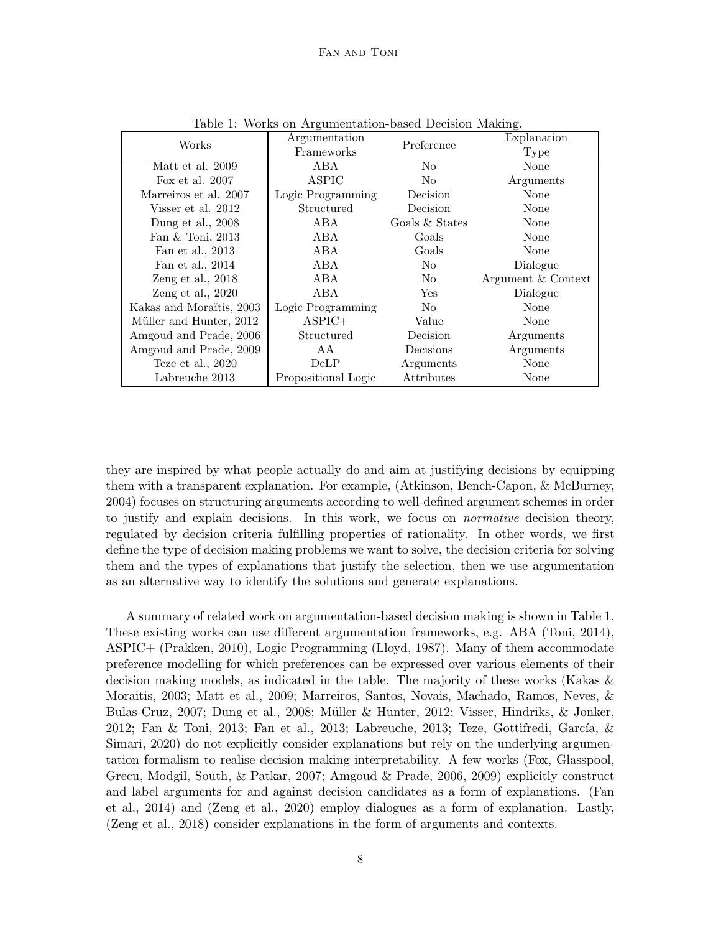| Works                    | Argumentation<br>Frameworks | Preference     | Explanation        |
|--------------------------|-----------------------------|----------------|--------------------|
|                          |                             |                | Type               |
| Matt et al. 2009         | ABA                         | N <sub>o</sub> | None               |
| Fox et al. $2007$        | <b>ASPIC</b>                | No.            | Arguments          |
| Marreiros et al. 2007    | Logic Programming           | Decision       | None               |
| Visser et al. 2012       | Structured                  | Decision       | None               |
| Dung et al., 2008        | ABA                         | Goals & States | None               |
| Fan & Toni, 2013         | ABA                         | Goals          | None               |
| Fan et al., 2013         | ABA                         | Goals          | None               |
| Fan et al., 2014         | ABA                         | No.            | Dialogue           |
| Zeng et al., $2018$      | ABA                         | No.            | Argument & Context |
| Zeng et al., $2020$      | ABA                         | Yes            | Dialogue           |
| Kakas and Moraïtis, 2003 | Logic Programming           | N <sub>o</sub> | None               |
| Müller and Hunter, 2012  | $ASPIC+$                    | Value          | None               |
| Amgoud and Prade, 2006   | Structured                  | Decision       | Arguments          |
| Amgoud and Prade, 2009   | AА                          | Decisions      | Arguments          |
| Teze et al., $2020$      | <b>DeLP</b>                 | Arguments      | None               |
| Labreuche 2013           | Propositional Logic         | Attributes     | None               |

Table 1: Works on Argumentation-based Decision Making.

they are inspired by what people actually do and aim at justifying decisions by equipping them with a transparent explanation. For example, (Atkinson, Bench-Capon, & McBurney, 2004) focuses on structuring arguments according to well-defined argument schemes in order to justify and explain decisions. In this work, we focus on normative decision theory, regulated by decision criteria fulfilling properties of rationality. In other words, we first define the type of decision making problems we want to solve, the decision criteria for solving them and the types of explanations that justify the selection, then we use argumentation as an alternative way to identify the solutions and generate explanations.

A summary of related work on argumentation-based decision making is shown in Table 1. These existing works can use different argumentation frameworks, e.g. ABA (Toni, 2014), ASPIC+ (Prakken, 2010), Logic Programming (Lloyd, 1987). Many of them accommodate preference modelling for which preferences can be expressed over various elements of their decision making models, as indicated in the table. The majority of these works (Kakas & Moraitis, 2003; Matt et al., 2009; Marreiros, Santos, Novais, Machado, Ramos, Neves, & Bulas-Cruz, 2007; Dung et al., 2008; Müller & Hunter, 2012; Visser, Hindriks, & Jonker, 2012; Fan & Toni, 2013; Fan et al., 2013; Labreuche, 2013; Teze, Gottifredi, García, & Simari, 2020) do not explicitly consider explanations but rely on the underlying argumentation formalism to realise decision making interpretability. A few works (Fox, Glasspool, Grecu, Modgil, South, & Patkar, 2007; Amgoud & Prade, 2006, 2009) explicitly construct and label arguments for and against decision candidates as a form of explanations. (Fan et al., 2014) and (Zeng et al., 2020) employ dialogues as a form of explanation. Lastly, (Zeng et al., 2018) consider explanations in the form of arguments and contexts.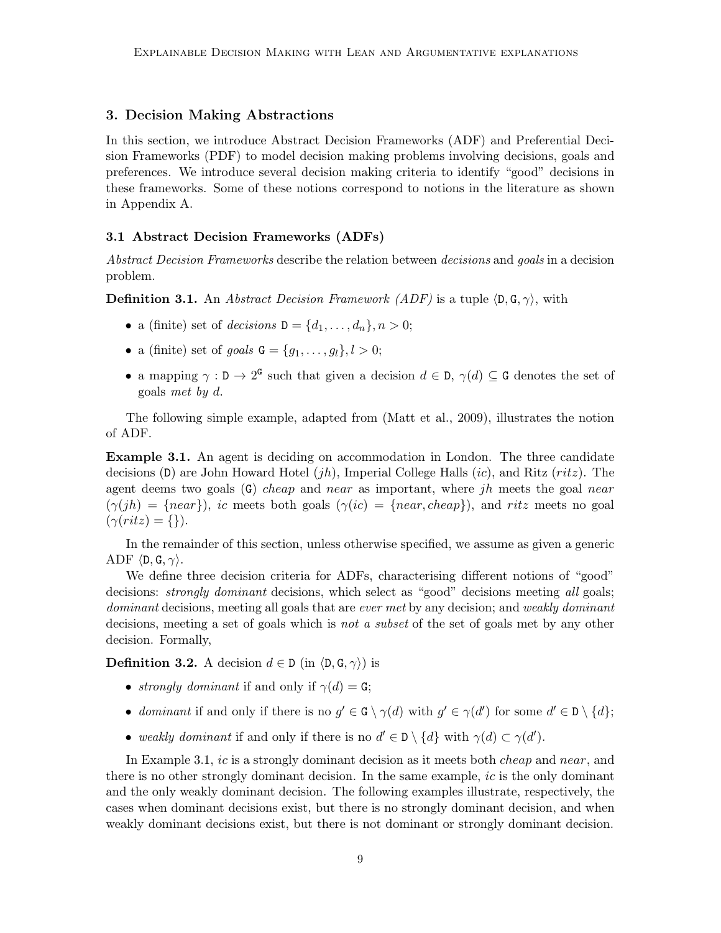## 3. Decision Making Abstractions

In this section, we introduce Abstract Decision Frameworks (ADF) and Preferential Decision Frameworks (PDF) to model decision making problems involving decisions, goals and preferences. We introduce several decision making criteria to identify "good" decisions in these frameworks. Some of these notions correspond to notions in the literature as shown in Appendix A.

## 3.1 Abstract Decision Frameworks (ADFs)

Abstract Decision Frameworks describe the relation between decisions and goals in a decision problem.

**Definition 3.1.** An *Abstract Decision Framework (ADF)* is a tuple  $\langle D, G, \gamma \rangle$ , with

- a (finite) set of decisions  $D = \{d_1, \ldots, d_n\}, n > 0;$
- a (finite) set of goals  $G = \{g_1, \ldots, g_l\}, l > 0;$
- a mapping  $\gamma : \mathbb{D} \to 2^{\mathsf{G}}$  such that given a decision  $d \in \mathbb{D}$ ,  $\gamma(d) \subseteq \mathbb{G}$  denotes the set of goals met by d.

The following simple example, adapted from (Matt et al., 2009), illustrates the notion of ADF.

Example 3.1. An agent is deciding on accommodation in London. The three candidate decisions  $(D)$  are John Howard Hotel  $(jh)$ , Imperial College Halls  $(ic)$ , and Ritz  $(ritz)$ . The agent deems two goals  $(G)$  cheap and near as important, where jh meets the goal near  $(\gamma(jh) = \{near\}),$  ic meets both goals  $(\gamma(ic) = \{near, cheap\}),$  and ritz meets no goal  $(\gamma(ritz) = \{\})$ .

In the remainder of this section, unless otherwise specified, we assume as given a generic ADF  $\langle D, G, \gamma \rangle$ .

We define three decision criteria for ADFs, characterising different notions of "good" decisions: *strongly dominant* decisions, which select as "good" decisions meeting all goals; dominant decisions, meeting all goals that are ever met by any decision; and weakly dominant decisions, meeting a set of goals which is not a subset of the set of goals met by any other decision. Formally,

**Definition 3.2.** A decision  $d \in D$  (in  $\langle D, G, \gamma \rangle$ ) is

- strongly dominant if and only if  $\gamma(d) = G$ ;
- dominant if and only if there is no  $g' \in G \setminus \gamma(d)$  with  $g' \in \gamma(d')$  for some  $d' \in D \setminus \{d\}$ ;
- weakly dominant if and only if there is no  $d' \in D \setminus \{d\}$  with  $\gamma(d) \subset \gamma(d')$ .

In Example 3.1, *ic* is a strongly dominant decision as it meets both *cheap* and near, and there is no other strongly dominant decision. In the same example, ic is the only dominant and the only weakly dominant decision. The following examples illustrate, respectively, the cases when dominant decisions exist, but there is no strongly dominant decision, and when weakly dominant decisions exist, but there is not dominant or strongly dominant decision.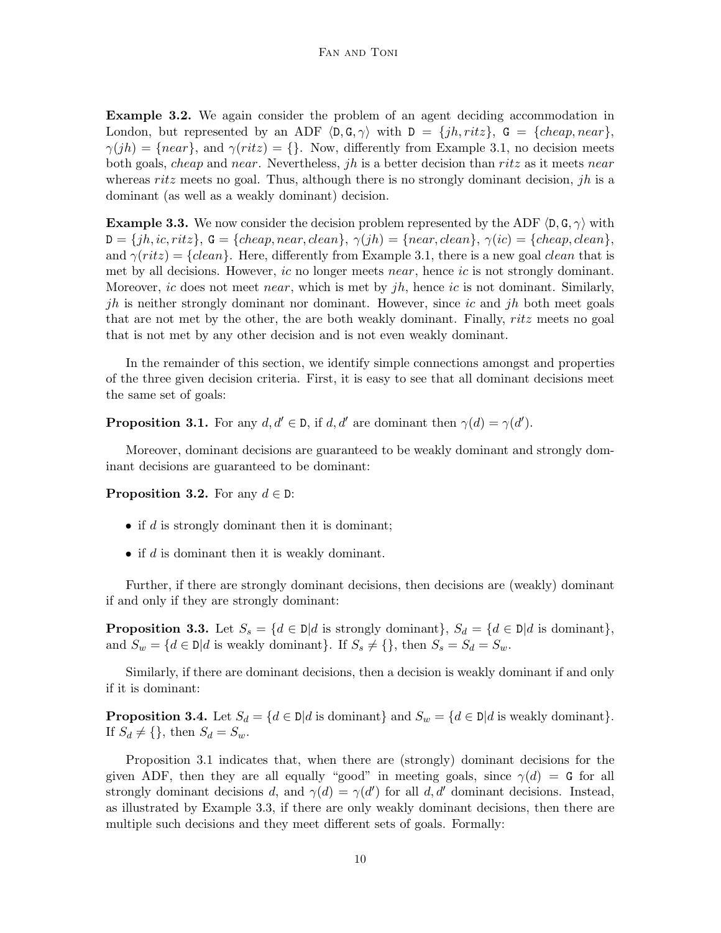Example 3.2. We again consider the problem of an agent deciding accommodation in London, but represented by an ADF  $\langle \mathbf{D}, \mathbf{G}, \gamma \rangle$  with  $\mathbf{D} = \{jh, ritz\}$ ,  $\mathbf{G} = \{cheap, near\}$ ,  $\gamma(jh) = \{near\}$ , and  $\gamma(ritz) = \{\}$ . Now, differently from Example 3.1, no decision meets both goals, *cheap* and *near*. Nevertheless, *jh* is a better decision than *ritz* as it meets *near* whereas ritz meets no goal. Thus, although there is no strongly dominant decision, *jh* is a dominant (as well as a weakly dominant) decision.

**Example 3.3.** We now consider the decision problem represented by the ADF  $\langle D, G, \gamma \rangle$  with  $D = \{jh, ic, ritz\}, G = \{cheap, near, clean\}, \gamma(jh) = \{near, clean\}, \gamma(ic) = \{cheap, clean\},\$ and  $\gamma(ritz) = \{clean\}$ . Here, differently from Example 3.1, there is a new goal *clean* that is met by all decisions. However, ic no longer meets near, hence ic is not strongly dominant. Moreover, ic does not meet near, which is met by  $jh$ , hence ic is not dominant. Similarly, jh is neither strongly dominant nor dominant. However, since ic and jh both meet goals that are not met by the other, the are both weakly dominant. Finally, ritz meets no goal that is not met by any other decision and is not even weakly dominant.

In the remainder of this section, we identify simple connections amongst and properties of the three given decision criteria. First, it is easy to see that all dominant decisions meet the same set of goals:

**Proposition 3.1.** For any  $d, d' \in \mathcal{D}$ , if  $d, d'$  are dominant then  $\gamma(d) = \gamma(d')$ .

Moreover, dominant decisions are guaranteed to be weakly dominant and strongly dominant decisions are guaranteed to be dominant:

**Proposition 3.2.** For any  $d \in \mathbb{D}$ :

- if  $d$  is strongly dominant then it is dominant;
- if  $d$  is dominant then it is weakly dominant.

Further, if there are strongly dominant decisions, then decisions are (weakly) dominant if and only if they are strongly dominant:

**Proposition 3.3.** Let  $S_s = \{d \in \mathbb{D} | d \text{ is strongly dominant}\}, S_d = \{d \in \mathbb{D} | d \text{ is dominant}\},\$ and  $S_w = \{d \in \mathbb{D} | d \text{ is weakly dominant}\}\.$  If  $S_s \neq \{\}$ , then  $S_s = S_d = S_w$ .

Similarly, if there are dominant decisions, then a decision is weakly dominant if and only if it is dominant:

**Proposition 3.4.** Let  $S_d = \{d \in \mathbb{D} | d \text{ is dominant}\}$  and  $S_w = \{d \in \mathbb{D} | d \text{ is weakly dominant}\}.$ If  $S_d \neq \{\}$ , then  $S_d = S_w$ .

Proposition 3.1 indicates that, when there are (strongly) dominant decisions for the given ADF, then they are all equally "good" in meeting goals, since  $\gamma(d) = G$  for all strongly dominant decisions d, and  $\gamma(d) = \gamma(d')$  for all d, d' dominant decisions. Instead, as illustrated by Example 3.3, if there are only weakly dominant decisions, then there are multiple such decisions and they meet different sets of goals. Formally: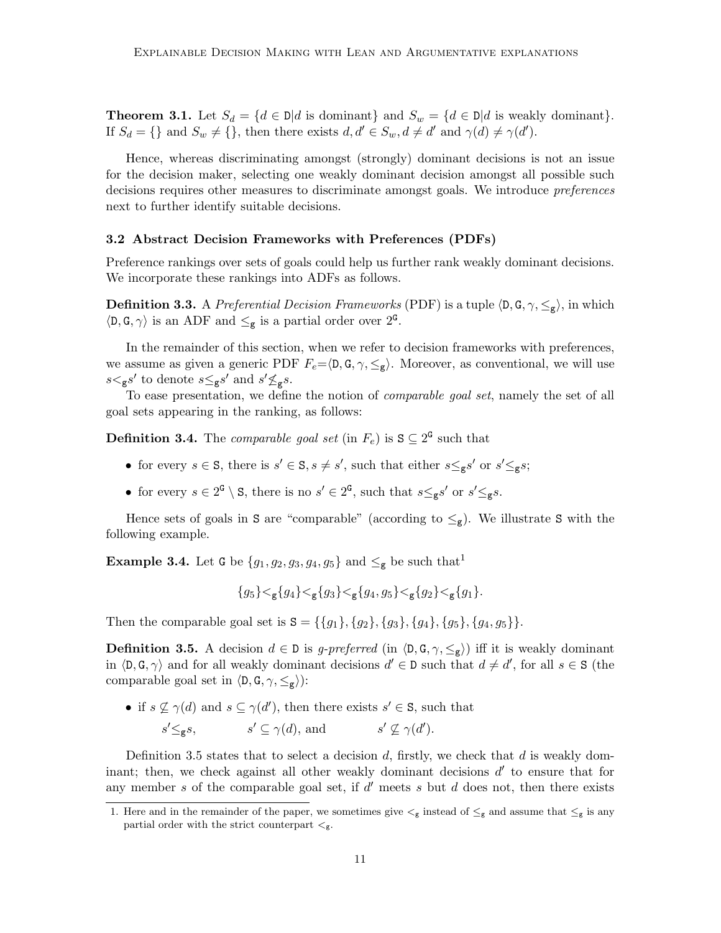**Theorem 3.1.** Let  $S_d = \{d \in \mathbb{D} | d \text{ is dominant}\}\$  and  $S_w = \{d \in \mathbb{D} | d \text{ is weakly dominant}\}\$ . If  $S_d = \{\}\$ and  $S_w \neq \{\},\$  then there exists  $d, d' \in S_w, d \neq d'$  and  $\gamma(d) \neq \gamma(d')$ .

Hence, whereas discriminating amongst (strongly) dominant decisions is not an issue for the decision maker, selecting one weakly dominant decision amongst all possible such decisions requires other measures to discriminate amongst goals. We introduce preferences next to further identify suitable decisions.

## 3.2 Abstract Decision Frameworks with Preferences (PDFs)

Preference rankings over sets of goals could help us further rank weakly dominant decisions. We incorporate these rankings into ADFs as follows.

**Definition 3.3.** A Preferential Decision Frameworks (PDF) is a tuple  $\langle \mathsf{D}, \mathsf{G}, \gamma, \leq_{\mathsf{g}} \rangle$ , in which  $\langle \mathsf{D}, \mathsf{G}, \gamma \rangle$  is an ADF and  $\leq_{\mathsf{g}}$  is a partial order over  $2^{\mathsf{G}}$ .

In the remainder of this section, when we refer to decision frameworks with preferences, we assume as given a generic PDF  $F_e = \langle \mathsf{D}, \mathsf{G}, \gamma, \leq_{\mathsf{g}} \rangle$ . Moreover, as conventional, we will use  $s <_{g} s'$  to denote  $s \leq_{g} s'$  and  $s' \nleq_{g} s$ .

To ease presentation, we define the notion of comparable goal set, namely the set of all goal sets appearing in the ranking, as follows:

**Definition 3.4.** The *comparable goal set* (in  $F_e$ ) is  $S \subseteq 2^G$  such that

- for every  $s \in \mathbf{S}$ , there is  $s' \in \mathbf{S}$ ,  $s \neq s'$ , such that either  $s \leq_{\mathbf{g}} s'$  or  $s' \leq_{\mathbf{g}} s$ ;
- for every  $s \in 2^{\mathsf{G}} \setminus \mathsf{S}$ , there is no  $s' \in 2^{\mathsf{G}}$ , such that  $s \leq_{\mathsf{g}} s'$  or  $s' \leq_{\mathsf{g}} s$ .

Hence sets of goals in S are "comparable" (according to  $\leq_g$ ). We illustrate S with the following example.

**Example 3.4.** Let G be  $\{g_1, g_2, g_3, g_4, g_5\}$  and  $\leq_g$  be such that<sup>1</sup>

$$
\{g_5\} {<}_{\mathbf g}\{g_4\} {<}_{\mathbf g}\{g_3\} {<}_{\mathbf g}\{g_4,g_5\} {<}_{\mathbf g}\{g_2\} {<}_{\mathbf g}\{g_1\}.
$$

Then the comparable goal set is  $S = \{\{g_1\}, \{g_2\}, \{g_3\}, \{g_4\}, \{g_5\}, \{g_4, g_5\}\}.$ 

**Definition 3.5.** A decision  $d \in \mathbb{D}$  is g-preferred (in  $\langle \mathsf{D}, \mathsf{G}, \gamma, \leq_{g} \rangle$ ) iff it is weakly dominant in  $\langle \mathsf{D}, \mathsf{G}, \gamma \rangle$  and for all weakly dominant decisions  $d' \in \mathsf{D}$  such that  $d \neq d'$ , for all  $s \in \mathsf{S}$  (the comparable goal set in  $\langle \mathsf{D}, \mathsf{G}, \gamma, \leq_{\mathsf{g}} \rangle$ :

• if  $s \nsubseteq \gamma(d)$  and  $s \subseteq \gamma(d')$ , then there exists  $s' \in S$ , such that

 $s' \leq_{\mathbf{g}} s$ ,  $s' \subseteq \gamma(d)$ , and  $s' \nsubseteq \gamma(d')$ .

Definition 3.5 states that to select a decision  $d$ , firstly, we check that  $d$  is weakly dominant; then, we check against all other weakly dominant decisions  $d'$  to ensure that for any member  $s$  of the comparable goal set, if  $d'$  meets  $s$  but  $d$  does not, then there exists

<sup>1.</sup> Here and in the remainder of the paper, we sometimes give  $\lt_g$  instead of  $\leq_g$  and assume that  $\leq_g$  is any partial order with the strict counterpart  $<_\mathsf{g}.$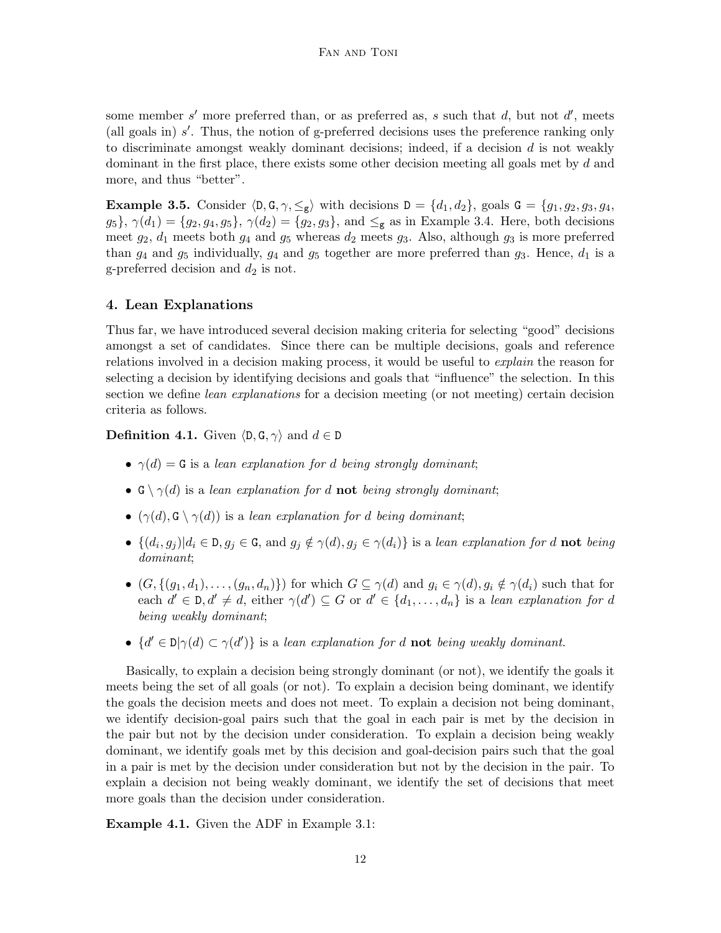some member s' more preferred than, or as preferred as, s such that d, but not d', meets (all goals in)  $s'$ . Thus, the notion of g-preferred decisions uses the preference ranking only to discriminate amongst weakly dominant decisions; indeed, if a decision  $d$  is not weakly dominant in the first place, there exists some other decision meeting all goals met by d and more, and thus "better".

**Example 3.5.** Consider  $\langle \mathsf{D}, \mathsf{G}, \gamma, \leq_{\mathsf{g}} \rangle$  with decisions  $\mathsf{D} = \{d_1, d_2\}$ , goals  $\mathsf{G} = \{g_1, g_2, g_3, g_4, g_5, g_6, g_7, g_8, g_9, g_{10}\}$  $g_5$ ,  $\gamma(d_1) = \{g_2, g_4, g_5\}$ ,  $\gamma(d_2) = \{g_2, g_3\}$ , and  $\leq_g$  as in Example 3.4. Here, both decisions meet  $g_2$ ,  $d_1$  meets both  $g_4$  and  $g_5$  whereas  $d_2$  meets  $g_3$ . Also, although  $g_3$  is more preferred than  $g_4$  and  $g_5$  individually,  $g_4$  and  $g_5$  together are more preferred than  $g_3$ . Hence,  $d_1$  is a g-preferred decision and  $d_2$  is not.

# 4. Lean Explanations

Thus far, we have introduced several decision making criteria for selecting "good" decisions amongst a set of candidates. Since there can be multiple decisions, goals and reference relations involved in a decision making process, it would be useful to *explain* the reason for selecting a decision by identifying decisions and goals that "influence" the selection. In this section we define *lean explanations* for a decision meeting (or not meeting) certain decision criteria as follows.

**Definition 4.1.** Given  $\langle \mathsf{D}, \mathsf{G}, \gamma \rangle$  and  $d \in \mathsf{D}$ 

- $\gamma(d) = G$  is a lean explanation for d being strongly dominant;
- $\mathbf{G} \setminus \gamma(d)$  is a lean explanation for d **not** being strongly dominant;
- $(\gamma(d), G \setminus \gamma(d))$  is a lean explanation for d being dominant;
- $\{(d_i, g_j) | d_i \in D, g_j \in G, \text{ and } g_j \notin \gamma(d), g_j \in \gamma(d_i)\}\$ is a lean explanation for d **not** being dominant;
- $(G, \{(g_1, d_1), \ldots, (g_n, d_n)\})$  for which  $G \subseteq \gamma(d)$  and  $g_i \in \gamma(d)$ ,  $g_i \notin \gamma(d_i)$  such that for each  $d' \in \mathcal{D}, d' \neq d$ , either  $\gamma(d') \subseteq G$  or  $d' \in \{d_1, \ldots, d_n\}$  is a lean explanation for d being weakly dominant;
- $\{d' \in D | \gamma(d) \subset \gamma(d')\}$  is a lean explanation for d **not** being weakly dominant.

Basically, to explain a decision being strongly dominant (or not), we identify the goals it meets being the set of all goals (or not). To explain a decision being dominant, we identify the goals the decision meets and does not meet. To explain a decision not being dominant, we identify decision-goal pairs such that the goal in each pair is met by the decision in the pair but not by the decision under consideration. To explain a decision being weakly dominant, we identify goals met by this decision and goal-decision pairs such that the goal in a pair is met by the decision under consideration but not by the decision in the pair. To explain a decision not being weakly dominant, we identify the set of decisions that meet more goals than the decision under consideration.

Example 4.1. Given the ADF in Example 3.1: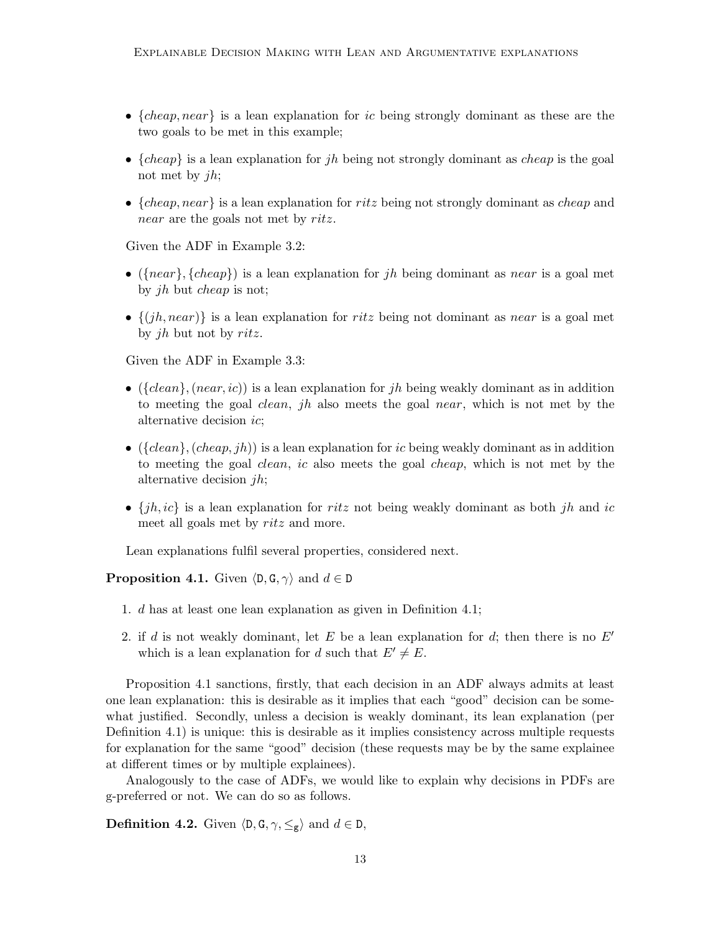- ${cheap, near}$  is a lean explanation for *ic* being strongly dominant as these are the two goals to be met in this example;
- ${cheap}$  is a lean explanation for jh being not strongly dominant as *cheap* is the goal not met by  $jh;$
- ${cheap, near}$  is a lean explanation for ritz being not strongly dominant as *cheap* and near are the goals not met by ritz.

Given the ADF in Example 3.2:

- ( ${near}$ ,  ${cheap}$ ) is a lean explanation for *jh* being dominant as *near* is a goal met by jh but cheap is not;
- $\{(jh, near)\}\$ is a lean explanation for ritz being not dominant as near is a goal met by jh but not by ritz.

Given the ADF in Example 3.3:

- ( ${dean}$ ,  $(near, ic)$ ) is a lean explanation for jh being weakly dominant as in addition to meeting the goal clean, jh also meets the goal near, which is not met by the alternative decision ic;
- ( $\{clean\}$ ,  $(clean, jh)$ ) is a lean explanation for *ic* being weakly dominant as in addition to meeting the goal clean, ic also meets the goal cheap, which is not met by the alternative decision  $jh;$
- $\{jh, ic\}$  is a lean explanation for ritz not being weakly dominant as both jh and ic meet all goals met by ritz and more.

Lean explanations fulfil several properties, considered next.

**Proposition 4.1.** Given  $\langle \mathsf{D}, \mathsf{G}, \gamma \rangle$  and  $d \in \mathsf{D}$ 

- 1. d has at least one lean explanation as given in Definition 4.1;
- 2. if d is not weakly dominant, let E be a lean explanation for d; then there is no  $E'$ which is a lean explanation for d such that  $E' \neq E$ .

Proposition 4.1 sanctions, firstly, that each decision in an ADF always admits at least one lean explanation: this is desirable as it implies that each "good" decision can be somewhat justified. Secondly, unless a decision is weakly dominant, its lean explanation (per Definition 4.1) is unique: this is desirable as it implies consistency across multiple requests for explanation for the same "good" decision (these requests may be by the same explainee at different times or by multiple explainees).

Analogously to the case of ADFs, we would like to explain why decisions in PDFs are g-preferred or not. We can do so as follows.

**Definition 4.2.** Given  $\langle \mathsf{D}, \mathsf{G}, \gamma, \leq_{\mathsf{g}} \rangle$  and  $d \in \mathsf{D}$ ,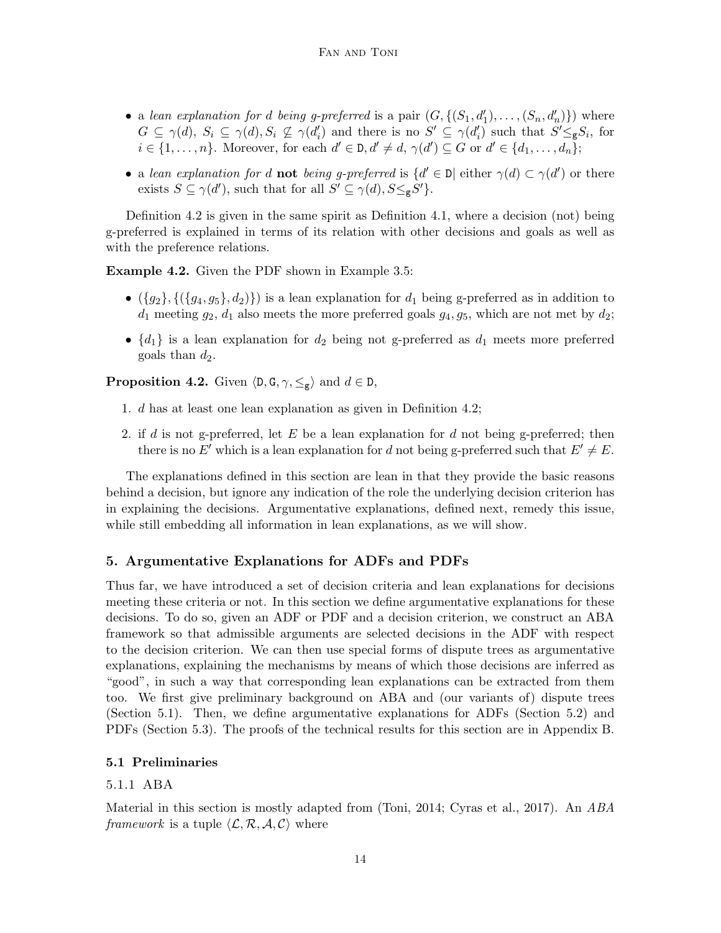- a lean explanation for d being g-preferred is a pair  $(G, \{(S_1, d'_1), \ldots, (S_n, d'_n)\})$  where  $G \subseteq \gamma(d)$ ,  $S_i \subseteq \gamma(d)$ ,  $S_i \nsubseteq \gamma(d'_i)$  and there is no  $S' \subseteq \gamma(d'_i)$  such that  $S' \leq_{\mathbf{g}} S_i$ , for  $i \in \{1, \ldots, n\}$ . Moreover, for each  $d' \in \mathcal{D}, d' \neq d, \gamma(d') \subseteq G$  or  $d' \in \{d_1, \ldots, d_n\}$ ;
- a lean explanation for d **not** being g-preferred is  $\{d' \in \mathbb{D} | \text{ either } \gamma(d) \subset \gamma(d') \text{ or there }$ exists  $S \subseteq \gamma(d')$ , such that for all  $S' \subseteq \gamma(d)$ ,  $S \leq_{g} S'$ .

Definition 4.2 is given in the same spirit as Definition 4.1, where a decision (not) being g-preferred is explained in terms of its relation with other decisions and goals as well as with the preference relations.

Example 4.2. Given the PDF shown in Example 3.5:

- $({g_2}, {({g_4}, g_5}, d_2))$  is a lean explanation for  $d_1$  being g-preferred as in addition to  $d_1$  meeting  $g_2$ ,  $d_1$  also meets the more preferred goals  $g_4$ ,  $g_5$ , which are not met by  $d_2$ ;
- $\{d_1\}$  is a lean explanation for  $d_2$  being not g-preferred as  $d_1$  meets more preferred goals than  $d_2$ .

**Proposition 4.2.** Given  $\langle \mathsf{D}, \mathsf{G}, \gamma, \leq_{\mathsf{g}} \rangle$  and  $d \in \mathsf{D}$ ,

- 1. d has at least one lean explanation as given in Definition 4.2;
- 2. if d is not g-preferred, let E be a lean explanation for d not being g-preferred; then there is no E' which is a lean explanation for d not being g-preferred such that  $E' \neq E$ .

The explanations defined in this section are lean in that they provide the basic reasons behind a decision, but ignore any indication of the role the underlying decision criterion has in explaining the decisions. Argumentative explanations, defined next, remedy this issue, while still embedding all information in lean explanations, as we will show.

# 5. Argumentative Explanations for ADFs and PDFs

Thus far, we have introduced a set of decision criteria and lean explanations for decisions meeting these criteria or not. In this section we define argumentative explanations for these decisions. To do so, given an ADF or PDF and a decision criterion, we construct an ABA framework so that admissible arguments are selected decisions in the ADF with respect to the decision criterion. We can then use special forms of dispute trees as argumentative explanations, explaining the mechanisms by means of which those decisions are inferred as "good", in such a way that corresponding lean explanations can be extracted from them too. We first give preliminary background on ABA and (our variants of) dispute trees (Section 5.1). Then, we define argumentative explanations for ADFs (Section 5.2) and PDFs (Section 5.3). The proofs of the technical results for this section are in Appendix B.

## 5.1 Preliminaries

## 5.1.1 ABA

Material in this section is mostly adapted from (Toni, 2014; Cyras et al., 2017). An ABA framework is a tuple  $\langle \mathcal{L}, \mathcal{R}, \mathcal{A}, \mathcal{C} \rangle$  where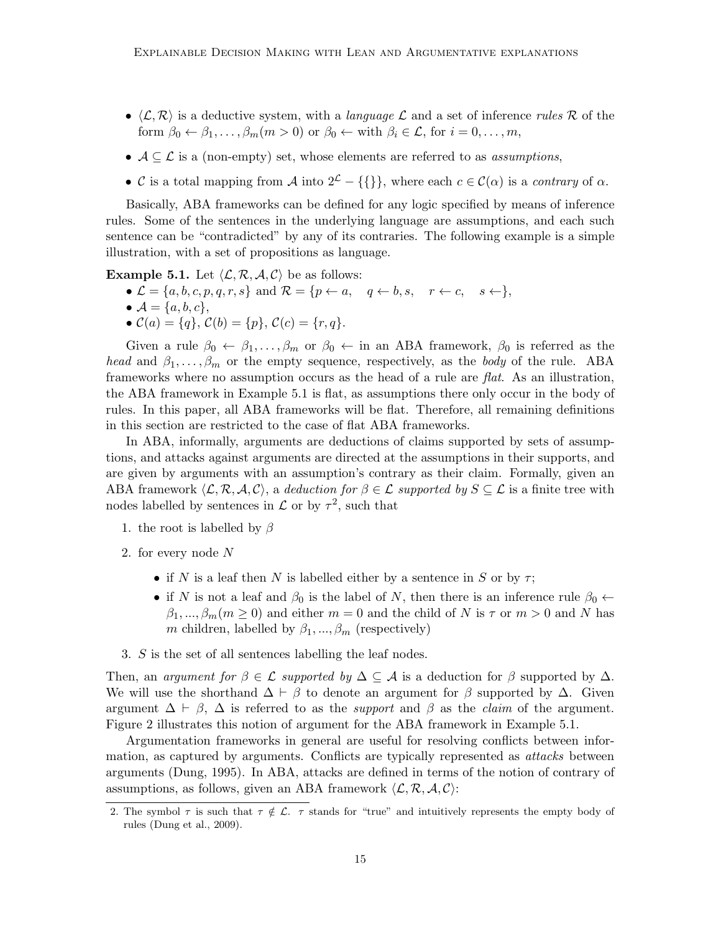- $\langle \mathcal{L}, \mathcal{R} \rangle$  is a deductive system, with a *language*  $\mathcal{L}$  and a set of inference *rules*  $\mathcal{R}$  of the form  $\beta_0 \leftarrow \beta_1, \ldots, \beta_m (m > 0)$  or  $\beta_0 \leftarrow$  with  $\beta_i \in \mathcal{L}$ , for  $i = 0, \ldots, m$ ,
- $A \subseteq \mathcal{L}$  is a (non-empty) set, whose elements are referred to as *assumptions*,
- C is a total mapping from A into  $2^{\mathcal{L}} {\{\}\}$ , where each  $c \in \mathcal{C}(\alpha)$  is a contrary of  $\alpha$ .

Basically, ABA frameworks can be defined for any logic specified by means of inference rules. Some of the sentences in the underlying language are assumptions, and each such sentence can be "contradicted" by any of its contraries. The following example is a simple illustration, with a set of propositions as language.

**Example 5.1.** Let  $\langle \mathcal{L}, \mathcal{R}, \mathcal{A}, \mathcal{C} \rangle$  be as follows:

- $\bullet \mathcal{L} = \{a, b, c, p, q, r, s\}$  and  $\mathcal{R} = \{p \leftarrow a, q \leftarrow b, s, r \leftarrow c, s \leftarrow \},\$
- $\mathcal{A} = \{a, b, c\},\,$
- $C(a) = \{q\}, C(b) = \{p\}, C(c) = \{r, q\}.$

Given a rule  $\beta_0 \leftarrow \beta_1, \ldots, \beta_m$  or  $\beta_0 \leftarrow \text{in}$  an ABA framework,  $\beta_0$  is referred as the head and  $\beta_1, \ldots, \beta_m$  or the empty sequence, respectively, as the body of the rule. ABA frameworks where no assumption occurs as the head of a rule are  $flat$ . As an illustration, the ABA framework in Example 5.1 is flat, as assumptions there only occur in the body of rules. In this paper, all ABA frameworks will be flat. Therefore, all remaining definitions in this section are restricted to the case of flat ABA frameworks.

In ABA, informally, arguments are deductions of claims supported by sets of assumptions, and attacks against arguments are directed at the assumptions in their supports, and are given by arguments with an assumption's contrary as their claim. Formally, given an ABA framework  $\langle \mathcal{L}, \mathcal{R}, \mathcal{A}, \mathcal{C} \rangle$ , a deduction for  $\beta \in \mathcal{L}$  supported by  $S \subseteq \mathcal{L}$  is a finite tree with nodes labelled by sentences in  $\mathcal L$  or by  $\tau^2$ , such that

- 1. the root is labelled by  $\beta$
- 2. for every node N
	- if N is a leaf then N is labelled either by a sentence in S or by  $\tau$ ;
	- if N is not a leaf and  $\beta_0$  is the label of N, then there is an inference rule  $\beta_0 \leftarrow$  $\beta_1, ..., \beta_m (m \geq 0)$  and either  $m = 0$  and the child of N is  $\tau$  or  $m > 0$  and N has m children, labelled by  $\beta_1, ..., \beta_m$  (respectively)
- 3. S is the set of all sentences labelling the leaf nodes.

Then, an argument for  $\beta \in \mathcal{L}$  supported by  $\Delta \subseteq \mathcal{A}$  is a deduction for  $\beta$  supported by  $\Delta$ . We will use the shorthand  $\Delta \vdash \beta$  to denote an argument for  $\beta$  supported by  $\Delta$ . Given argument  $\Delta \vdash \beta$ ,  $\Delta$  is referred to as the *support* and  $\beta$  as the *claim* of the argument. Figure 2 illustrates this notion of argument for the ABA framework in Example 5.1.

Argumentation frameworks in general are useful for resolving conflicts between information, as captured by arguments. Conflicts are typically represented as *attacks* between arguments (Dung, 1995). In ABA, attacks are defined in terms of the notion of contrary of assumptions, as follows, given an ABA framework  $\langle \mathcal{L}, \mathcal{R}, \mathcal{A}, \mathcal{C} \rangle$ :

<sup>2.</sup> The symbol  $\tau$  is such that  $\tau \notin \mathcal{L}$ .  $\tau$  stands for "true" and intuitively represents the empty body of rules (Dung et al., 2009).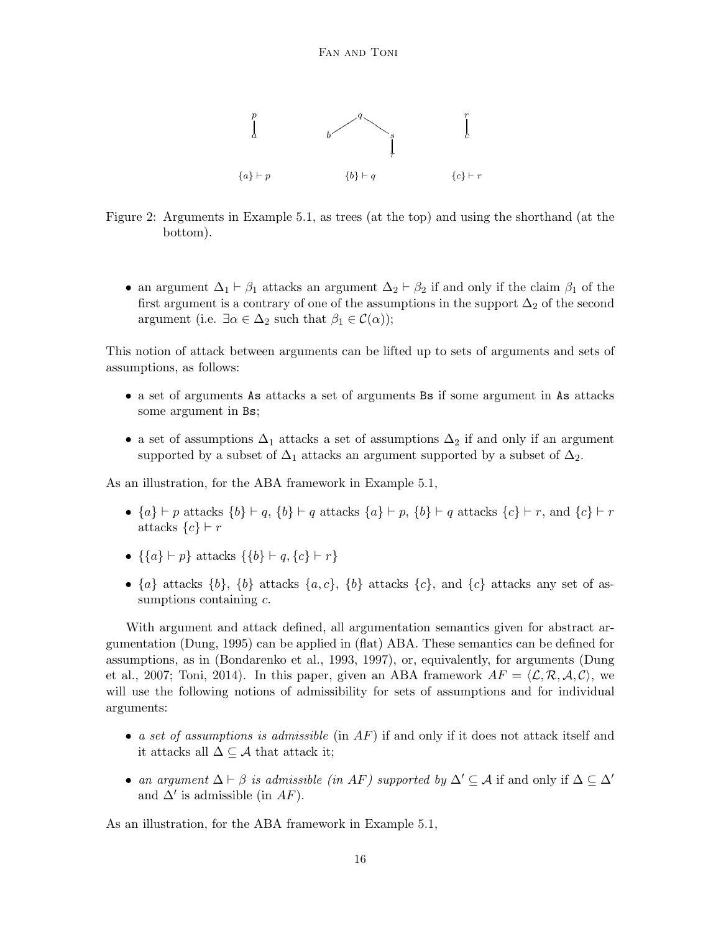

Figure 2: Arguments in Example 5.1, as trees (at the top) and using the shorthand (at the bottom).

• an argument  $\Delta_1 \vdash \beta_1$  attacks an argument  $\Delta_2 \vdash \beta_2$  if and only if the claim  $\beta_1$  of the first argument is a contrary of one of the assumptions in the support  $\Delta_2$  of the second argument (i.e.  $\exists \alpha \in \Delta_2$  such that  $\beta_1 \in \mathcal{C}(\alpha)$ );

This notion of attack between arguments can be lifted up to sets of arguments and sets of assumptions, as follows:

- a set of arguments As attacks a set of arguments Bs if some argument in As attacks some argument in Bs;
- a set of assumptions  $\Delta_1$  attacks a set of assumptions  $\Delta_2$  if and only if an argument supported by a subset of  $\Delta_1$  attacks an argument supported by a subset of  $\Delta_2$ .

As an illustration, for the ABA framework in Example 5.1,

- ${a} \vdash p$  attacks  ${b} \vdash q$ ,  ${b} \vdash q$  attacks  ${a} \vdash p$ ,  ${b} \vdash q$  attacks  ${c} \vdash r$ , and  ${c} \vdash r$ attacks  $\{c\} \vdash r$
- {{ $a$ } ⊢  $p$ } attacks {{ $b$ } ⊢  $q$ , { $c$ } ⊢  $r$ }
- $\{a\}$  attacks  $\{b\}$ ,  $\{b\}$  attacks  $\{a, c\}$ ,  $\{b\}$  attacks  $\{c\}$ , and  $\{c\}$  attacks any set of assumptions containing c.

With argument and attack defined, all argumentation semantics given for abstract argumentation (Dung, 1995) can be applied in (flat) ABA. These semantics can be defined for assumptions, as in (Bondarenko et al., 1993, 1997), or, equivalently, for arguments (Dung et al., 2007; Toni, 2014). In this paper, given an ABA framework  $AF = \langle \mathcal{L}, \mathcal{R}, \mathcal{A}, \mathcal{C} \rangle$ , we will use the following notions of admissibility for sets of assumptions and for individual arguments:

- a set of assumptions is admissible (in  $AF$ ) if and only if it does not attack itself and it attacks all  $\Delta \subseteq \mathcal{A}$  that attack it;
- an argument  $\Delta \vdash \beta$  is admissible (in AF) supported by  $\Delta' \subseteq A$  if and only if  $\Delta \subseteq \Delta'$ and  $\Delta'$  is admissible (in  $AF$ ).

As an illustration, for the ABA framework in Example 5.1,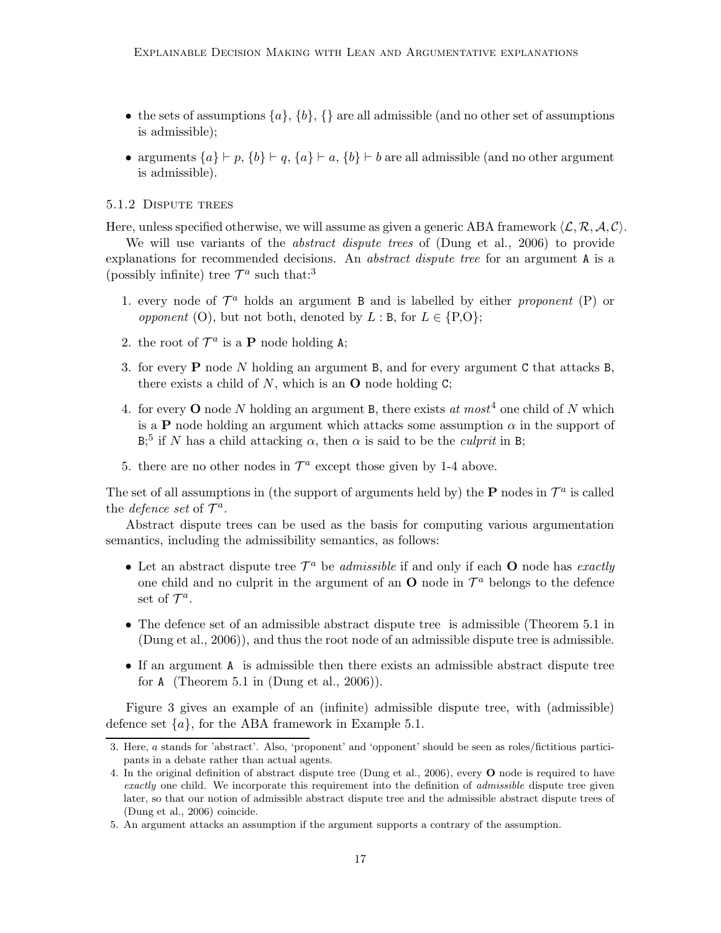- the sets of assumptions  $\{a\}, \{b\}, \{\}$  are all admissible (and no other set of assumptions is admissible);
- arguments  $\{a\} \vdash p$ ,  $\{b\} \vdash q$ ,  $\{a\} \vdash a$ ,  $\{b\} \vdash b$  are all admissible (and no other argument is admissible).

## 5.1.2 Dispute trees

Here, unless specified otherwise, we will assume as given a generic ABA framework  $\langle \mathcal{L}, \mathcal{R}, \mathcal{A}, \mathcal{C} \rangle$ .

We will use variants of the *abstract dispute trees* of (Dung et al., 2006) to provide explanations for recommended decisions. An *abstract dispute tree* for an argument A is a (possibly infinite) tree  $\mathcal{T}^a$  such that:<sup>3</sup>

- 1. every node of  $\mathcal{T}^a$  holds an argument B and is labelled by either proponent (P) or *opponent* (O), but not both, denoted by  $L : B$ , for  $L \in \{P, O\}$ ;
- 2. the root of  $\mathcal{T}^a$  is a **P** node holding A;
- 3. for every P node N holding an argument B, and for every argument C that attacks B, there exists a child of  $N$ , which is an  $O$  node holding  $C$ ;
- 4. for every **O** node N holding an argument B, there exists at most<sup>4</sup> one child of N which is a **P** node holding an argument which attacks some assumption  $\alpha$  in the support of  $B$ <sup>5</sup>; if N has a child attacking  $\alpha$ , then  $\alpha$  is said to be the *culprit* in B;
- 5. there are no other nodes in  $\mathcal{T}^a$  except those given by 1-4 above.

The set of all assumptions in (the support of arguments held by) the **P** nodes in  $\mathcal{T}^a$  is called the *defence* set of  $\mathcal{T}^a$ .

Abstract dispute trees can be used as the basis for computing various argumentation semantics, including the admissibility semantics, as follows:

- Let an abstract dispute tree  $\mathcal{T}^a$  be *admissible* if and only if each **O** node has *exactly* one child and no culprit in the argument of an  $O$  node in  $\mathcal{T}^a$  belongs to the defence set of  $\mathcal{T}^a$ .
- The defence set of an admissible abstract dispute tree is admissible (Theorem 5.1 in (Dung et al., 2006)), and thus the root node of an admissible dispute tree is admissible.
- If an argument A is admissible then there exists an admissible abstract dispute tree for  $A$  (Theorem 5.1 in (Dung et al., 2006)).

Figure 3 gives an example of an (infinite) admissible dispute tree, with (admissible) defence set  $\{a\}$ , for the ABA framework in Example 5.1.

<sup>3.</sup> Here, a stands for 'abstract'. Also, 'proponent' and 'opponent' should be seen as roles/fictitious participants in a debate rather than actual agents.

<sup>4.</sup> In the original definition of abstract dispute tree (Dung et al., 2006), every O node is required to have exactly one child. We incorporate this requirement into the definition of admissible dispute tree given later, so that our notion of admissible abstract dispute tree and the admissible abstract dispute trees of (Dung et al., 2006) coincide.

<sup>5.</sup> An argument attacks an assumption if the argument supports a contrary of the assumption.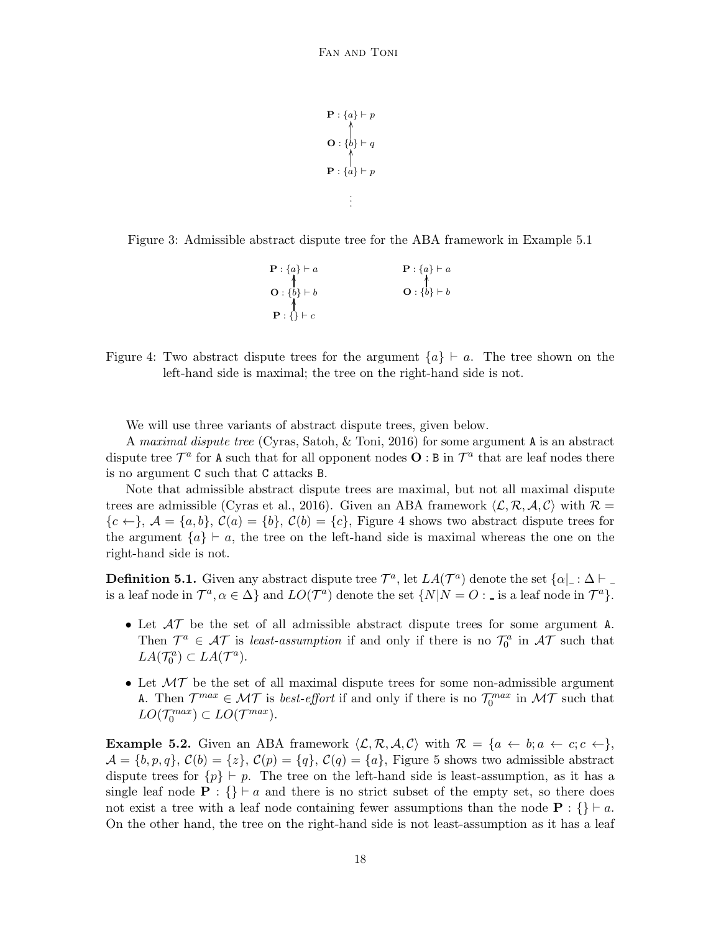```
\mathbf{P}: \{a\} \vdash p
           ı<br>İ
\mathbf{P}: \{a\} \vdash p(<br>l
          .
          .
          .
```
Figure 3: Admissible abstract dispute tree for the ABA framework in Example 5.1

| $\mathbf{P}: \{a\} \vdash a$ | $\mathbf{P}: \{a\} \vdash a$ |
|------------------------------|------------------------------|
| $O: \{b\} \vdash b$          | $O: \{b\} \vdash b$          |
|                              |                              |
| $\mathbf{P}$ : {} $\vdash$ c |                              |

Figure 4: Two abstract dispute trees for the argument  ${a \in \mathbb{R}^n$ . The tree shown on the left-hand side is maximal; the tree on the right-hand side is not.

We will use three variants of abstract dispute trees, given below.

A maximal dispute tree (Cyras, Satoh, & Toni, 2016) for some argument A is an abstract dispute tree  $\mathcal{T}^a$  for A such that for all opponent nodes  $\mathbf{O} : B$  in  $\mathcal{T}^a$  that are leaf nodes there is no argument C such that C attacks B.

Note that admissible abstract dispute trees are maximal, but not all maximal dispute trees are admissible (Cyras et al., 2016). Given an ABA framework  $\langle \mathcal{L}, \mathcal{R}, \mathcal{A}, \mathcal{C} \rangle$  with  $\mathcal{R} =$  ${c \leftarrow}, \ A = {a, b}, \ C(a) = {b}, \ C(b) = {c}, \$  Figure 4 shows two abstract dispute trees for the argument  ${a} \in A$ , the tree on the left-hand side is maximal whereas the one on the right-hand side is not.

**Definition 5.1.** Given any abstract dispute tree  $\mathcal{T}^a$ , let  $LA(\mathcal{T}^a)$  denote the set  $\{\alpha \mid \alpha \in \Delta \}$ is a leaf node in  $\mathcal{T}^a$ ,  $\alpha \in \Delta$  and  $LO(\mathcal{T}^a)$  denote the set  $\{N|N=O: \Delta\}$  is a leaf node in  $\mathcal{T}^a$ .

- Let  $\mathcal{AT}$  be the set of all admissible abstract dispute trees for some argument A. Then  $\mathcal{T}^a \in \mathcal{AT}$  is least-assumption if and only if there is no  $\mathcal{T}_0^a$  in  $\mathcal{AT}$  such that  $LA(\mathcal{T}_0^a) \subset LA(\mathcal{T}^a).$
- Let  $MT$  be the set of all maximal dispute trees for some non-admissible argument A. Then  $\mathcal{T}^{max} \in \mathcal{MT}$  is *best-effort* if and only if there is no  $\mathcal{T}_0^{max}$  in  $\mathcal{MT}$  such that  $LO(\mathcal{T}_0^{max}) \subset LO(\mathcal{T}^{max}).$

**Example 5.2.** Given an ABA framework  $\langle \mathcal{L}, \mathcal{R}, \mathcal{A}, \mathcal{C} \rangle$  with  $\mathcal{R} = \{a \leftarrow b; a \leftarrow c; c \leftarrow \},\$  $\mathcal{A} = \{b, p, q\}, \mathcal{C}(b) = \{z\}, \mathcal{C}(p) = \{q\}, \mathcal{C}(q) = \{a\},$  Figure 5 shows two admissible abstract dispute trees for  $\{p\} \vdash p$ . The tree on the left-hand side is least-assumption, as it has a single leaf node  $\mathbf{P}$  : {}  $\vdash a$  and there is no strict subset of the empty set, so there does not exist a tree with a leaf node containing fewer assumptions than the node  $\mathbf{P}$  : {} ⊢ a. On the other hand, the tree on the right-hand side is not least-assumption as it has a leaf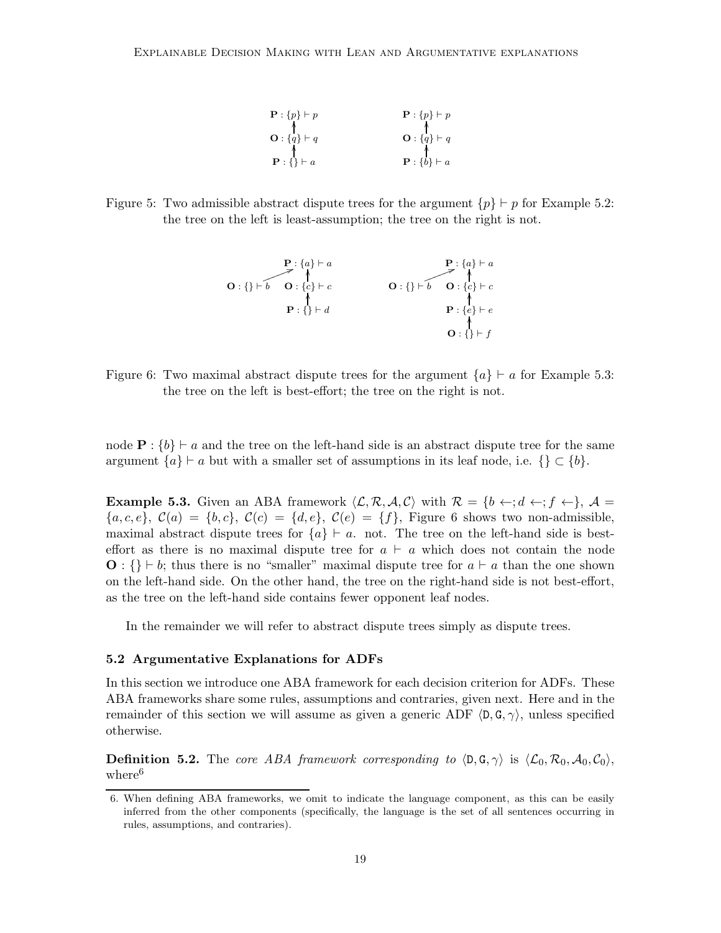| $\mathbf{P}$ : $\{p\} \vdash p$ | $\mathbf{P}: \{p\} \vdash p$ |
|---------------------------------|------------------------------|
| $\mathbf{O}: \{q\} \vdash q$    | $\mathbf{O}: \{q\} \vdash q$ |
| $\mathbf{P}: \{\} \vdash a$     | $\mathbf{P}: \{b\} \vdash a$ |

Figure 5: Two admissible abstract dispute trees for the argument  $\{p\} \vdash p$  for Example 5.2: the tree on the left is least-assumption; the tree on the right is not.

P : {a} ⊢ a P : {a} ⊢ a O : {} ⊢ b ❧5 ❧❧ ❧❧ ❧ O : {c} ⊢ c OO O : {} ⊢ b ❧5 ❧❧ ❧❧ ❧ O : {c} ⊢ c OO P : {} ⊢ d OO P : {e} ⊢ e OO O : {} ⊢ f OO

Figure 6: Two maximal abstract dispute trees for the argument  ${a}$  ⊢ a for Example 5.3: the tree on the left is best-effort; the tree on the right is not.

node  $\mathbf{P}$  :  $\{b\} \vdash a$  and the tree on the left-hand side is an abstract dispute tree for the same argument  $\{a\} \vdash a$  but with a smaller set of assumptions in its leaf node, i.e.  $\{\} \subset \{b\}$ .

**Example 5.3.** Given an ABA framework  $\langle \mathcal{L}, \mathcal{R}, \mathcal{A}, \mathcal{C} \rangle$  with  $\mathcal{R} = \{b \leftarrow; d \leftarrow; f \leftarrow\}, \mathcal{A} =$  ${a, c, e}$ ,  $C(a) = {b, c}$ ,  $C(c) = {d, e}$ ,  $C(e) = {f}$ , Figure 6 shows two non-admissible, maximal abstract dispute trees for  ${a} \vdash a$ . not. The tree on the left-hand side is besteffort as there is no maximal dispute tree for  $a \vdash a$  which does not contain the node  $\mathbf{O}: \{\} \vdash b$ ; thus there is no "smaller" maximal dispute tree for  $a \vdash a$  than the one shown on the left-hand side. On the other hand, the tree on the right-hand side is not best-effort, as the tree on the left-hand side contains fewer opponent leaf nodes.

In the remainder we will refer to abstract dispute trees simply as dispute trees.

## 5.2 Argumentative Explanations for ADFs

In this section we introduce one ABA framework for each decision criterion for ADFs. These ABA frameworks share some rules, assumptions and contraries, given next. Here and in the remainder of this section we will assume as given a generic ADF  $\langle D, G, \gamma \rangle$ , unless specified otherwise.

**Definition 5.2.** The core ABA framework corresponding to  $\langle \mathbf{D}, \mathbf{G}, \gamma \rangle$  is  $\langle \mathcal{L}_0, \mathcal{R}_0, \mathcal{A}_0, \mathcal{C}_0 \rangle$ , where<sup>6</sup>

<sup>6.</sup> When defining ABA frameworks, we omit to indicate the language component, as this can be easily inferred from the other components (specifically, the language is the set of all sentences occurring in rules, assumptions, and contraries).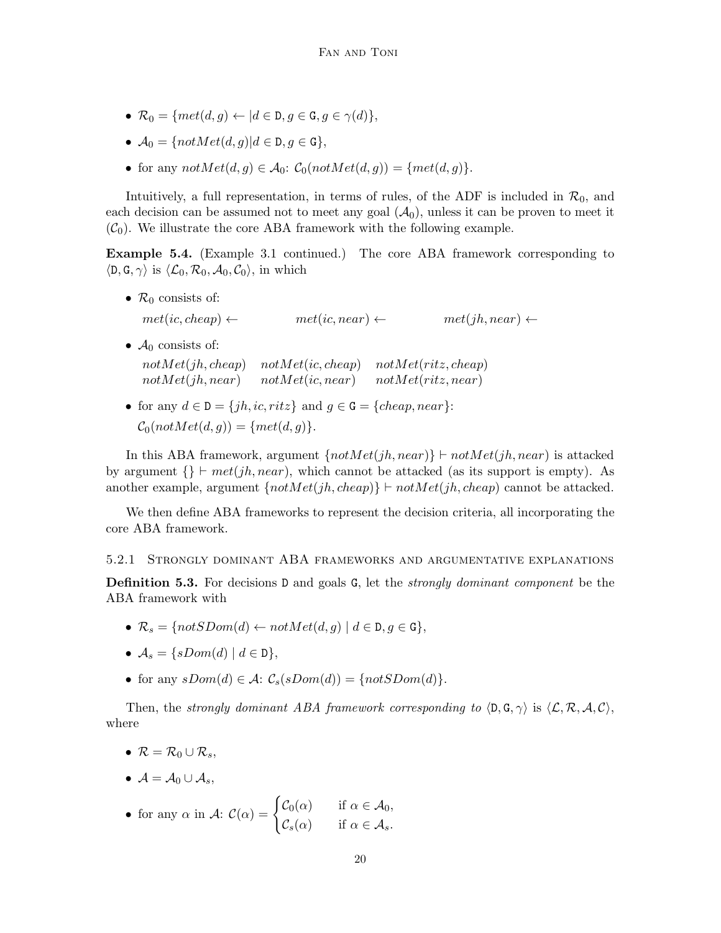- $\mathcal{R}_0 = \{ met(d, g) \leftarrow | d \in \mathcal{D}, g \in \mathcal{G}, g \in \gamma(d) \},\$
- $\mathcal{A}_0 = \{ notMet(d, q) | d \in \mathsf{D}, q \in \mathsf{G} \},\$
- for any  $notMet(d, g) \in \mathcal{A}_0$ :  $\mathcal{C}_0(notMet(d, g)) = \{met(d, g)\}.$

Intuitively, a full representation, in terms of rules, of the ADF is included in  $\mathcal{R}_0$ , and each decision can be assumed not to meet any goal  $(\mathcal{A}_0)$ , unless it can be proven to meet it  $(\mathcal{C}_0)$ . We illustrate the core ABA framework with the following example.

Example 5.4. (Example 3.1 continued.) The core ABA framework corresponding to  $\langle D, G, \gamma \rangle$  is  $\langle \mathcal{L}_0, \mathcal{R}_0, \mathcal{A}_0, \mathcal{C}_0 \rangle$ , in which

- $\mathcal{R}_0$  consists of:  $met(ic, cheap) \leftarrow$   $met(ic, near) \leftarrow$   $met(jh, near) \leftarrow$ •  $A_0$  consists of:
- $notMet(jh, cheap)$   $notMet(ic, cheap)$   $not Met(ritz, cheap)$  $notMet(jh, near)$  not $Met(ic, near)$  not $Met(ritz, near)$
- for any  $d \in \mathbb{D} = \{jh, ic, ritz\}$  and  $g \in \mathbb{G} = \{cheap, near\}$ :  $\mathcal{C}_0(notMet(d, g)) = \{met(d, g)\}.$

In this ABA framework, argument  $\{notMet(jh, near)\}\vdash notMet(jh, near)$  is attacked by argument  $\{\}\vdash met(jh, near)$ , which cannot be attacked (as its support is empty). As another example, argument  $\{notMet(jh, cheap)\}\vdash notMet(jh, cheap)$  cannot be attacked.

We then define ABA frameworks to represent the decision criteria, all incorporating the core ABA framework.

5.2.1 Strongly dominant ABA frameworks and argumentative explanations

**Definition 5.3.** For decisions  $D$  and goals  $G$ , let the *strongly dominant component* be the ABA framework with

- $\mathcal{R}_s = \{notSDom(d) \leftarrow notMet(d, g) \mid d \in \mathcal{D}, g \in \mathcal{G}\},\$
- $A_s = \{sDom(d) \mid d \in D\},\$
- for any  $sDom(d) \in \mathcal{A}$ :  $\mathcal{C}_s(sDom(d)) = \{notSDom(d)\}.$

Then, the strongly dominant ABA framework corresponding to  $\langle D, G, \gamma \rangle$  is  $\langle \mathcal{L}, \mathcal{R}, \mathcal{A}, \mathcal{C} \rangle$ , where

- $\mathcal{R} = \mathcal{R}_0 \cup \mathcal{R}_s$
- $A = A_0 \cup A_s$

• for any 
$$
\alpha
$$
 in  $\mathcal{A}$ :  $\mathcal{C}(\alpha) = \begin{cases} \mathcal{C}_0(\alpha) & \text{if } \alpha \in \mathcal{A}_0, \\ \mathcal{C}_s(\alpha) & \text{if } \alpha \in \mathcal{A}_s. \end{cases}$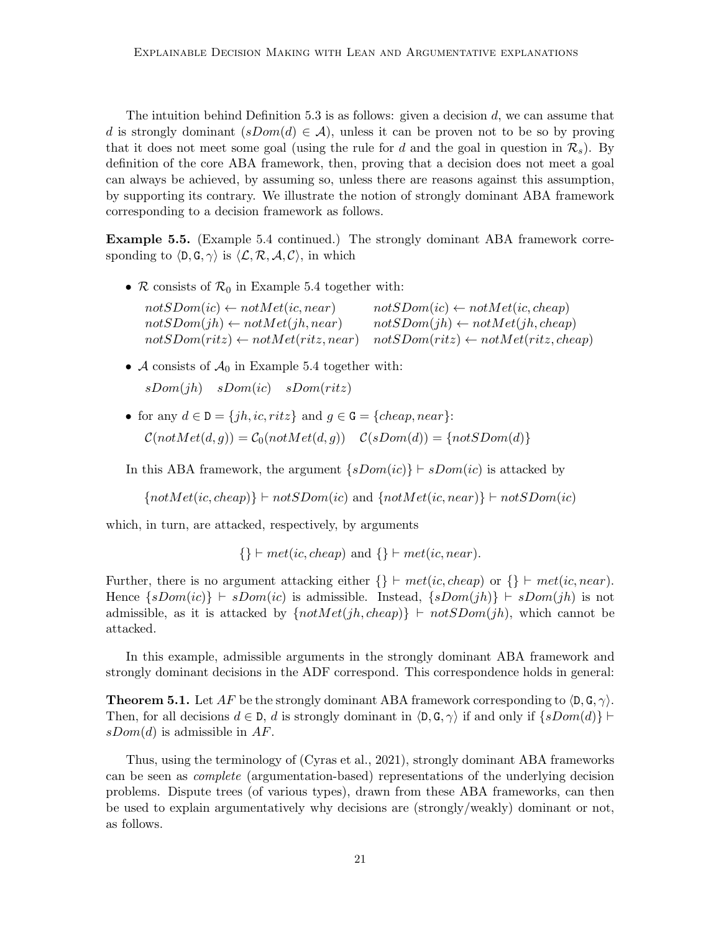The intuition behind Definition 5.3 is as follows: given a decision  $d$ , we can assume that d is strongly dominant  $(sDom(d) \in \mathcal{A})$ , unless it can be proven not to be so by proving that it does not meet some goal (using the rule for d and the goal in question in  $\mathcal{R}_s$ ). By definition of the core ABA framework, then, proving that a decision does not meet a goal can always be achieved, by assuming so, unless there are reasons against this assumption, by supporting its contrary. We illustrate the notion of strongly dominant ABA framework corresponding to a decision framework as follows.

Example 5.5. (Example 5.4 continued.) The strongly dominant ABA framework corresponding to  $\langle \mathsf{D}, \mathsf{G}, \gamma \rangle$  is  $\langle \mathcal{L}, \mathcal{R}, \mathcal{A}, \mathcal{C} \rangle$ , in which

•  $\mathcal R$  consists of  $\mathcal R_0$  in Example 5.4 together with:

| $notSDom(ic) \leftarrow notMet(ic, near)$     | $notSDom(ic) \leftarrow notMet(ic, cheap)$     |
|-----------------------------------------------|------------------------------------------------|
| $notSDom(jh) \leftarrow notMet(jh, near)$     | $notSDom(jh) \leftarrow notMet(jh, cheap)$     |
| $notSDom(ritz) \leftarrow notMet(ritz, near)$ | $notSDom(ritz) \leftarrow notMet(ritz, cheap)$ |

• A consists of  $\mathcal{A}_0$  in Example 5.4 together with:

 $sDom(ih)$   $sDom(ic)$   $sDom(ritz)$ 

• for any  $d \in \mathcal{D} = \{jh, ic, ritz\}$  and  $q \in \mathcal{G} = \{cheap, near\}$ :  $\mathcal{C}(notMet(d, g)) = \mathcal{C}_0(notMet(d, g))$   $\mathcal{C}(sDom(d)) = \{notSDom(d)\}$ 

In this ABA framework, the argument  $\{sDom(ic) \} \vdash sDom(ic)$  is attacked by

 $\{notMet(ic, cheap)\} \vdash notSDom(ic) \text{ and } \{notMet(ic, near)\} \vdash notSDom(ic)$ 

which, in turn, are attacked, respectively, by arguments

 $\{\}\vdash met(ic, cheap)$  and  $\{\}\vdash met(ic, near)$ .

Further, there is no argument attacking either  $\{\}\vdash met(ic, cheap)$  or  $\{\}\vdash met(ic, near)$ . Hence  $\{sDom(i) \mid sDom(i) \text{ is admissible. Instead, } \{sDom(j) \mid sDom(j) \text{ is not } sDom(j) \}$ admissible, as it is attacked by  $\{notMet(jh, cheap)\}\vdash notSDom(jh)$ , which cannot be attacked.

In this example, admissible arguments in the strongly dominant ABA framework and strongly dominant decisions in the ADF correspond. This correspondence holds in general:

**Theorem 5.1.** Let AF be the strongly dominant ABA framework corresponding to  $\langle \mathbf{D}, \mathbf{G}, \gamma \rangle$ . Then, for all decisions  $d \in \mathcal{D}$ , d is strongly dominant in  $\langle \mathcal{D}, \mathcal{G}, \gamma \rangle$  if and only if  $\{sDom(d)\}$  ⊢  $sDom(d)$  is admissible in AF.

Thus, using the terminology of (Cyras et al., 2021), strongly dominant ABA frameworks can be seen as complete (argumentation-based) representations of the underlying decision problems. Dispute trees (of various types), drawn from these ABA frameworks, can then be used to explain argumentatively why decisions are (strongly/weakly) dominant or not, as follows.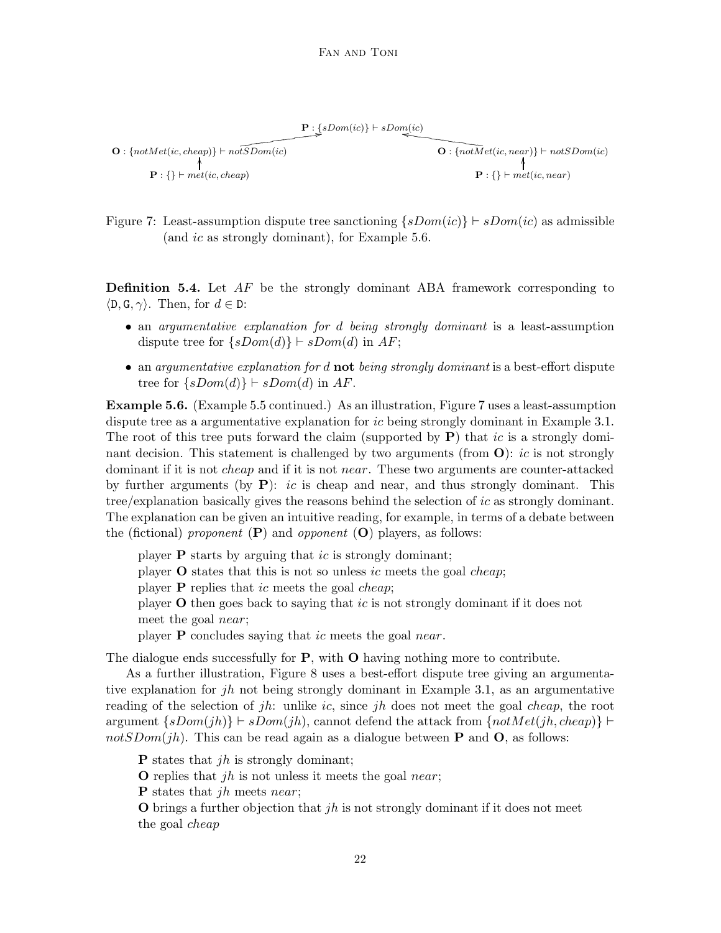$P: \{\text{sDom}(ic)\}\vdash sDom(ic)$  $\mathbf{O}: \{notMet(ic, cheap)\} \vdash not \widetilde{SDom(ic)}$ ❞❞❞❞  $\Omega: \{notMet(ic, near)\} \vdash notSDom(ic)$  $\mathbf{P}: \{\} \vdash met(ic, cheap)$ ,  $\mathbf{P} \cdot \{\} \vdash met(ic, near)$ ı<br>İ

Figure 7: Least-assumption dispute tree sanctioning  $\{sDom(ic)\}\vdash sDom(ic)$  as admissible (and *ic* as strongly dominant), for Example 5.6.

**Definition 5.4.** Let  $AF$  be the strongly dominant ABA framework corresponding to  $\langle \mathsf{D}, \mathsf{G}, \gamma \rangle$ . Then, for  $d \in \mathsf{D}$ :

- an *argumentative explanation for d being strongly dominant* is a least-assumption dispute tree for  $\{sDom(d)\}\vdash sDom(d)$  in AF;
- an argumentative explanation for  $d$  not being strongly dominant is a best-effort dispute tree for  $\{sDom(d)\}\vdash sDom(d)$  in AF.

Example 5.6. (Example 5.5 continued.) As an illustration, Figure 7 uses a least-assumption dispute tree as a argumentative explanation for ic being strongly dominant in Example 3.1. The root of this tree puts forward the claim (supported by  $P$ ) that ic is a strongly dominant decision. This statement is challenged by two arguments (from  $\mathbf{O}$ ): *ic* is not strongly dominant if it is not *cheap* and if it is not *near*. These two arguments are counter-attacked by further arguments (by  $P$ ): *ic* is cheap and near, and thus strongly dominant. This tree/explanation basically gives the reasons behind the selection of ic as strongly dominant. The explanation can be given an intuitive reading, for example, in terms of a debate between the (fictional) proponent  $(P)$  and opponent  $(O)$  players, as follows:

player **P** starts by arguing that *ic* is strongly dominant; player  $\bf{O}$  states that this is not so unless *ic* meets the goal *cheap*; player **P** replies that ic meets the goal *cheap*; player O then goes back to saying that ic is not strongly dominant if it does not meet the goal near; player  $P$  concludes saying that *ic* meets the goal *near*.

The dialogue ends successfully for  $P$ , with  $O$  having nothing more to contribute.

As a further illustration, Figure 8 uses a best-effort dispute tree giving an argumentative explanation for jh not being strongly dominant in Example 3.1, as an argumentative reading of the selection of jh: unlike ic, since jh does not meet the goal cheap, the root argument  $\{sDom(jh)\}\vdash sDom(jh)$ , cannot defend the attack from  $\{notMet(jh, cheap)\}\vdash$  $notSDom(jh)$ . This can be read again as a dialogue between **P** and **O**, as follows:

**P** states that *ih* is strongly dominant;

**O** replies that *jh* is not unless it meets the goal *near*;

**P** states that *ih* meets *near*;

**O** brings a further objection that *jh* is not strongly dominant if it does not meet the goal cheap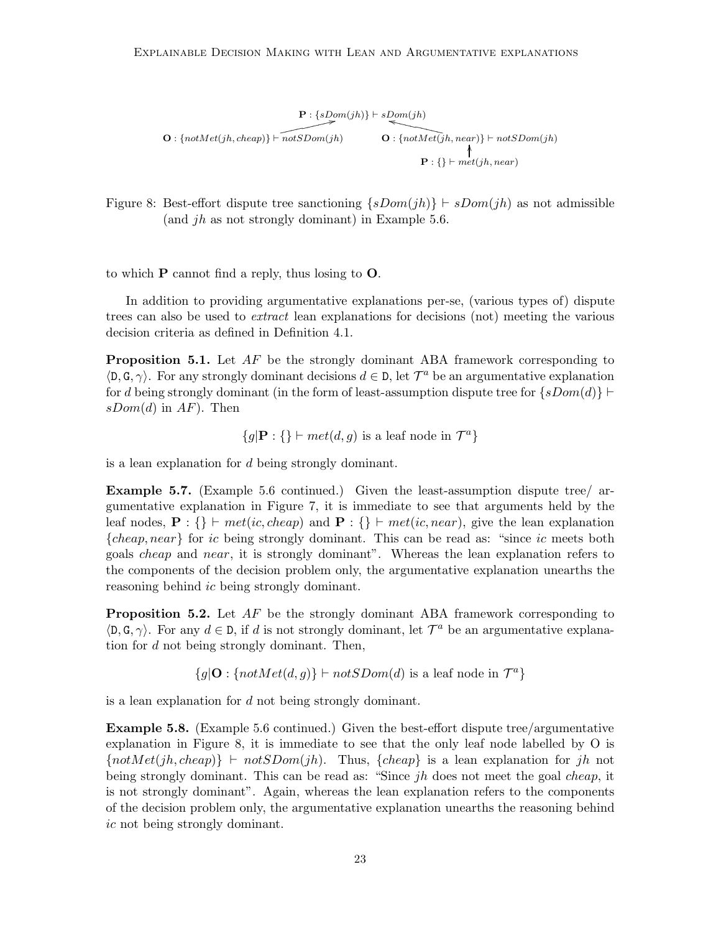$$
\mathbf{O}: \{notMet(jh, cheap)\} \vdash \overbrace{notSDom(jh)} \qquad \qquad \mathbf{O}: \{notMet(jh, near)\} \vdash notSDom(jh) \\ \mathbf{O}: \{notMet(jh, near)\} \vdash notSDom(jh) \\ \mathbf{P}: \{\} \vdash met(jh, near)
$$

Figure 8: Best-effort dispute tree sanctioning  $\{sDom(jh)\}\vdash sDom(jh)$  as not admissible (and  $jh$  as not strongly dominant) in Example 5.6.

to which  $P$  cannot find a reply, thus losing to  $Q$ .

In addition to providing argumentative explanations per-se, (various types of) dispute trees can also be used to extract lean explanations for decisions (not) meeting the various decision criteria as defined in Definition 4.1.

**Proposition 5.1.** Let  $AF$  be the strongly dominant ABA framework corresponding to  $\langle D, G, \gamma \rangle$ . For any strongly dominant decisions  $d \in D$ , let  $\mathcal{T}^a$  be an argumentative explanation for d being strongly dominant (in the form of least-assumption dispute tree for  $\{sDom(d)\}\vdash$  $sDom(d)$  in  $AF$ ). Then

$$
\{g | \mathbf{P} : \{\} \vdash met(d, g) \text{ is a leaf node in } \mathcal{T}^a \}
$$

is a lean explanation for d being strongly dominant.

Example 5.7. (Example 5.6 continued.) Given the least-assumption dispute tree/ argumentative explanation in Figure 7, it is immediate to see that arguments held by the leaf nodes,  $\mathbf{P}$  : {} ⊢ met(ic, cheap) and  $\mathbf{P}$  : {} ⊢ met(ic, near), give the lean explanation {cheap, near} for ic being strongly dominant. This can be read as: "since ic meets both goals cheap and near, it is strongly dominant". Whereas the lean explanation refers to the components of the decision problem only, the argumentative explanation unearths the reasoning behind *ic* being strongly dominant.

**Proposition 5.2.** Let  $AF$  be the strongly dominant ABA framework corresponding to  $\langle \mathsf{D}, \mathsf{G}, \gamma \rangle$ . For any  $d \in \mathsf{D}$ , if d is not strongly dominant, let  $\mathcal{T}^a$  be an argumentative explanation for d not being strongly dominant. Then,

 ${g|\mathbf{O}: \{notMet(d, g)\}\vdash notSDom(d) \text{ is a leaf node in } \mathcal{T}^a\}}$ 

is a lean explanation for d not being strongly dominant.

Example 5.8. (Example 5.6 continued.) Given the best-effort dispute tree/argumentative explanation in Figure 8, it is immediate to see that the only leaf node labelled by O is  $\{notMet(jh, cheap)\}\vdash notSDom(jh).$  Thus,  $\{cheap\}$  is a lean explanation for jh not being strongly dominant. This can be read as: "Since  $jh$  does not meet the goal *cheap*, it is not strongly dominant". Again, whereas the lean explanation refers to the components of the decision problem only, the argumentative explanation unearths the reasoning behind ic not being strongly dominant.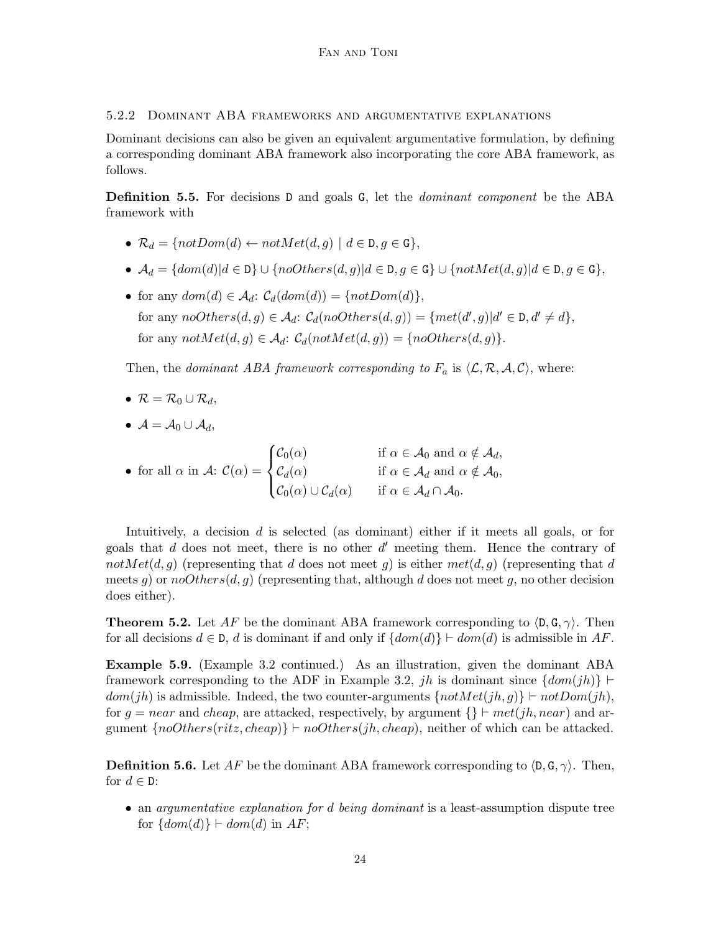5.2.2 Dominant ABA frameworks and argumentative explanations

Dominant decisions can also be given an equivalent argumentative formulation, by defining a corresponding dominant ABA framework also incorporating the core ABA framework, as follows.

Definition 5.5. For decisions D and goals G, let the *dominant component* be the ABA framework with

- $\mathcal{R}_d = \{notDom(d) \leftarrow notMet(d, g) \mid d \in \mathcal{D}, g \in \mathcal{G}\},\$
- $\mathcal{A}_d = \{dom(d) | d \in \mathbb{D}\} \cup \{noOthers(d, g) | d \in \mathbb{D}, g \in \mathbb{G}\} \cup \{notMet(d, g) | d \in \mathbb{D}, g \in \mathbb{G}\},\$
- for any  $dom(d) \in \mathcal{A}_d$ :  $\mathcal{C}_d(dom(d)) = \{notDom(d)\},\$ for any  $noOthers(d, g) \in \mathcal{A}_d$ :  $\mathcal{C}_d(noOthers(d, g)) = \{met(d', g) | d' \in \mathcal{D}, d' \neq d\},\$ for any  $notMet(d, q) \in \mathcal{A}_d$ :  $\mathcal{C}_d(notMet(d, q)) = \{noOthers(d, q)\}.$

Then, the *dominant ABA framework corresponding to*  $F_a$  is  $\langle \mathcal{L}, \mathcal{R}, \mathcal{A}, \mathcal{C} \rangle$ , where:

$$
\bullet \ \mathcal{R} = \mathcal{R}_0 \cup \mathcal{R}_d,
$$

•  $\mathcal{A} = \mathcal{A}_0 \cup \mathcal{A}_d$ 

• for all  $\alpha$  in  $\mathcal{A}$ :  $\mathcal{C}(\alpha)$  =  $\sqrt{ }$  $\int$  $\overline{\mathcal{L}}$  $\mathcal{C}_0(\alpha)$  if  $\alpha \in \mathcal{A}_0$  and  $\alpha \notin \mathcal{A}_d$ ,  $\mathcal{C}_d(\alpha)$  if  $\alpha \in \mathcal{A}_d$  and  $\alpha \notin \mathcal{A}_0$ ,  $\mathcal{C}_0(\alpha) \cup \mathcal{C}_d(\alpha)$  if  $\alpha \in \mathcal{A}_d \cap \mathcal{A}_0$ .

Intuitively, a decision d is selected (as dominant) either if it meets all goals, or for goals that  $d$  does not meet, there is no other  $d'$  meeting them. Hence the contrary of notMet(d, g) (representing that d does not meet g) is either  $met(d, g)$  (representing that d meets g) or  $noOthers(d, g)$  (representing that, although d does not meet g, no other decision does either).

**Theorem 5.2.** Let AF be the dominant ABA framework corresponding to  $\langle \mathbf{D}, \mathbf{G}, \gamma \rangle$ . Then for all decisions  $d \in \mathcal{D}$ , d is dominant if and only if  $\{dom(d)\}\vdash dom(d)$  is admissible in AF.

Example 5.9. (Example 3.2 continued.) As an illustration, given the dominant ABA framework corresponding to the ADF in Example 3.2, jh is dominant since  $\{dom(jh)\}\vdash$  $dom(jh)$  is admissible. Indeed, the two counter-arguments  $\{notMet(jh, g)\}\vdash notDom(jh),$ for  $g = near$  and cheap, are attacked, respectively, by argument  $\{\}\vdash met(jh, near)$  and argument  $\{noOthers(ritz, cheap)\}\vdash noOthers(jh, cheap)$ , neither of which can be attacked.

**Definition 5.6.** Let AF be the dominant ABA framework corresponding to  $\langle \mathsf{D}, \mathsf{G}, \gamma \rangle$ . Then, for  $d \in \mathbb{D}$ :

• an argumentative explanation for d being dominant is a least-assumption dispute tree for  $\{dom(d)\}\vdash dom(d)$  in AF;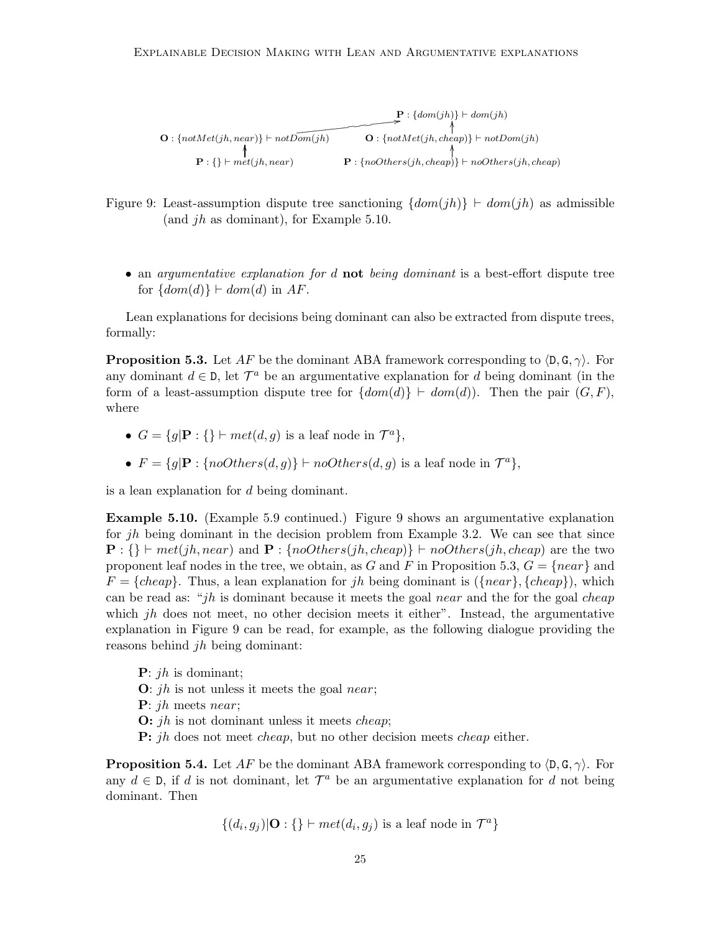$\mathbf{P}: \{dom(jh)\}\vdash dom(jh)$  $\mathbf{O}: \{notMet(jh, near)\} \vdash notDom(jh)$  $\overbrace{\text{dom}(jh)}^{\text{dom}(jh)}$   $\overbrace{\text{dom}(jh)}^{\text{dom}(jh)}$   $\overbrace{\text{dom}(jh)}^{\text{dom}(jh)}$   $\overbrace{\text{dom}(jh)}^{\text{dom}(jh)}$ l<br>I  $\mathbf{P}: \{\} \vdash met(jh, near)$   $\mathbf{P}: \{noOthers(jh, cheap)\} \vdash noOthers(jh, cheap)$ ،<br>ا .<br>ا

Figure 9: Least-assumption dispute tree sanctioning  $\{dom(jh)\}\vdash dom(jh)$  as admissible (and  $jh$  as dominant), for Example 5.10.

• an argumentative explanation for d not being dominant is a best-effort dispute tree for  $\{dom(d)\}\vdash dom(d)$  in AF.

Lean explanations for decisions being dominant can also be extracted from dispute trees, formally:

**Proposition 5.3.** Let AF be the dominant ABA framework corresponding to  $\langle \mathbf{D}, \mathbf{G}, \gamma \rangle$ . For any dominant  $d \in \mathbb{D}$ , let  $\mathcal{T}^a$  be an argumentative explanation for d being dominant (in the form of a least-assumption dispute tree for  $\{dom(d)\} \vdash dom(d)$ . Then the pair  $(G, F)$ , where

- $G = \{g | \mathbf{P} : \mathbf{\{\}} \vdash met(d, g) \text{ is a leaf node in } \mathcal{T}^a \},\$
- $F = \{g | \mathbf{P} : \{noOthers(d, g)\}\vdash noOthers(d, g) \text{ is a leaf node in } \mathcal{T}^a\},\$

is a lean explanation for d being dominant.

Example 5.10. (Example 5.9 continued.) Figure 9 shows an argumentative explanation for jh being dominant in the decision problem from Example 3.2. We can see that since  $\mathbf{P}: \{\} \vdash met(jh, near) \text{ and } \mathbf{P}: \{noOthers(jh, cheap)\} \vdash noOthers(jh, cheap) \text{ are the two }$ proponent leaf nodes in the tree, we obtain, as G and F in Proposition 5.3,  $G = \{near\}$  and  $F = \{cheap\}.$  Thus, a lean explanation for jh being dominant is  $(\{near\}, \{cheap\})$ , which can be read as: "jh is dominant because it meets the goal near and the for the goal cheap which  $jh$  does not meet, no other decision meets it either". Instead, the argumentative explanation in Figure 9 can be read, for example, as the following dialogue providing the reasons behind jh being dominant:

 $P: jh$  is dominant;

- $\mathbf{O}: jh$  is not unless it meets the goal near;
- P: jh meets near;
- **O:** *jh* is not dominant unless it meets *cheap*;
- **P:** *jh* does not meet *cheap*, but no other decision meets *cheap* either.

**Proposition 5.4.** Let AF be the dominant ABA framework corresponding to  $\langle \mathbf{D}, \mathbf{G}, \gamma \rangle$ . For any  $d \in \mathcal{D}$ , if d is not dominant, let  $\mathcal{T}^a$  be an argumentative explanation for d not being dominant. Then

$$
\{(d_i, g_j)|\mathbf{O} : \{\} \vdash met(d_i, g_j) \text{ is a leaf node in } \mathcal{T}^a\}
$$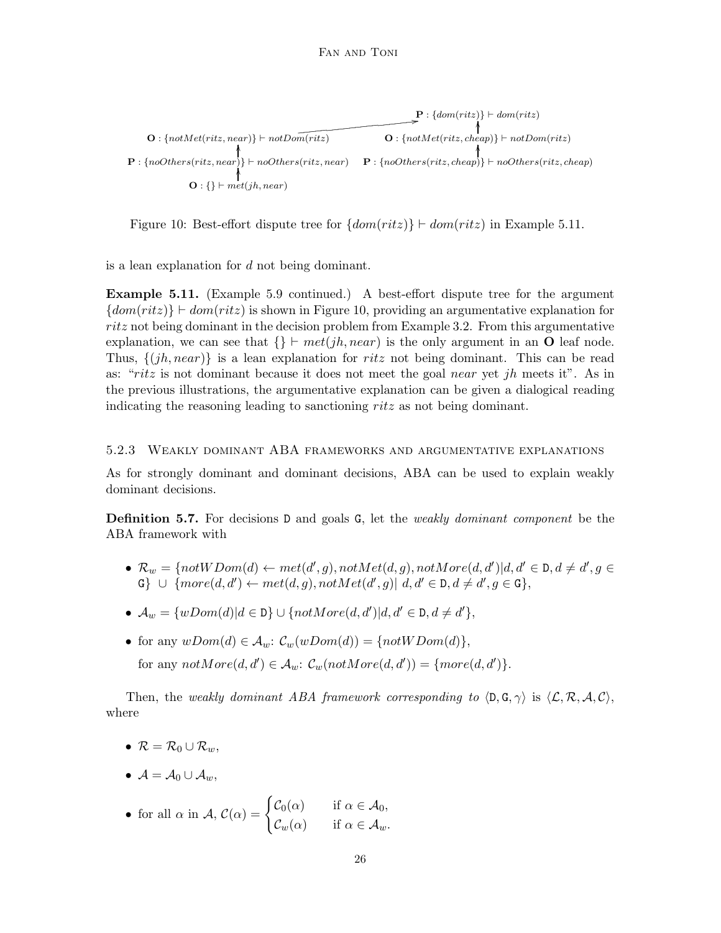$$
\mathbf{O}: \{notMet(ritz, near)\} \vdash notDom(ritz) \qquad \qquad \mathbf{O}: \{notMet(ritz, near)\} \vdash notDom(ritz) \qquad \qquad \mathbf{O}: \{notMet(ritz, cheap)\} \vdash notDom(ritz) \qquad \qquad \mathbf{O}: \{notMet(ritz, cheap)\} \vdash notDom(ritz) \qquad \qquad \mathbf{O}: \{\} \vdash met(jh, near)
$$
\n
$$
\mathbf{O}: \{\} \vdash met(jh, near)
$$

Figure 10: Best-effort dispute tree for  $\{dom(ritz)\}\vdash dom(ritz)$  in Example 5.11.

is a lean explanation for d not being dominant.

Example 5.11. (Example 5.9 continued.) A best-effort dispute tree for the argument  ${dom(ritz)} \vdash dom(ritz)$  is shown in Figure 10, providing an argumentative explanation for ritz not being dominant in the decision problem from Example 3.2. From this argumentative explanation, we can see that  $\{\}\vdash met(jh, near)$  is the only argument in an **O** leaf node. Thus,  $\{(jh, near)\}\$ is a lean explanation for ritz not being dominant. This can be read as: "ritz is not dominant because it does not meet the goal near yet jh meets it". As in the previous illustrations, the argumentative explanation can be given a dialogical reading indicating the reasoning leading to sanctioning ritz as not being dominant.

## 5.2.3 Weakly dominant ABA frameworks and argumentative explanations

As for strongly dominant and dominant decisions, ABA can be used to explain weakly dominant decisions.

**Definition 5.7.** For decisions D and goals G, let the *weakly dominant component* be the ABA framework with

- $\mathcal{R}_w = \{notWDom(d) \leftarrow met(d', g), notMet(d, g), notMore(d, d') | d, d' \in D, d \neq d', g \in D\}$  $G \} \cup \{more(d, d') \leftarrow met(d, g), notMet(d', g)| d, d' \in D, d \neq d', g \in G\},\$
- $\mathcal{A}_w = \{wDom(d) | d \in \mathbb{D}\} \cup \{notMore(d, d') | d, d' \in \mathbb{D}, d \neq d'\},\$
- for any  $wDom(d) \in A_w$ :  $\mathcal{C}_w(wDom(d)) = \{notWDom(d)\},\$ for any  $notMore(d, d') \in \mathcal{A}_w$ :  $\mathcal{C}_w(notMore(d, d')) = \{more(d, d')\}.$

Then, the weakly dominant ABA framework corresponding to  $\langle \mathsf{D}, \mathsf{G}, \gamma \rangle$  is  $\langle \mathcal{L}, \mathcal{R}, \mathcal{A}, \mathcal{C} \rangle$ , where

- $\mathcal{R} = \mathcal{R}_0 \cup \mathcal{R}_w$
- $A = A_0 \cup A_w$

• for all 
$$
\alpha
$$
 in  $\mathcal{A}$ ,  $\mathcal{C}(\alpha) = \begin{cases} \mathcal{C}_0(\alpha) & \text{if } \alpha \in \mathcal{A}_0, \\ \mathcal{C}_w(\alpha) & \text{if } \alpha \in \mathcal{A}_w. \end{cases}$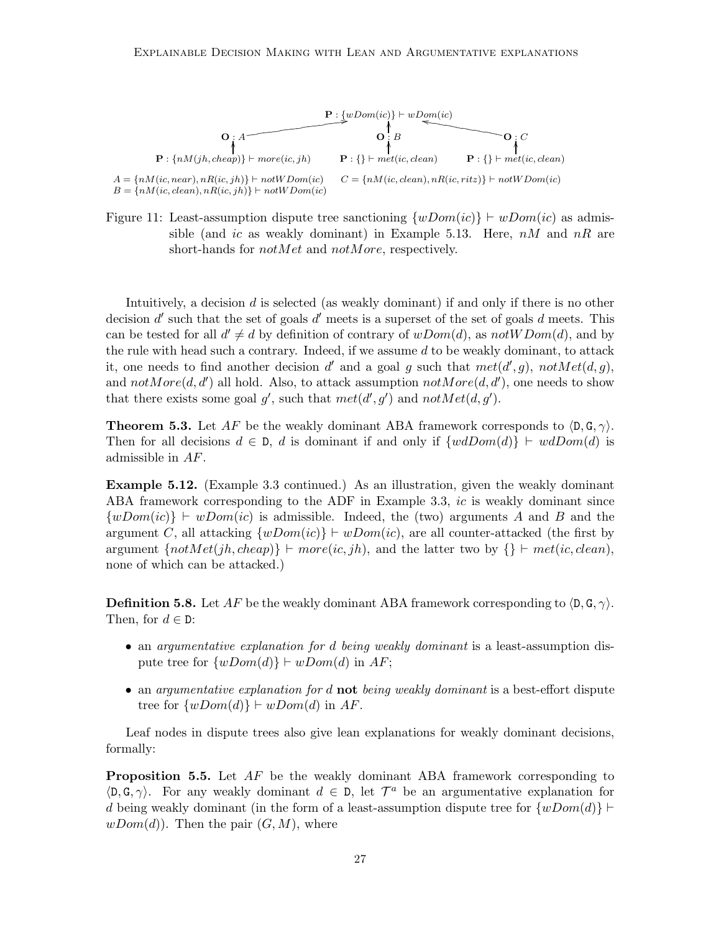

Figure 11: Least-assumption dispute tree sanctioning  $\{wDom(ic)\}\vdash wDom(ic)$  as admissible (and ic as weakly dominant) in Example 5.13. Here,  $nM$  and  $nR$  are short-hands for *notMet* and *notMore*, respectively.

Intuitively, a decision d is selected (as weakly dominant) if and only if there is no other decision  $d'$  such that the set of goals  $d'$  meets is a superset of the set of goals  $d$  meets. This can be tested for all  $d' \neq d$  by definition of contrary of  $wDom(d)$ , as  $notWDom(d)$ , and by the rule with head such a contrary. Indeed, if we assume  $d$  to be weakly dominant, to attack it, one needs to find another decision d' and a goal g such that  $met(d', g)$ ,  $notMet(d, g)$ , and  $notMore(d, d')$  all hold. Also, to attack assumption  $notMore(d, d')$ , one needs to show that there exists some goal g', such that  $met(d', g')$  and  $notMet(d, g')$ .

**Theorem 5.3.** Let AF be the weakly dominant ABA framework corresponds to  $\langle \mathbf{D}, \mathbf{G}, \gamma \rangle$ . Then for all decisions  $d \in \mathcal{D}$ , d is dominant if and only if  $\{wdDom(d)\}\vdash wdDom(d)$  is admissible in AF.

Example 5.12. (Example 3.3 continued.) As an illustration, given the weakly dominant ABA framework corresponding to the ADF in Example 3.3, ic is weakly dominant since  $\{wDom(i) \mid \vdash wDom(i) \text{ is admissible. Indeed, the (two) arguments } A \text{ and } B \text{ and the } \}$ argument C, all attacking  $\{wDom(i) \} \vdash wDom(i)$ , are all counter-attacked (the first by argument  $\{notMet(jh, cheap)\}\vdash more(ic, jh)$ , and the latter two by  $\{\}\vdash met(ic, clean)$ , none of which can be attacked.)

**Definition 5.8.** Let AF be the weakly dominant ABA framework corresponding to  $\langle \mathbf{D}, \mathbf{G}, \gamma \rangle$ . Then, for  $d \in \mathbb{D}$ :

- an argumentative explanation for d being weakly dominant is a least-assumption dispute tree for  $\{wDom(d)\}\vdash wDom(d)$  in AF;
- an argumentative explanation for  $d$  not being weakly dominant is a best-effort dispute tree for  $\{wDom(d)\}\vdash wDom(d)$  in AF.

Leaf nodes in dispute trees also give lean explanations for weakly dominant decisions, formally:

**Proposition 5.5.** Let  $AF$  be the weakly dominant ABA framework corresponding to  $\langle D, G, \gamma \rangle$ . For any weakly dominant  $d \in D$ , let  $\mathcal{T}^a$  be an argumentative explanation for d being weakly dominant (in the form of a least-assumption dispute tree for  $\{wDom(d)\}\vdash$  $wDom(d)$ . Then the pair  $(G, M)$ , where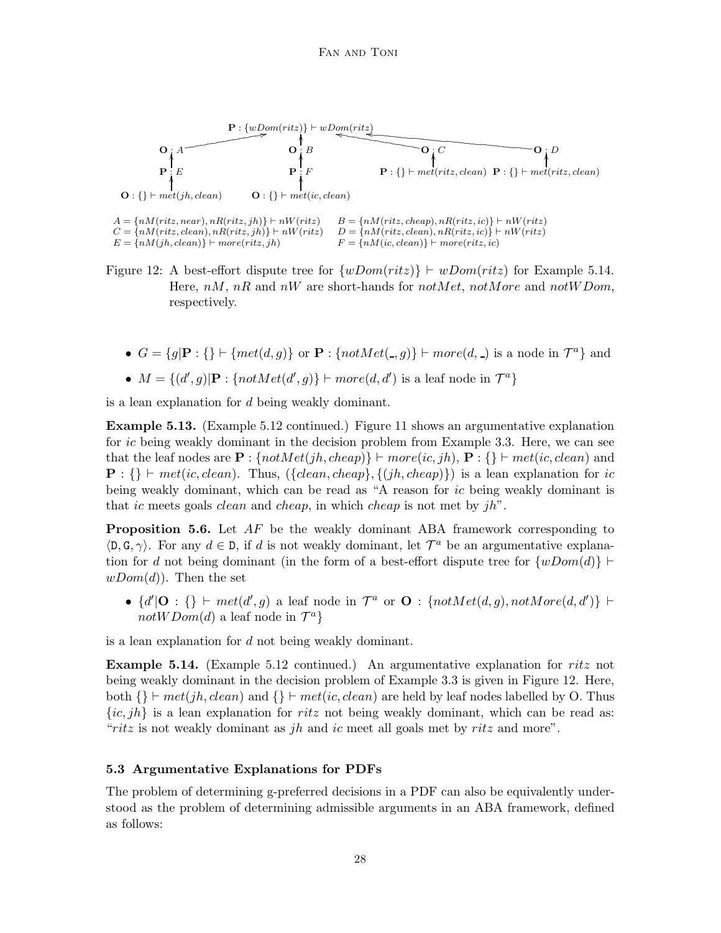

Figure 12: A best-effort dispute tree for  $\{wDom(ritz)\}\vdash wDom(ritz)$  for Example 5.14. Here,  $nM$ ,  $nR$  and  $nW$  are short-hands for  $notMet$ ,  $not More$  and  $notW$ Dom, respectively.

- $G = \{g | \mathbf{P} : \{\} \vdash \{met(d, g)\} \text{ or } \mathbf{P} : \{notMet(\_, g)\} \vdash more(d, \_) \text{ is a node in } \mathcal{T}^a \}$  and
- $M = \{(d', g) | \mathbf{P} : \{notMet(d', g)\} \vdash more(d, d') \text{ is a leaf node in } \mathcal{T}^a\}$

is a lean explanation for d being weakly dominant.

Example 5.13. (Example 5.12 continued.) Figure 11 shows an argumentative explanation for ic being weakly dominant in the decision problem from Example 3.3. Here, we can see that the leaf nodes are  $\mathbf{P}$  : { $not Met(jh, cheap)$ } ⊢  $more(ic, jh)$ ,  $\mathbf{P}$  : {} ⊢ met(ic, clean) and  $\mathbf{P}: \{\}\vdash met(ic, clean).$  Thus,  $({\{clean, cheap\}, \{(jh, cheap)\}})$  is a lean explanation for ic being weakly dominant, which can be read as "A reason for ic being weakly dominant is that ic meets goals *clean* and *cheap*, in which *cheap* is not met by  $jh$ ".

**Proposition 5.6.** Let  $AF$  be the weakly dominant ABA framework corresponding to  $\langle \mathsf{D}, \mathsf{G}, \gamma \rangle$ . For any  $d \in \mathsf{D}$ , if d is not weakly dominant, let  $\mathcal{T}^a$  be an argumentative explanation for d not being dominant (in the form of a best-effort dispute tree for  $\{wDom(d)\}\vdash$  $wDom(d)$ . Then the set

•  $\{d' | O : \{\}\vdash met(d', g) \text{ a leaf node in } \mathcal{T}^a \text{ or } O : \{notMet(d, g), notMore(d, d')\} \vdash$  $notWDom(d)$  a leaf node in  $\mathcal{T}^a$ }

is a lean explanation for  $d$  not being weakly dominant.

**Example 5.14.** (Example 5.12 continued.) An argumentative explanation for ritz not being weakly dominant in the decision problem of Example 3.3 is given in Figure 12. Here, both  $\{\}\vdash met(jh, clean)$  and  $\{\}\vdash met(ic, clean)$  are held by leaf nodes labelled by O. Thus  $\{ic, jh\}$  is a lean explanation for ritz not being weakly dominant, which can be read as: "ritz is not weakly dominant as jh and ic meet all goals met by ritz and more".

#### 5.3 Argumentative Explanations for PDFs

The problem of determining g-preferred decisions in a PDF can also be equivalently understood as the problem of determining admissible arguments in an ABA framework, defined as follows: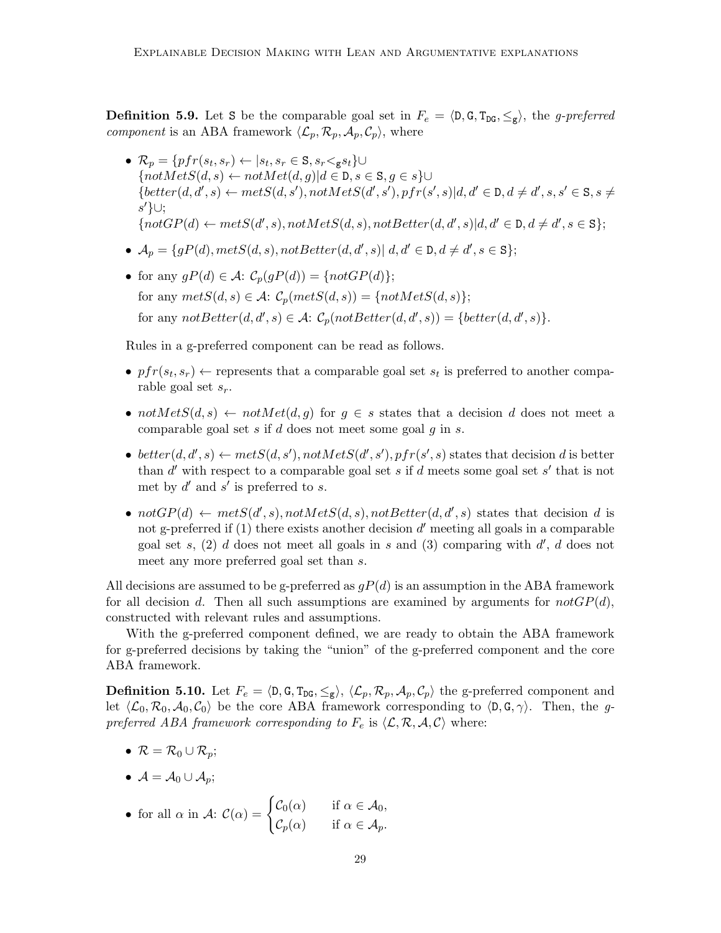**Definition 5.9.** Let S be the comparable goal set in  $F_e = \langle \mathbf{D}, \mathbf{G}, \mathbf{T}_{\text{DG}}, \leq_{\mathbf{g}} \rangle$ , the *g-preferred component* is an ABA framework  $\langle\mathcal{L}_p, \mathcal{R}_p, \mathcal{A}_p, \mathcal{C}_p\rangle$ , where

- $\mathcal{R}_p = \{pfr(s_t, s_r) \leftarrow |s_t, s_r \in \mathbf{S}, s_r \leq_{\mathbf{g}} s_t\} \cup$  ${notMetS(d, s) \leftarrow notMet(d, q)| d \in D, s \in S, q \in s}$  ${better(d, d', s) \leftarrow metS(d, s'), notMetS(d', s'), pfr(s', s)|d, d' \in D, d \neq d', s, s' \in S, s \neq$ s ′}∪;  $\{notGP(d) \leftarrow metS(d', s), notMetS(d, s), notBetter(d, d', s)|d, d' \in D, d \neq d', s \in S\};$
- $\mathcal{A}_p = \{gP(d), metS(d, s), notBetter(d, d', s)| d, d' \in \mathcal{D}, d \neq d', s \in \mathbb{S}\};$
- for any  $qP(d) \in \mathcal{A}$ :  $\mathcal{C}_p(qP(d)) = \{notGP(d)\};$ for any  $metS(d, s) \in \mathcal{A}$ :  $\mathcal{C}_p(metS(d, s)) = \{notMetS(d, s)\};$ for any  $notBetter(d, d', s) \in \mathcal{A}$ :  $\mathcal{C}_p(notBetter(d, d', s)) = \{ better(d, d', s)\}.$

Rules in a g-preferred component can be read as follows.

- $pfr(s_t, s_r) \leftarrow$  represents that a comparable goal set  $s_t$  is preferred to another comparable goal set  $s_r$ .
- not $MetS(d, s) \leftarrow notMet(d, g)$  for  $g \in s$  states that a decision d does not meet a comparable goal set s if d does not meet some goal  $q$  in s.
- better  $(d, d', s) \leftarrow metS(d, s'), notMetS(d', s'), pfr(s', s)$  states that decision d is better than  $d'$  with respect to a comparable goal set s if d meets some goal set s' that is not met by  $d'$  and  $s'$  is preferred to  $s$ .
- notGP(d)  $\leftarrow \text{metS}(d', s), \text{notMetS}(d, s), \text{notBetter}(d, d', s)$  states that decision d is not g-preferred if  $(1)$  there exists another decision  $d'$  meeting all goals in a comparable goal set s,  $(2)$  d does not meet all goals in s and  $(3)$  comparing with  $d'$ , d does not meet any more preferred goal set than s.

All decisions are assumed to be g-preferred as  $qP(d)$  is an assumption in the ABA framework for all decision d. Then all such assumptions are examined by arguments for  $notGP(d)$ , constructed with relevant rules and assumptions.

With the g-preferred component defined, we are ready to obtain the ABA framework for g-preferred decisions by taking the "union" of the g-preferred component and the core ABA framework.

**Definition 5.10.** Let  $F_e = \langle \mathbf{D}, \mathbf{G}, \mathbf{T}_{\text{DG}}, \leq_{\mathbf{g}} \rangle$ ,  $\langle \mathcal{L}_p, \mathcal{R}_p, \mathcal{A}_p, \mathcal{C}_p \rangle$  the g-preferred component and let  $\langle \mathcal{L}_0, \mathcal{R}_0, \mathcal{A}_0, \mathcal{C}_0 \rangle$  be the core ABA framework corresponding to  $\langle \mathbf{D}, \mathbf{G}, \gamma \rangle$ . Then, the gpreferred ABA framework corresponding to  $F_e$  is  $\langle \mathcal{L}, \mathcal{R}, \mathcal{A}, \mathcal{C} \rangle$  where:

- $\mathcal{R} = \mathcal{R}_0 \cup \mathcal{R}_p;$
- $\mathcal{A} = \mathcal{A}_0 \cup \mathcal{A}_n$ ;

• for all 
$$
\alpha
$$
 in  $\mathcal{A}$ :  $\mathcal{C}(\alpha) = \begin{cases} \mathcal{C}_0(\alpha) & \text{if } \alpha \in \mathcal{A}_0, \\ \mathcal{C}_p(\alpha) & \text{if } \alpha \in \mathcal{A}_p. \end{cases}$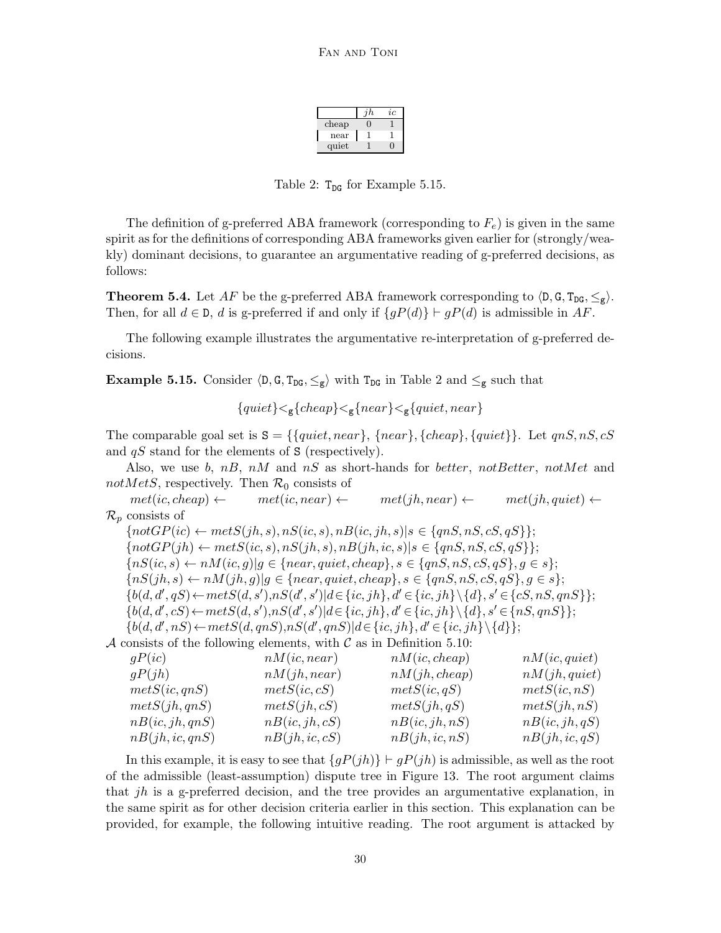|       | h. | ιc |
|-------|----|----|
| cheap |    |    |
| near  |    |    |
| quiet |    |    |

Table 2:  $T_{DG}$  for Example 5.15.

The definition of g-preferred ABA framework (corresponding to  $F_e$ ) is given in the same spirit as for the definitions of corresponding ABA frameworks given earlier for (strongly/weakly) dominant decisions, to guarantee an argumentative reading of g-preferred decisions, as follows:

**Theorem 5.4.** Let AF be the g-preferred ABA framework corresponding to  $\langle D, G, T_{DG}, \leq_g \rangle$ . Then, for all  $d \in \mathcal{D}$ , d is g-preferred if and only if  $\{qP(d)\}\vdash qP(d)$  is admissible in AF.

The following example illustrates the argumentative re-interpretation of g-preferred decisions.

**Example 5.15.** Consider  $\langle \mathbf{D}, \mathbf{G}, \mathbf{T}_{\text{DG}}, \leq_{\mathbf{g}} \rangle$  with  $\mathbf{T}_{\text{DG}}$  in Table 2 and  $\leq_{\mathbf{g}}$  such that

$$
{\{quiet\}} <_{g} {\{cheap\}} <_{g} {\{near\}} <_{g} {\{quiet, near\}}
$$

The comparable goal set is  $S = \{\{quiet, near\}, \{near\}, \{cheap\}, \{quiet\}\}\.$  Let  $qnS, nS, cS$ and  $qS$  stand for the elements of S (respectively).

Also, we use b,  $n, nM$  and  $nS$  as short-hands for better, not Better, not Met and notMetS, respectively. Then  $\mathcal{R}_0$  consists of

 $met(ic, cheap) \leftarrow met(ic, near) \leftarrow met(jh, near) \leftarrow met(jh, quiet) \leftarrow$  $\mathcal{R}_p$  consists of

 ${\lbrace notGP(ic) \leftarrow metS(jh, s), nS(ic, s), nB(ic, jh, s) | s \in {\lbrace qnS, nS, cS, qS \rbrace };$  $\{notGP(jh) \leftarrow metS(ic, s), nS(jh, s), nB(jh, ic, s)|s \in \{qnS, nS, cS, qS\}\};$  ${nS(ic, s) \leftarrow nM(ic, g)|g \in {near, quiet, cheap}, s \in {qnS, nS, cS, qS}, g \in s};$  ${nS(jh, s) \leftarrow nM(jh, g)|g \in \{near, quiet, cheap\}, s \in \{qnS, nS, cS, qS\}, g \in s\};$  ${b(d, d', qS) \leftarrow metS(d, s'), nS(d', s') | d \in {ic, jh}, d' \in {ic, jh} \setminus {d}, s' \in {cS, nS, qnS}};$  ${b(d, d', cS) \leftarrow metS(d, s'), nS(d', s')}$  $d \in {ic, jh}, d' \in {ic, jh} \setminus {d}, s' \in {nS, qnS}$  ${b(d, d', nS) \leftarrow metS(d, qnS), nS(d', qnS)| d \in {ic, jh}, d' \in {ic, jh}\setminus{d}};$ 

A consists of the following elements, with  $\mathcal C$  as in Definition 5.10:

| qP(ic)          | $nM$ ( <i>ic</i> , <i>near</i> ) | nM(ic, cheap)  | $nM$ ( <i>ic</i> , quiet) |
|-----------------|----------------------------------|----------------|---------------------------|
| qP(jh)          | nM(jh, near)                     | nM(jh, cheap)  | nM(jh, quiet)             |
| metS(ic, qnS)   | metS(ic, cS)                     | metS(ic,qS)    | metS(ic, nS)              |
| metS(jh, qnS)   | mets(jh, cS)                     | mets(jh, qS)   | metS(jh, nS)              |
| nB(ic, jh, qnS) | nB(ic, jh, cS)                   | nB(ic, jh, nS) | nB(ic, jh, qS)            |
| nB(jh, ic, qnS) | nB(jh, ic, cS)                   | nB(jh,ic,nS)   | nB(jh, ic, qS)            |

In this example, it is easy to see that  $\{gP(jh)\}\vdash gP(jh)$  is admissible, as well as the root of the admissible (least-assumption) dispute tree in Figure 13. The root argument claims that *jh* is a g-preferred decision, and the tree provides an argumentative explanation, in the same spirit as for other decision criteria earlier in this section. This explanation can be provided, for example, the following intuitive reading. The root argument is attacked by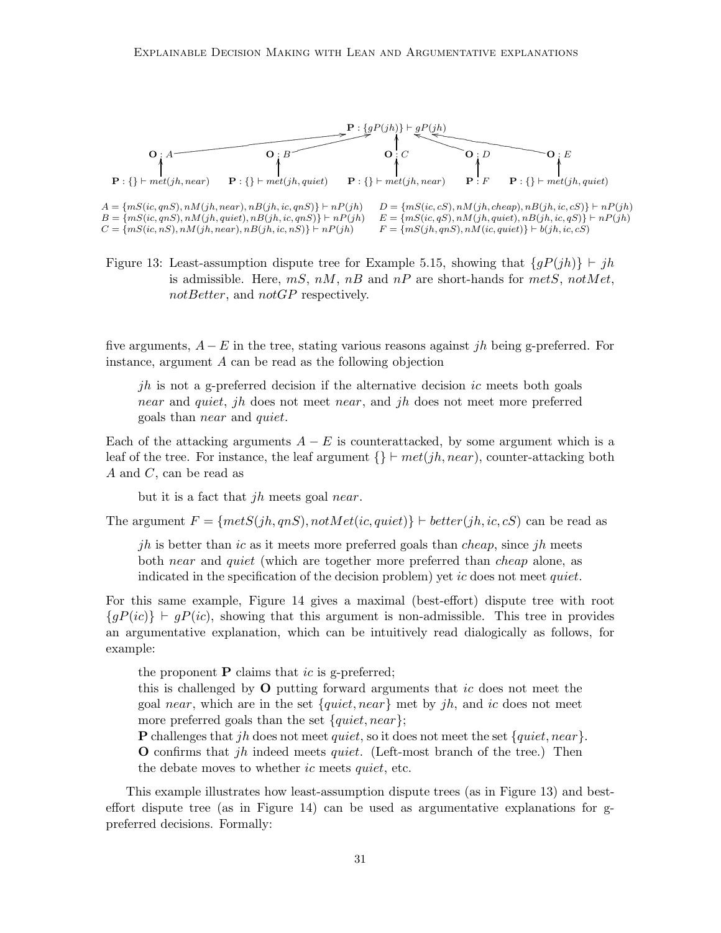

Figure 13: Least-assumption dispute tree for Example 5.15, showing that  ${qP(jh)}$  ⊢ jh is admissible. Here,  $mS$ ,  $nM$ ,  $nB$  and  $nP$  are short-hands for  $metS$ ,  $notMet$ , notBetter, and notGP respectively.

five arguments,  $A - E$  in the tree, stating various reasons against jh being g-preferred. For instance, argument A can be read as the following objection

jh is not a g-preferred decision if the alternative decision ic meets both goals near and quiet, jh does not meet near, and jh does not meet more preferred goals than near and quiet.

Each of the attacking arguments  $A - E$  is counterattacked, by some argument which is a leaf of the tree. For instance, the leaf argument  $\{\}\vdash met(jh, near)$ , counter-attacking both A and C, can be read as

but it is a fact that jh meets goal near.

The argument  $F = \{metS(jh, qnS), notMet(ic, quiet)\}\$  ⊢ better(jh, ic, cS) can be read as

jh is better than ic as it meets more preferred goals than *cheap*, since jh meets both *near* and *quiet* (which are together more preferred than *cheap* alone, as indicated in the specification of the decision problem) yet ic does not meet quiet.

For this same example, Figure 14 gives a maximal (best-effort) dispute tree with root  ${qP(ic)}$   $\vdash$  gP(ic), showing that this argument is non-admissible. This tree in provides an argumentative explanation, which can be intuitively read dialogically as follows, for example:

the proponent  $P$  claims that *ic* is g-preferred;

this is challenged by O putting forward arguments that ic does not meet the goal near, which are in the set  $\{quiet, near\}$  met by jh, and ic does not meet more preferred goals than the set  ${quiet, near}$ ;

**P** challenges that jh does not meet quiet, so it does not meet the set  $\{quiet, near\}$ . **O** confirms that jh indeed meets quiet. (Left-most branch of the tree.) Then the debate moves to whether *ic* meets *quiet*, etc.

This example illustrates how least-assumption dispute trees (as in Figure 13) and besteffort dispute tree (as in Figure 14) can be used as argumentative explanations for gpreferred decisions. Formally: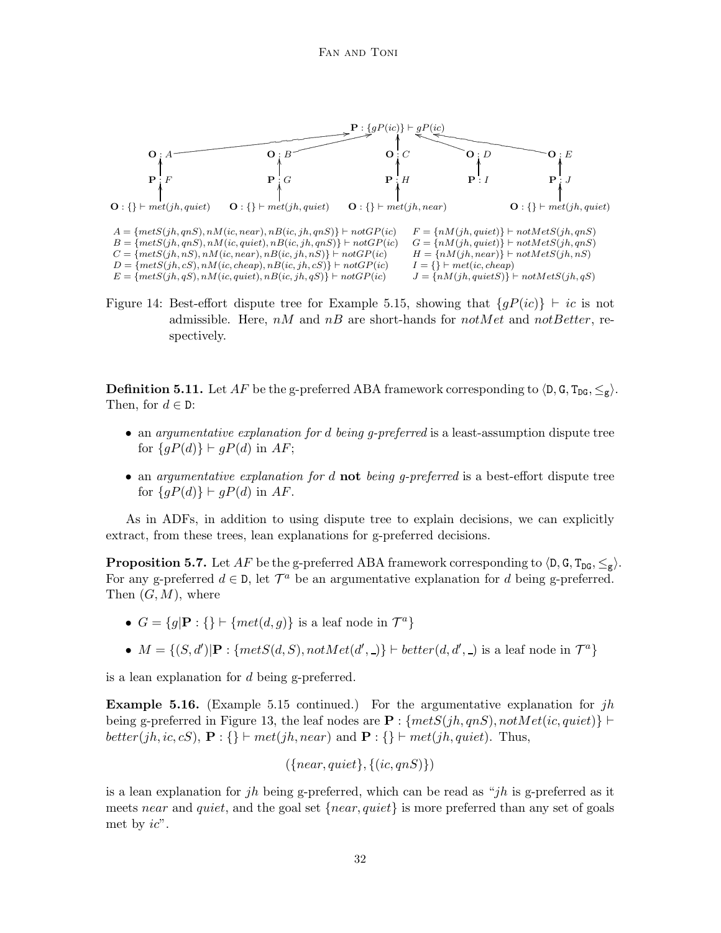

Figure 14: Best-effort dispute tree for Example 5.15, showing that  ${qP(ic)}$  ⊢ ic is not admissible. Here,  $nM$  and  $nB$  are short-hands for  $notMet$  and  $not Better$ , respectively.

**Definition 5.11.** Let AF be the g-preferred ABA framework corresponding to  $\langle D, G, T_{DG}, \leq_{\varphi} \rangle$ . Then, for  $d \in \mathbb{D}$ :

- an argumentative explanation for d being q-preferred is a least-assumption dispute tree for  $\{qP(d)\}\vdash qP(d)$  in AF;
- an argumentative explanation for d not being g-preferred is a best-effort dispute tree for  $\{gP(d)\}\vdash gP(d)$  in AF.

As in ADFs, in addition to using dispute tree to explain decisions, we can explicitly extract, from these trees, lean explanations for g-preferred decisions.

**Proposition 5.7.** Let AF be the g-preferred ABA framework corresponding to  $\langle D, G, T_{DG}, \leq_g \rangle$ . For any g-preferred  $d \in \mathcal{D}$ , let  $\mathcal{T}^a$  be an argumentative explanation for d being g-preferred. Then  $(G, M)$ , where

- $G = \{g | \mathbf{P} : \{\} \vdash \{ met(d, g) \} \text{ is a leaf node in } \mathcal{T}^a \}$
- $M = \{(S, d') | \mathbf{P} : \{metS(d, S), notMet(d', .)\}\vdash better(d, d', .)$  is a leaf node in  $\mathcal{T}^a\}$

is a lean explanation for d being g-preferred.

**Example 5.16.** (Example 5.15 continued.) For the argumentative explanation for  $jh$ being g-preferred in Figure 13, the leaf nodes are  $\mathbf{P}$ : {metS(jh, qnS), notMet(ic, quiet)} ⊢ better(jh, ic, cS),  $\mathbf{P}$  : {}  $\vdash met(jh, near)$  and  $\mathbf{P}$  : {}  $\vdash met(jh, quiet)$ . Thus,

 $({\{near, quiet\}, \{(ic, qnS)\})}$ 

is a lean explanation for jh being g-preferred, which can be read as "jh is g-preferred as it meets near and quiet, and the goal set  ${near, quiet}$  is more preferred than any set of goals met by  $ic$ ".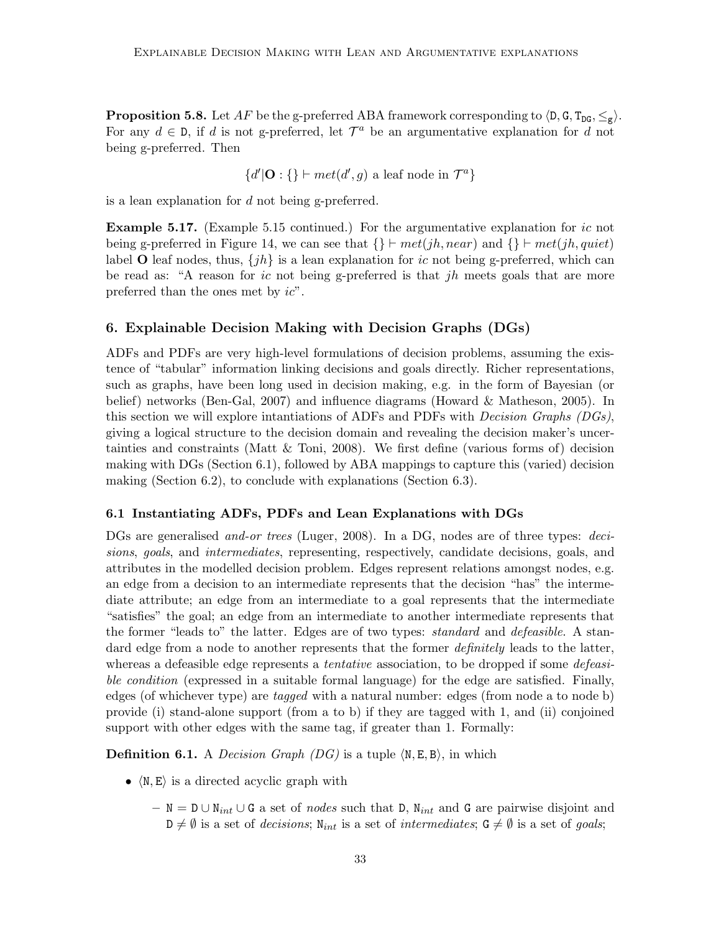**Proposition 5.8.** Let AF be the g-preferred ABA framework corresponding to  $\langle D, G, T_{DG}, \leq_g \rangle$ . For any  $d \in \mathcal{D}$ , if d is not g-preferred, let  $\mathcal{T}^a$  be an argumentative explanation for d not being g-preferred. Then

 $\{d'|\mathbf{O}:\}\$  – met $(d', g)$  a leaf node in  $\mathcal{T}^a\}$ 

is a lean explanation for d not being g-preferred.

**Example 5.17.** (Example 5.15 continued.) For the argumentative explanation for ic not being g-preferred in Figure 14, we can see that  $\{\}\vdash met(jh, near)$  and  $\{\}\vdash met(jh, quiet)$ label O leaf nodes, thus,  $\{jh\}$  is a lean explanation for ic not being g-preferred, which can be read as: "A reason for ic not being g-preferred is that jh meets goals that are more preferred than the ones met by ic".

# 6. Explainable Decision Making with Decision Graphs (DGs)

ADFs and PDFs are very high-level formulations of decision problems, assuming the existence of "tabular" information linking decisions and goals directly. Richer representations, such as graphs, have been long used in decision making, e.g. in the form of Bayesian (or belief) networks (Ben-Gal, 2007) and influence diagrams (Howard & Matheson, 2005). In this section we will explore intantiations of ADFs and PDFs with *Decision Graphs (DGs)*, giving a logical structure to the decision domain and revealing the decision maker's uncertainties and constraints (Matt & Toni, 2008). We first define (various forms of) decision making with DGs (Section 6.1), followed by ABA mappings to capture this (varied) decision making (Section 6.2), to conclude with explanations (Section 6.3).

## 6.1 Instantiating ADFs, PDFs and Lean Explanations with DGs

DGs are generalised *and-or trees* (Luger, 2008). In a DG, nodes are of three types: *deci*sions, goals, and intermediates, representing, respectively, candidate decisions, goals, and attributes in the modelled decision problem. Edges represent relations amongst nodes, e.g. an edge from a decision to an intermediate represents that the decision "has" the intermediate attribute; an edge from an intermediate to a goal represents that the intermediate "satisfies" the goal; an edge from an intermediate to another intermediate represents that the former "leads to" the latter. Edges are of two types: *standard* and *defeasible*. A standard edge from a node to another represents that the former *definitely* leads to the latter, whereas a defeasible edge represents a *tentative* association, to be dropped if some *defeasi*ble condition (expressed in a suitable formal language) for the edge are satisfied. Finally, edges (of whichever type) are *tagged* with a natural number: edges (from node a to node b) provide (i) stand-alone support (from a to b) if they are tagged with 1, and (ii) conjoined support with other edges with the same tag, if greater than 1. Formally:

**Definition 6.1.** A *Decision Graph (DG)* is a tuple  $\langle N, E, B \rangle$ , in which

- $\langle N, E \rangle$  is a directed acyclic graph with
	- $-$  N = D∪N<sub>int</sub> ∪ G a set of *nodes* such that D, N<sub>int</sub> and G are pairwise disjoint and  $D \neq \emptyset$  is a set of *decisions*; N<sub>int</sub> is a set of intermediates;  $G \neq \emptyset$  is a set of goals;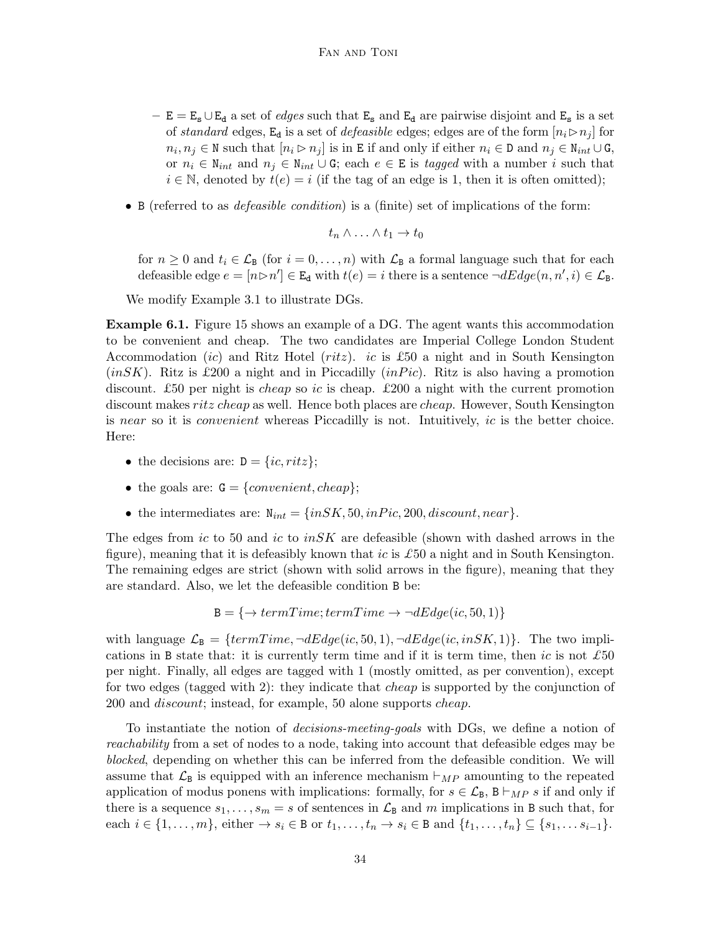- $E = E_s \cup E_d$  a set of *edges* such that  $E_s$  and  $E_d$  are pairwise disjoint and  $E_s$  is a set of standard edges, E<sub>d</sub> is a set of *defeasible* edges; edges are of the form  $[n_i \triangleright n_j]$  for  $n_i, n_j \in \mathbb{N}$  such that  $[n_i \triangleright n_j]$  is in E if and only if either  $n_i \in \mathbb{D}$  and  $n_j \in \mathbb{N}_{int} \cup \mathbb{G}$ , or  $n_i \in \mathbb{N}_{int}$  and  $n_j \in \mathbb{N}_{int} \cup \mathbb{G}$ ; each  $e \in \mathbb{E}$  is tagged with a number i such that  $i \in \mathbb{N}$ , denoted by  $t(e) = i$  (if the tag of an edge is 1, then it is often omitted);
- B (referred to as *defeasible condition*) is a (finite) set of implications of the form:

$$
t_n \wedge \ldots \wedge t_1 \to t_0
$$

for  $n \geq 0$  and  $t_i \in \mathcal{L}_B$  (for  $i = 0, \ldots, n$ ) with  $\mathcal{L}_B$  a formal language such that for each defeasible edge  $e = [n \triangleright n'] \in \mathbb{E}_{d}$  with  $t(e) = i$  there is a sentence  $\neg dEdge(n, n', i) \in \mathcal{L}_{B}$ .

We modify Example 3.1 to illustrate DGs.

Example 6.1. Figure 15 shows an example of a DG. The agent wants this accommodation to be convenient and cheap. The two candidates are Imperial College London Student Accommodation *(ic)* and Ritz Hotel *(ritz)*. *ic* is £50 a night and in South Kensington  $(inSK)$ . Ritz is £200 a night and in Piccadilly  $(inPic)$ . Ritz is also having a promotion discount. £50 per night is *cheap* so ic is cheap. £200 a night with the current promotion discount makes *ritz cheap* as well. Hence both places are *cheap*. However, South Kensington is near so it is convenient whereas Piccadilly is not. Intuitively, ic is the better choice. Here:

- the decisions are:  $D = \{ic, ritz\};$
- the goals are:  $G = \{convenient, cheap\};$
- the intermediates are:  $N_{int} = \{in SK, 50, in Pic, 200, discount, near\}.$

The edges from ic to 50 and ic to  $inSK$  are defeasible (shown with dashed arrows in the figure), meaning that it is defeasibly known that ic is  $\pounds 50$  a night and in South Kensington. The remaining edges are strict (shown with solid arrows in the figure), meaning that they are standard. Also, we let the defeasible condition B be:

$$
B = \{ \rightarrow termTime; termTime \rightarrow \neg dEdge(ic, 50, 1) \}
$$

with language  $\mathcal{L}_B = \{termTime, \neg dEdge(ic, 50, 1), \neg dEdge(ic, inSK, 1)\}.$  The two implications in B state that: it is currently term time and if it is term time, then ic is not  $\pounds 50$ per night. Finally, all edges are tagged with 1 (mostly omitted, as per convention), except for two edges (tagged with 2): they indicate that cheap is supported by the conjunction of 200 and *discount*; instead, for example, 50 alone supports *cheap*.

To instantiate the notion of decisions-meeting-goals with DGs, we define a notion of reachability from a set of nodes to a node, taking into account that defeasible edges may be blocked, depending on whether this can be inferred from the defeasible condition. We will assume that  $\mathcal{L}_B$  is equipped with an inference mechanism  $\vdash_{MP}$  amounting to the repeated application of modus ponens with implications: formally, for  $s \in \mathcal{L}_B$ ,  $B \vdash_{MP} s$  if and only if there is a sequence  $s_1, \ldots, s_m = s$  of sentences in  $\mathcal{L}_B$  and m implications in B such that, for each  $i \in \{1, \ldots, m\}$ , either  $\rightarrow s_i \in \mathbb{B}$  or  $t_1, \ldots, t_n \rightarrow s_i \in \mathbb{B}$  and  $\{t_1, \ldots, t_n\} \subseteq \{s_1, \ldots s_{i-1}\}.$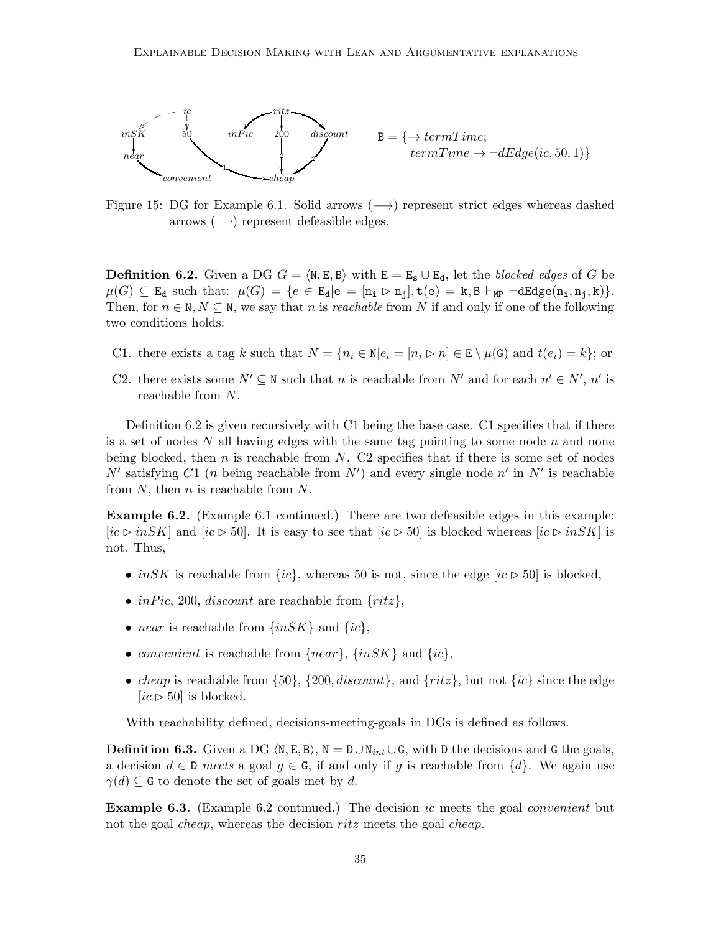

Figure 15: DG for Example 6.1. Solid arrows  $(\rightarrow)$  represent strict edges whereas dashed arrows  $(-\rightarrow)$  represent defeasible edges.

**Definition 6.2.** Given a DG  $G = \langle N, E, B \rangle$  with  $E = E_s \cup E_d$ , let the blocked edges of G be  $\mu(G) \subseteq \mathbb{E}_{\mathbf{d}}$  such that:  $\mu(G) = \{e \in \mathbb{E}_{\mathbf{d}} | \mathbf{e} = [\mathbf{n_i} \triangleright \mathbf{n_j}], \mathbf{t}(\mathbf{e}) = \mathbf{k}, \mathbf{B} \vdash_{\text{MP}} \neg \text{d} \mathbb{E}_{\mathbf{d}} \mathbf{g} \mathbf{e} (\mathbf{n_i}, \mathbf{n_j}, \mathbf{k})\}.$ Then, for  $n \in \mathbb{N}, N \subseteq \mathbb{N}$ , we say that n is *reachable* from N if and only if one of the following two conditions holds:

- C1. there exists a tag k such that  $N = \{n_i \in \mathbb{N} | e_i = [n_i \triangleright n] \in \mathbb{E} \setminus \mu(\mathbf{G}) \text{ and } t(e_i) = k\};$  or
- C2. there exists some  $N' \subseteq \mathbb{N}$  such that n is reachable from N' and for each  $n' \in N'$ , n' is reachable from N.

Definition 6.2 is given recursively with C1 being the base case. C1 specifies that if there is a set of nodes  $N$  all having edges with the same tag pointing to some node  $n$  and none being blocked, then n is reachable from N. C2 specifies that if there is some set of nodes N' satisfying C1 (*n* being reachable from  $N'$ ) and every single node  $n'$  in  $N'$  is reachable from  $N$ , then  $n$  is reachable from  $N$ .

Example 6.2. (Example 6.1 continued.) There are two defeasible edges in this example: [ic ⊳ inSK] and [ic ⊳ 50]. It is easy to see that [ic ⊳ 50] is blocked whereas [ic ⊳ inSK] is not. Thus,

- in SK is reachable from  $\{ic\}$ , whereas 50 is not, since the edge  $[ic \triangleright 50]$  is blocked,
- inPic, 200, discount are reachable from  $\{ritz\}$ ,
- *near* is reachable from  $\{inSK\}$  and  $\{ic\}$ ,
- convenient is reachable from  $\{near\}$ ,  $\{inSK\}$  and  $\{ic\}$ ,
- *cheap* is reachable from  $\{50\}$ ,  $\{200, discount\}$ , and  $\{ritz\}$ , but not  $\{ic\}$  since the edge  $[ic \triangleright 50]$  is blocked.

With reachability defined, decisions-meeting-goals in DGs is defined as follows.

**Definition 6.3.** Given a DG  $\langle N, E, B \rangle$ ,  $N = D \cup N_{int} \cup G$ , with D the decisions and G the goals, a decision  $d \in \mathbb{D}$  meets a goal  $g \in \mathbb{G}$ , if and only if g is reachable from  $\{d\}$ . We again use  $\gamma(d) \subseteq G$  to denote the set of goals met by d.

Example 6.3. (Example 6.2 continued.) The decision ic meets the goal convenient but not the goal *cheap*, whereas the decision *ritz* meets the goal *cheap*.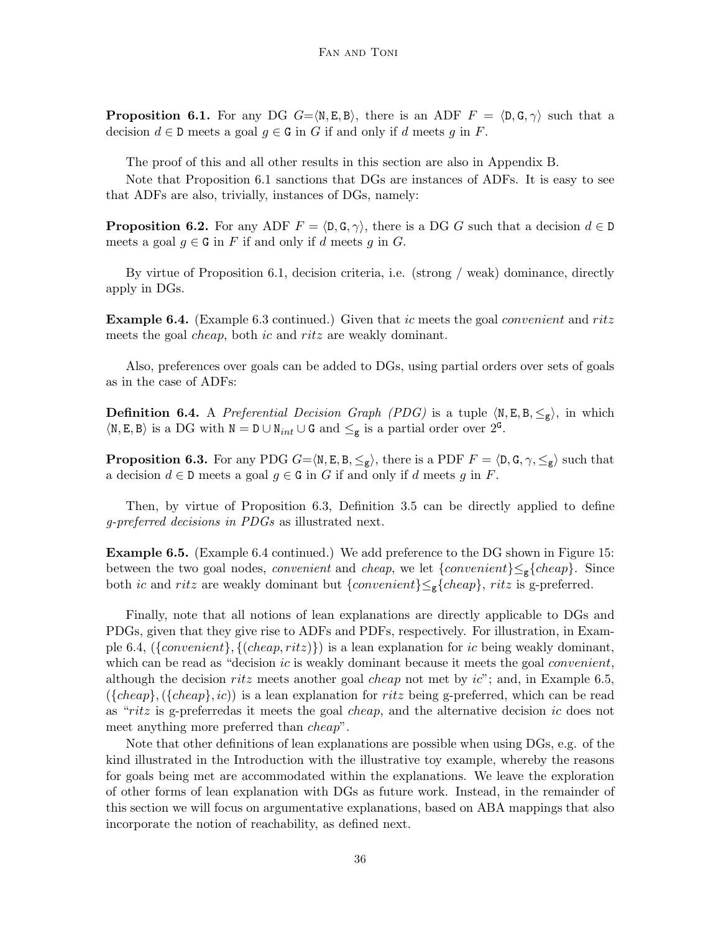**Proposition 6.1.** For any DG  $G = \langle N, E, B \rangle$ , there is an ADF  $F = \langle D, G, \gamma \rangle$  such that a decision  $d \in \mathbb{D}$  meets a goal  $g \in \mathbb{G}$  in G if and only if d meets g in F.

The proof of this and all other results in this section are also in Appendix B.

Note that Proposition 6.1 sanctions that DGs are instances of ADFs. It is easy to see that ADFs are also, trivially, instances of DGs, namely:

**Proposition 6.2.** For any ADF  $F = \langle \mathsf{D}, \mathsf{G}, \gamma \rangle$ , there is a DG G such that a decision  $d \in \mathsf{D}$ meets a goal  $g \in G$  in F if and only if d meets g in G.

By virtue of Proposition 6.1, decision criteria, i.e. (strong / weak) dominance, directly apply in DGs.

**Example 6.4.** (Example 6.3 continued.) Given that ic meets the goal *convenient* and ritz meets the goal *cheap*, both *ic* and *ritz* are weakly dominant.

Also, preferences over goals can be added to DGs, using partial orders over sets of goals as in the case of ADFs:

**Definition 6.4.** A Preferential Decision Graph (PDG) is a tuple  $\langle N, E, B, \leq_g \rangle$ , in which  $\langle N, E, B \rangle$  is a DG with  $N = D \cup N_{int} \cup G$  and  $\leq_g$  is a partial order over  $2^G$ .

**Proposition 6.3.** For any PDG  $G = \langle N, E, B, \leq_g \rangle$ , there is a PDF  $F = \langle D, G, \gamma, \leq_g \rangle$  such that a decision  $d \in \mathbb{D}$  meets a goal  $g \in \mathbb{G}$  in G if and only if d meets g in F.

Then, by virtue of Proposition 6.3, Definition 3.5 can be directly applied to define g-preferred decisions in PDGs as illustrated next.

Example 6.5. (Example 6.4 continued.) We add preference to the DG shown in Figure 15: between the two goal nodes, *convenient* and *cheap*, we let  $\{convenient\} \leq_{g} \{ cheap\}$ . Since both *ic* and ritz are weakly dominant but  $\{convenient\} \leq_g \{ cheap\}$ , ritz is g-preferred.

Finally, note that all notions of lean explanations are directly applicable to DGs and PDGs, given that they give rise to ADFs and PDFs, respectively. For illustration, in Example 6.4,  $({\{convenient\}}, {\{cheap, ritz\}})$  is a lean explanation for *ic* being weakly dominant, which can be read as "decision  $ic$  is weakly dominant because it meets the goal *convenient*, although the decision ritz meets another goal *cheap* not met by  $ic$ ; and, in Example 6.5,  $({\lbrace cheap \rbrace},({\lbrace cheap \rbrace},ic))$  is a lean explanation for ritz being g-preferred, which can be read as "ritz is g-preferredas it meets the goal cheap, and the alternative decision ic does not meet anything more preferred than cheap".

Note that other definitions of lean explanations are possible when using DGs, e.g. of the kind illustrated in the Introduction with the illustrative toy example, whereby the reasons for goals being met are accommodated within the explanations. We leave the exploration of other forms of lean explanation with DGs as future work. Instead, in the remainder of this section we will focus on argumentative explanations, based on ABA mappings that also incorporate the notion of reachability, as defined next.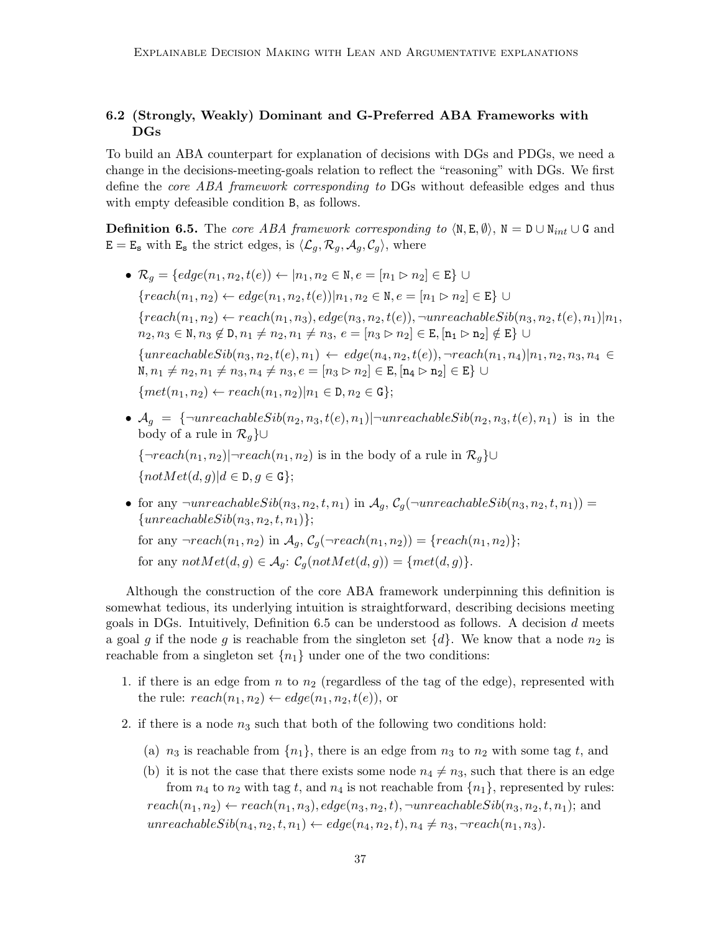# 6.2 (Strongly, Weakly) Dominant and G-Preferred ABA Frameworks with DGs

To build an ABA counterpart for explanation of decisions with DGs and PDGs, we need a change in the decisions-meeting-goals relation to reflect the "reasoning" with DGs. We first define the core ABA framework corresponding to DGs without defeasible edges and thus with empty defeasible condition B, as follows.

**Definition 6.5.** The core ABA framework corresponding to  $\langle N, E, \emptyset \rangle$ ,  $N = D \cup N_{int} \cup G$  and  $E = E_s$  with  $E_s$  the strict edges, is  $\langle \mathcal{L}_g, \mathcal{R}_g, \mathcal{A}_g, \mathcal{C}_g \rangle$ , where

- $\mathcal{R}_q = \{ edge(n_1, n_2, t(e)) \leftarrow | n_1, n_2 \in \mathbb{N}, e = [n_1 \triangleright n_2] \in \mathbb{E} \}$ { $reach(n_1, n_2)$  ←  $edge(n_1, n_2, t(e))|n_1, n_2 \in \mathbb{N}, e = [n_1 \triangleright n_2] \in \mathbb{E}$ } ∪  ${reach}(n_1, n_2) \leftarrow reach(n_1, n_3), edge(n_3, n_2, t(e)), \neg unreachableSib(n_3, n_2, t(e), n_1)|n_1,$  $n_2, n_3 \in \mathbb{N}, n_3 \notin \mathbb{D}, n_1 \neq n_2, n_1 \neq n_3, e = [n_3 \triangleright n_2] \in \mathbb{E}, [\mathbf{n}_1 \triangleright \mathbf{n}_2] \notin \mathbb{E} \}$  ${unreachableSib(n_3, n_2, t(e), n_1) \leftarrow edge(n_4, n_2, t(e)), \neg reach(n_1, n_4)|n_1, n_2, n_3, n_4 \in$  $N, n_1 \neq n_2, n_1 \neq n_3, n_4 \neq n_3, e = [n_3 \triangleright n_2] \in E, [n_4 \triangleright n_2] \in E$  ∪  ${met(n_1, n_2) \leftarrow reach(n_1, n_2)|n_1 \in D, n_2 \in G};$
- $A_g = {\text{--}unreachableSib(n_2, n_3, t(e), n_1)|\text{--}unreachableSib(n_2, n_3, t(e), n_1)}$  is in the body of a rule in  $\mathcal{R}_q$ }∪

 $\{\neg reach(n_1, n_2)|\neg reach(n_1, n_2)$  is in the body of a rule in  $\mathcal{R}_g$ }∪  $\{notMet(d, q)|d \in D, q \in G\};$ 

• for any  $\neg$ unreachable $Sib(n_3, n_2, t, n_1)$  in  $\mathcal{A}_q$ ,  $\mathcal{C}_q(\neg$ unreachable $Sib(n_3, n_2, t, n_1))$  =  ${unreachableSib(n_3, n_2, t, n_1)};$ 

for any  $\neg reach(n_1, n_2)$  in  $\mathcal{A}_a$ ,  $\mathcal{C}_a(\neg reach(n_1, n_2)) = \{reach(n_1, n_2)\};$ for any  $notMet(d, g) \in \mathcal{A}_q$ :  $\mathcal{C}_q(notMet(d, g)) = \{met(d, g)\}.$ 

Although the construction of the core ABA framework underpinning this definition is somewhat tedious, its underlying intuition is straightforward, describing decisions meeting goals in DGs. Intuitively, Definition  $6.5$  can be understood as follows. A decision d meets a goal g if the node g is reachable from the singleton set  $\{d\}$ . We know that a node  $n_2$  is reachable from a singleton set  $\{n_1\}$  under one of the two conditions:

- 1. if there is an edge from  $n$  to  $n_2$  (regardless of the tag of the edge), represented with the rule:  $reach(n_1, n_2) \leftarrow edge(n_1, n_2, t(e))$ , or
- 2. if there is a node  $n_3$  such that both of the following two conditions hold:
	- (a)  $n_3$  is reachable from  $\{n_1\}$ , there is an edge from  $n_3$  to  $n_2$  with some tag t, and
	- (b) it is not the case that there exists some node  $n_4 \neq n_3$ , such that there is an edge from  $n_4$  to  $n_2$  with tag t, and  $n_4$  is not reachable from  $\{n_1\}$ , represented by rules:  $reach(n_1, n_2) \leftarrow reach(n_1, n_3), edge(n_3, n_2, t), \neg unreachableSib(n_3, n_2, t, n_1);$  and  $unreachableSib(n_4, n_2, t, n_1) \leftarrow edge(n_4, n_2, t), n_4 \neq n_3, \neg reach(n_1, n_3).$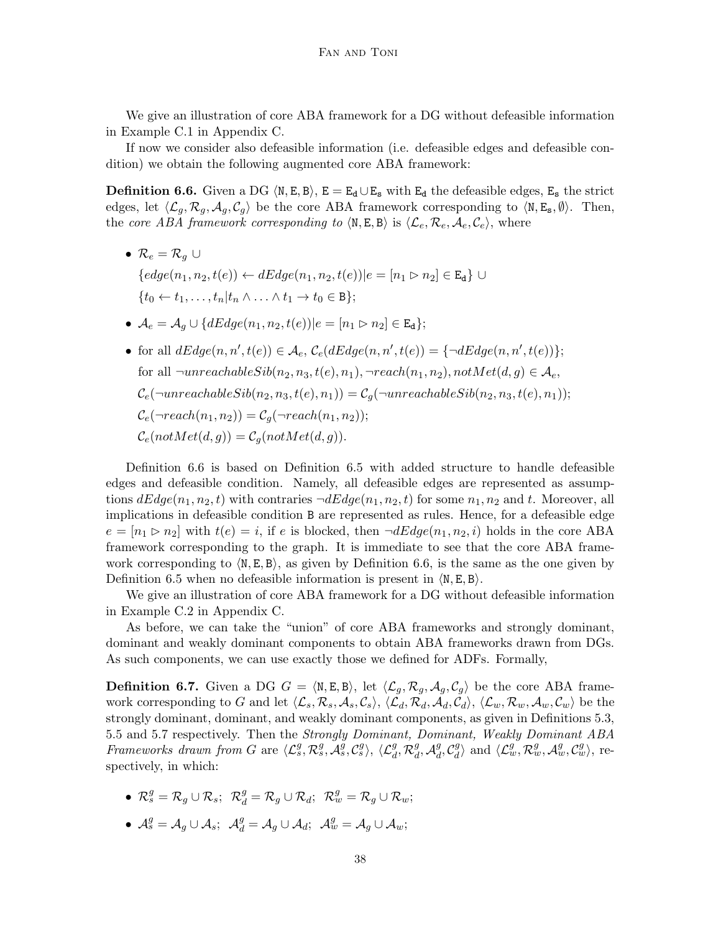We give an illustration of core ABA framework for a DG without defeasible information in Example C.1 in Appendix C.

If now we consider also defeasible information (i.e. defeasible edges and defeasible condition) we obtain the following augmented core ABA framework:

**Definition 6.6.** Given a DG  $\langle N, E, B \rangle$ ,  $E = E_d \cup E_s$  with  $E_d$  the defeasible edges,  $E_s$  the strict edges, let  $\langle \mathcal{L}_q, \mathcal{R}_q, \mathcal{A}_q, \mathcal{C}_q \rangle$  be the core ABA framework corresponding to  $\langle \mathbb{N}, \mathbb{E}_s, \emptyset \rangle$ . Then, the core ABA framework corresponding to  $\langle N, E, B \rangle$  is  $\langle \mathcal{L}_{e}, \mathcal{R}_{e}, \mathcal{A}_{e}, \mathcal{C}_{e} \rangle$ , where

- $\mathcal{R}_e = \mathcal{R}_q \cup$  ${edge(n_1, n_2, t(e)) \leftarrow dEdge(n_1, n_2, t(e)) | e = [n_1 \triangleright n_2] \in \mathbb{E}_{d} \}$  ${t_0 \leftarrow t_1, \ldots, t_n | t_n \wedge \ldots \wedge t_1 \rightarrow t_0 \in B};$
- $\mathcal{A}_e = \mathcal{A}_q \cup \{dEdge(n_1, n_2, t(e)) | e = [n_1 \triangleright n_2] \in \mathbb{E}_{\mathbf{d}}\};$
- for all  $dEdge(n, n', t(e)) \in \mathcal{A}_e$ ,  $\mathcal{C}_e(dEdge(n, n', t(e)) = {\neg dEdge(n, n', t(e))};$ for all  $\neg$ unreachable $Sib(n_2, n_3, t(e), n_1), \neg$ reach $(n_1, n_2),$  not $Met(d, q) \in \mathcal{A}_e$ ,  $\mathcal{C}_e(\neg$ unreachable $Sib(n_2, n_3, t(e), n_1)) = \mathcal{C}_q(\neg$ unreachable $Sib(n_2, n_3, t(e), n_1));$  $\mathcal{C}_e(\neg reach(n_1, n_2)) = \mathcal{C}_a(\neg reach(n_1, n_2));$  $\mathcal{C}_e(notMet(d, g)) = \mathcal{C}_g(notMet(d, g)).$

Definition 6.6 is based on Definition 6.5 with added structure to handle defeasible edges and defeasible condition. Namely, all defeasible edges are represented as assumptions  $dEdge(n_1, n_2, t)$  with contraries  $\neg dEdge(n_1, n_2, t)$  for some  $n_1, n_2$  and t. Moreover, all implications in defeasible condition B are represented as rules. Hence, for a defeasible edge  $e = [n_1 \rhd n_2]$  with  $t(e) = i$ , if e is blocked, then  $\neg dEdge(n_1, n_2, i)$  holds in the core ABA framework corresponding to the graph. It is immediate to see that the core ABA framework corresponding to  $\langle N, E, B \rangle$ , as given by Definition 6.6, is the same as the one given by Definition 6.5 when no defeasible information is present in  $\langle N, E, B \rangle$ .

We give an illustration of core ABA framework for a DG without defeasible information in Example C.2 in Appendix C.

As before, we can take the "union" of core ABA frameworks and strongly dominant, dominant and weakly dominant components to obtain ABA frameworks drawn from DGs. As such components, we can use exactly those we defined for ADFs. Formally,

**Definition 6.7.** Given a DG  $G = \langle N, E, B \rangle$ , let  $\langle \mathcal{L}_g, \mathcal{R}_g, \mathcal{A}_g, \mathcal{C}_g \rangle$  be the core ABA framework corresponding to G and let  $\langle \mathcal{L}_s, \mathcal{R}_s, \mathcal{A}_s, \mathcal{C}_s \rangle$ ,  $\langle \mathcal{L}_d, \mathcal{R}_d, \mathcal{A}_d, \mathcal{C}_d \rangle$ ,  $\langle \mathcal{L}_w, \mathcal{R}_w, \mathcal{A}_w, \mathcal{C}_w \rangle$  be the strongly dominant, dominant, and weakly dominant components, as given in Definitions 5.3, 5.5 and 5.7 respectively. Then the Strongly Dominant, Dominant, Weakly Dominant ABA Frameworks drawn from G are  $\langle \mathcal{L}_s^g, \mathcal{R}_s^g, \mathcal{A}_s^g, \mathcal{C}_s^g \rangle$ ,  $\langle \mathcal{L}_d^g, \mathcal{R}_d^g \rangle$  $_g^g$ ,  $\mathcal{A}_d^g$  $\frac{g}{d}$ ,  $C_d^g$  $\langle \mathcal{L}_w^g, \mathcal{R}_w^g, \mathcal{A}_w^g, \mathcal{C}_w^g \rangle$ , respectively, in which:

- $\mathcal{R}_s^g = \mathcal{R}_g \cup \mathcal{R}_s$ ;  $\mathcal{R}_d^g = \mathcal{R}_g \cup \mathcal{R}_d$ ;  $\mathcal{R}_w^g = \mathcal{R}_g \cup \mathcal{R}_w$ ;
- $\mathcal{A}_s^g = \mathcal{A}_g \cup \mathcal{A}_s$ ;  $\mathcal{A}_d^g = \mathcal{A}_g \cup \mathcal{A}_d$ ;  $\mathcal{A}_w^g = \mathcal{A}_g \cup \mathcal{A}_w$ ;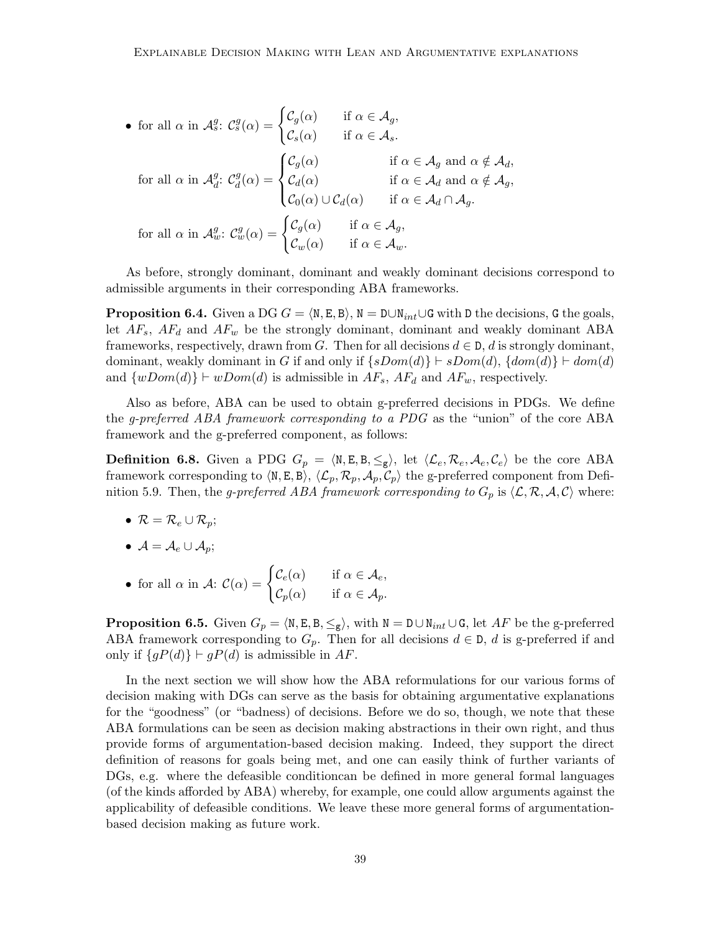• for all 
$$
\alpha
$$
 in  $\mathcal{A}_{s}^{g}$ :  $\mathcal{C}_{s}^{g}(\alpha) = \begin{cases} \mathcal{C}_{g}(\alpha) & \text{if } \alpha \in \mathcal{A}_{g}, \\ \mathcal{C}_{s}(\alpha) & \text{if } \alpha \in \mathcal{A}_{s}. \end{cases}$   
for all  $\alpha$  in  $\mathcal{A}_{d}^{g}$ :  $\mathcal{C}_{d}^{g}(\alpha) = \begin{cases} \mathcal{C}_{g}(\alpha) & \text{if } \alpha \in \mathcal{A}_{g} \text{ and } \alpha \notin \mathcal{A}_{d}, \\ \mathcal{C}_{d}(\alpha) & \text{if } \alpha \in \mathcal{A}_{d} \text{ and } \alpha \notin \mathcal{A}_{g}, \\ \mathcal{C}_{0}(\alpha) \cup \mathcal{C}_{d}(\alpha) & \text{if } \alpha \in \mathcal{A}_{d} \cap \mathcal{A}_{g}. \end{cases}$   
for all  $\alpha$  in  $\mathcal{A}_{w}^{g}$ :  $\mathcal{C}_{w}^{g}(\alpha) = \begin{cases} \mathcal{C}_{g}(\alpha) & \text{if } \alpha \in \mathcal{A}_{g}, \\ \mathcal{C}_{w}(\alpha) & \text{if } \alpha \in \mathcal{A}_{w}. \end{cases}$ 

As before, strongly dominant, dominant and weakly dominant decisions correspond to admissible arguments in their corresponding ABA frameworks.

**Proposition 6.4.** Given a DG  $G = \langle N, E, B \rangle$ ,  $N = D \cup N_{int} \cup G$  with D the decisions, G the goals, let  $AF_s$ ,  $AF_d$  and  $AF_w$  be the strongly dominant, dominant and weakly dominant ABA frameworks, respectively, drawn from G. Then for all decisions  $d \in \mathcal{D}$ , d is strongly dominant, dominant, weakly dominant in G if and only if  $\{sDom(d)\}\vdash sDom(d), \{dom(d)\}\vdash dom(d)$ and  $\{wDom(d)\}\vdash wDom(d)$  is admissible in  $AF_s$ ,  $AF_d$  and  $AF_w$ , respectively.

Also as before, ABA can be used to obtain g-preferred decisions in PDGs. We define the g-preferred ABA framework corresponding to a PDG as the "union" of the core ABA framework and the g-preferred component, as follows:

**Definition 6.8.** Given a PDG  $G_p = \langle \mathbb{N}, \mathbb{E}, \mathbb{B}, \leq_g \rangle$ , let  $\langle \mathcal{L}_e, \mathcal{R}_e, \mathcal{A}_e, \mathcal{C}_e \rangle$  be the core ABA framework corresponding to  $\langle N, E, B \rangle$ ,  $\langle \mathcal{L}_p, \mathcal{R}_p, \mathcal{A}_p, \mathcal{C}_p \rangle$  the g-preferred component from Definition 5.9. Then, the g-preferred ABA framework corresponding to  $G_p$  is  $\langle \mathcal{L}, \mathcal{R}, \mathcal{A}, \mathcal{C} \rangle$  where:

- $\mathcal{R} = \mathcal{R}_e \cup \mathcal{R}_n$ ;
- $\mathcal{A} = \mathcal{A}_e \cup \mathcal{A}_p;$
- for all  $\alpha$  in  $\mathcal{A}$ :  $\mathcal{C}(\alpha) = \begin{cases} \mathcal{C}_e(\alpha) & \text{if } \alpha \in \mathcal{A}_e, \\ \alpha \leq \alpha \end{cases}$  $\mathcal{C}_p(\alpha)$  if  $\alpha \in \mathcal{A}_p$ .

**Proposition 6.5.** Given  $G_p = \langle N, E, B, \leq_g \rangle$ , with  $N = D \cup N_{int} \cup G$ , let AF be the g-preferred ABA framework corresponding to  $G_p$ . Then for all decisions  $d \in \mathcal{D}$ , d is g-preferred if and only if  ${gP(d)}$  ⊢  $gP(d)$  is admissible in AF.

In the next section we will show how the ABA reformulations for our various forms of decision making with DGs can serve as the basis for obtaining argumentative explanations for the "goodness" (or "badness) of decisions. Before we do so, though, we note that these ABA formulations can be seen as decision making abstractions in their own right, and thus provide forms of argumentation-based decision making. Indeed, they support the direct definition of reasons for goals being met, and one can easily think of further variants of DGs, e.g. where the defeasible conditioncan be defined in more general formal languages (of the kinds afforded by ABA) whereby, for example, one could allow arguments against the applicability of defeasible conditions. We leave these more general forms of argumentationbased decision making as future work.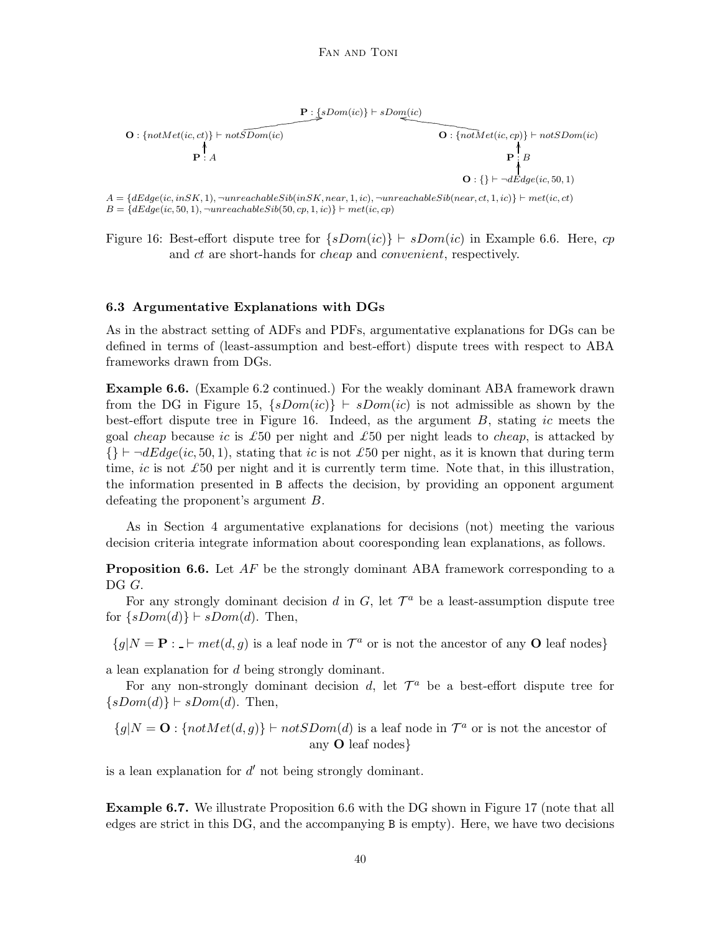



 $\mathbf{P} \uparrow B$ .<br>I  $\mathbf{O}: \{\} \vdash \neg dEdge(ic, 50, 1)$ .<br>I

 $A = \{dEdge(ic, in SK, 1), \neg unreachableSib(inSK, near, 1, ic), \neg unreachableSib(near, ct, 1, ic)\}\vdash met(ic, ct)$  $B = \{dEdge(ic, 50, 1), \neg unreachableSib(50, cp, 1, ic)\}\vdash met(ic, cp)$ 

Figure 16: Best-effort dispute tree for  $\{sDom(ic)\}\vdash sDom(ic)$  in Example 6.6. Here, cp and ct are short-hands for *cheap* and *convenient*, respectively.

#### 6.3 Argumentative Explanations with DGs

As in the abstract setting of ADFs and PDFs, argumentative explanations for DGs can be defined in terms of (least-assumption and best-effort) dispute trees with respect to ABA frameworks drawn from DGs.

Example 6.6. (Example 6.2 continued.) For the weakly dominant ABA framework drawn from the DG in Figure 15,  $\{sDom(ic)\}\vdash sDom(ic)$  is not admissible as shown by the best-effort dispute tree in Figure 16. Indeed, as the argument  $B$ , stating ic meets the goal *cheap* because ic is £50 per night and £50 per night leads to *cheap*, is attacked by  $\{\}\vdash \neg dEdge(ic, 50, 1),$  stating that ic is not £50 per night, as it is known that during term time, ic is not £50 per night and it is currently term time. Note that, in this illustration, the information presented in B affects the decision, by providing an opponent argument defeating the proponent's argument B.

As in Section 4 argumentative explanations for decisions (not) meeting the various decision criteria integrate information about cooresponding lean explanations, as follows.

**Proposition 6.6.** Let  $AF$  be the strongly dominant ABA framework corresponding to a DG G.

For any strongly dominant decision d in  $G$ , let  $\mathcal{T}^a$  be a least-assumption dispute tree for  $\{sDom(d)\}\vdash sDom(d)$ . Then,

 ${g|N = \mathbf{P} : \mathbf{P} \cdot \mathbf{P}}$  is a leaf node in  $\mathcal{T}^a$  or is not the ancestor of any **O** leaf nodes

a lean explanation for d being strongly dominant.

For any non-strongly dominant decision  $d$ , let  $\mathcal{T}^a$  be a best-effort dispute tree for  $\{sDom(d)\}\vdash sDom(d)$ . Then,

$$
\{g|N = \mathbf{O} : \{notMet(d,g)\} \vdash notSDom(d) \text{ is a leaf node in } \mathcal{T}^a \text{ or is not the ancestor of any } \mathbf{O} \text{ leaf nodes} \}
$$

is a lean explanation for  $d'$  not being strongly dominant.

Example 6.7. We illustrate Proposition 6.6 with the DG shown in Figure 17 (note that all edges are strict in this DG, and the accompanying B is empty). Here, we have two decisions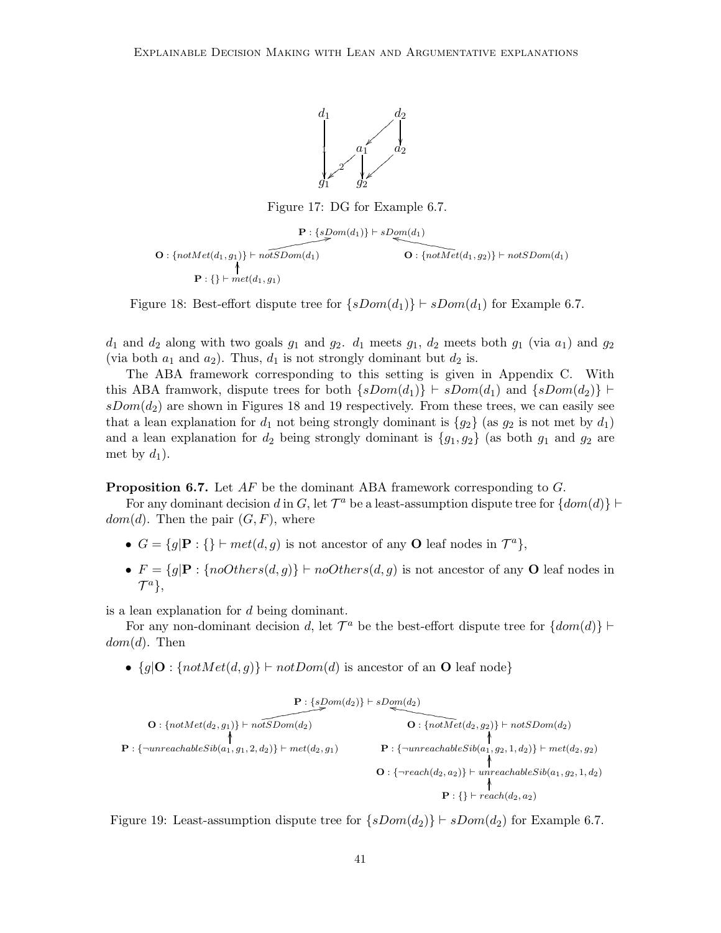

Figure 17: DG for Example 6.7.

$$
\mathbf{P}: \{sDom(d_1)\} \vdash sDom(d_1)
$$
\n
$$
\mathbf{O}: \{notMet(d_1, g_1)\} \vdash notSDom(d_1)
$$
\n
$$
\mathbf{P}: \{\} \vdash met(d_1, g_1)
$$
\n
$$
\mathbf{P}: \{gt; met(d_1, g_2)\} \vdash net\{f_1, f_2\}
$$

Figure 18: Best-effort dispute tree for  $\{sDom(d_1)\} \vdash sDom(d_1)$  for Example 6.7.

 $d_1$  and  $d_2$  along with two goals  $g_1$  and  $g_2$ .  $d_1$  meets  $g_1$ ,  $d_2$  meets both  $g_1$  (via  $a_1$ ) and  $g_2$ (via both  $a_1$  and  $a_2$ ). Thus,  $d_1$  is not strongly dominant but  $d_2$  is.

The ABA framework corresponding to this setting is given in Appendix C. With this ABA framwork, dispute trees for both  $\{sDom(d_1)\}\vdash sDom(d_1)$  and  $\{sDom(d_2)\}\vdash$  $sDom(d_2)$  are shown in Figures 18 and 19 respectively. From these trees, we can easily see that a lean explanation for  $d_1$  not being strongly dominant is  $\{g_2\}$  (as  $g_2$  is not met by  $d_1$ ) and a lean explanation for  $d_2$  being strongly dominant is  $\{g_1, g_2\}$  (as both  $g_1$  and  $g_2$  are met by  $d_1$ ).

**Proposition 6.7.** Let  $AF$  be the dominant ABA framework corresponding to  $G$ .

For any dominant decision d in G, let  $\mathcal{T}^a$  be a least-assumption dispute tree for  $\{dom(d)\}$   $\vdash$  $dom(d)$ . Then the pair  $(G, F)$ , where

- $G = \{g | \mathbf{P} : \{\} \vdash met(d, g) \text{ is not ancestor of any } \mathbf{O} \text{ leaf nodes in } \mathcal{T}^a \},\$
- $F = \{g | \mathbf{P} : \{noOthers(d, g)\} \vdash noOthers(d, g) \text{ is not ancestor of any } O \text{ leaf nodes in } \mathbb{R}$  $\mathcal{T}^a$ ,

is a lean explanation for d being dominant.

For any non-dominant decision d, let  $\mathcal{T}^a$  be the best-effort dispute tree for  $\{dom(d)\}$  ⊢  $dom(d)$ . Then

•  ${g|\mathbf{O}: \{notMet(d, g)\}\vdash notDom(d) \text{ is ancestor of an }\mathbf{O} \text{ leaf node}}$ 

$$
\mathbf{P}: \{notMet(d_2, g_1)\} \vdash \underbrace{\mathbf{P}: \{sDom(d_2)\}}_{\mathbf{P}: \{\neg unreachableSib(a_1, g_1, 2, d_2)\}} \vdash \underbrace{\mathbf{P}: \{otSet(\mathbf{Q}_2, g_2)\}}_{\mathbf{P}: \{\neg unreachableSib(a_1, g_2, 1, d_2)\}} \vdash \underbrace{\mathbf{P}: \{\neg unreachableSib(a_1, g_2, 1, d_2)\}}_{\mathbf{P}: \{\neg reach(d_2, a_2)\}} \vdash \underbrace{\mathbf{P}: \{\neg reach(d_2, a_2)\}}_{\mathbf{P}: \{\} \vdash \text{reach}(d_2, a_2)}
$$

Figure 19: Least-assumption dispute tree for  $\{sDom(d_2)\}\vdash sDom(d_2)$  for Example 6.7.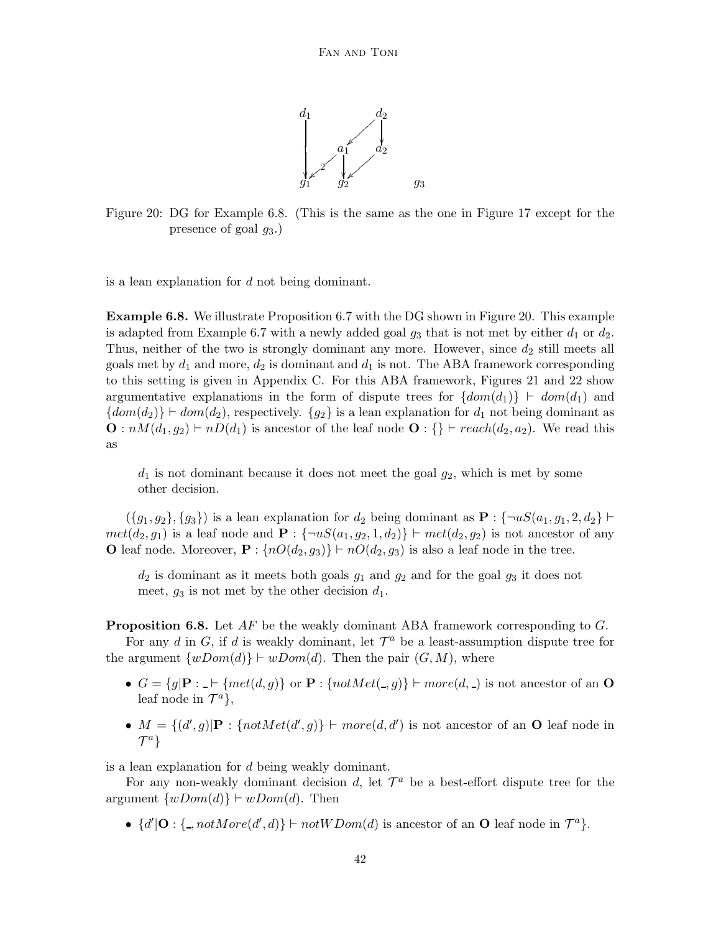

Figure 20: DG for Example 6.8. (This is the same as the one in Figure 17 except for the presence of goal  $q_3$ .)

is a lean explanation for d not being dominant.

Example 6.8. We illustrate Proposition 6.7 with the DG shown in Figure 20. This example is adapted from Example 6.7 with a newly added goal  $g_3$  that is not met by either  $d_1$  or  $d_2$ . Thus, neither of the two is strongly dominant any more. However, since  $d_2$  still meets all goals met by  $d_1$  and more,  $d_2$  is dominant and  $d_1$  is not. The ABA framework corresponding to this setting is given in Appendix C. For this ABA framework, Figures 21 and 22 show argumentative explanations in the form of dispute trees for  $\{dom(d_1)\}\vdash dom(d_1)$  and  ${dom(d_2)}$   $\vdash dom(d_2)$ , respectively.  ${g_2}$  is a lean explanation for  $d_1$  not being dominant as  $\mathbf{O}: nM(d_1, g_2) \vdash nD(d_1)$  is ancestor of the leaf node  $\mathbf{O}: \{\} \vdash reach(d_2, a_2)$ . We read this as

 $d_1$  is not dominant because it does not meet the goal  $g_2$ , which is met by some other decision.

 $(\{g_1, g_2\}, \{g_3\})$  is a lean explanation for  $d_2$  being dominant as  $\mathbf{P}: \{\neg uS(a_1, g_1, 2, d_2\} \vdash$  $met(d_2, g_1)$  is a leaf node and  $\mathbf{P}$  : { $\neg uS(a_1, g_2, 1, d_2)$ }  $\vdash met(d_2, g_2)$  is not ancestor of any O leaf node. Moreover,  $\mathbf{P}$  :  $\{nO(d_2, g_3)\}\vdash nO(d_2, g_3)$  is also a leaf node in the tree.

 $d_2$  is dominant as it meets both goals  $g_1$  and  $g_2$  and for the goal  $g_3$  it does not meet,  $g_3$  is not met by the other decision  $d_1$ .

**Proposition 6.8.** Let  $AF$  be the weakly dominant ABA framework corresponding to  $G$ .

For any d in G, if d is weakly dominant, let  $\mathcal{T}^a$  be a least-assumption dispute tree for the argument  $\{wDom(d)\}\vdash wDom(d)$ . Then the pair  $(G, M)$ , where

- $G = \{g | \mathbf{P} : \mathbf{P} \mid \{met(d, g)\}\}\$  or  $\mathbf{P} : \{notMet(\mathbf{Q}, g)\}\vdash more(d, \mathbf{Q})$  is not ancestor of an  $\mathbf{O}$ leaf node in  $\mathcal{T}^a$ ,
- $M = \{(d', g)| \mathbf{P} : \{notMet(d', g)\}\vdash more(d, d') \text{ is not ancestor of an } O \text{ leaf node in }\mathbf{P} \}$  $\mathcal{T}^a$

is a lean explanation for d being weakly dominant.

For any non-weakly dominant decision d, let  $\mathcal{T}^a$  be a best-effort dispute tree for the argument  $\{wDom(d)\}\vdash wDom(d)$ . Then

•  $\{d' | \mathbf{O} : \{\text{-}notMore(d', d)\} \vdash notWDom(d) \text{ is ancestor of an } \mathbf{O} \text{ leaf node in } \mathcal{T}^a \}.$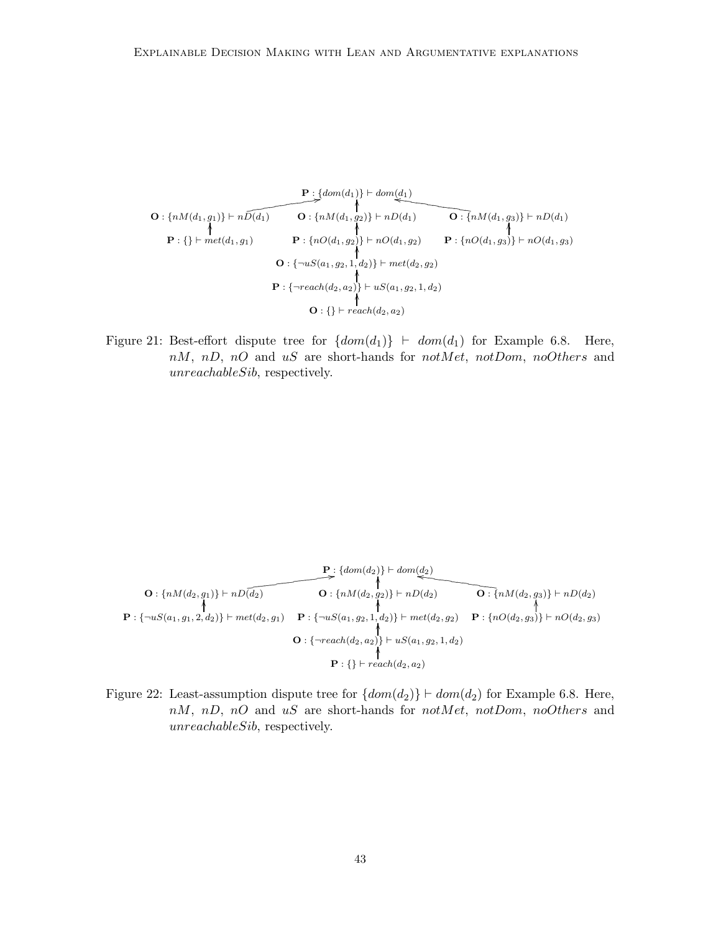$$
\mathbf{O}: \{nM(d_1, g_1)\} \vdash n\widetilde{D(d_1)} \qquad \mathbf{O}: \{nM(d_1, g_2)\} \vdash nD(d_1) \qquad \mathbf{O}: \{nM(d_1, g_3)\} \vdash nD(d_1) \}
$$
\n
$$
\mathbf{P}: \{\} \vdash met(d_1, g_1) \qquad \mathbf{P}: \{nO(d_1, g_2)\} \vdash nO(d_1, g_2) \qquad \mathbf{P}: \{nO(d_1, g_3)\} \vdash nO(d_1, g_3) \}
$$
\n
$$
\mathbf{O}: \{\neg uS(a_1, g_2, 1, d_2)\} \vdash met(d_2, g_2) \qquad \mathbf{P}: \{\neg reach(d_2, a_2)\} \vdash uS(a_1, g_2, 1, d_2) \}
$$
\n
$$
\mathbf{O}: \{\} \vdash reach(d_2, a_2)
$$

Figure 21: Best-effort dispute tree for  $\{dom(d_1)\}\ \vdash dom(d_1)$  for Example 6.8. Here,  $nM$ ,  $nD$ ,  $nO$  and  $uS$  are short-hands for  $notMet$ ,  $notDom$ ,  $noOthers$  and unreachableSib, respectively.

$$
\mathbf{P}: \{dom(d_2)\} \vdash dom(d_2) \qquad \qquad \uparrow \qquad \qquad \uparrow
$$
\n
$$
\mathbf{P}: \{mM(d_2, g_1)\} \vdash nD(d_2) \qquad \qquad \uparrow
$$
\n
$$
\mathbf{P}: \{\neg uS(a_1, g_1, 2, d_2)\} \vdash met(d_2, g_1) \qquad \mathbf{P}: \{\neg uS(a_1, g_2, 1, d_2)\} \vdash met(d_2, g_2) \qquad \mathbf{P}: \{nO(d_2, g_3)\} \vdash nO(d_2, g_3)
$$
\n
$$
\mathbf{O}: \{\neg reach(d_2, a_2)\} \vdash uS(a_1, g_2, 1, d_2)
$$
\n
$$
\mathbf{P}: \{\} \vdash reach(d_2, a_2)
$$

Figure 22: Least-assumption dispute tree for  $\{dom(d_2)\} \vdash dom(d_2)$  for Example 6.8. Here,  $nM$ ,  $nD$ ,  $nO$  and  $uS$  are short-hands for  $notMet$ ,  $notDom$ ,  $noOthers$  and unreachableSib, respectively.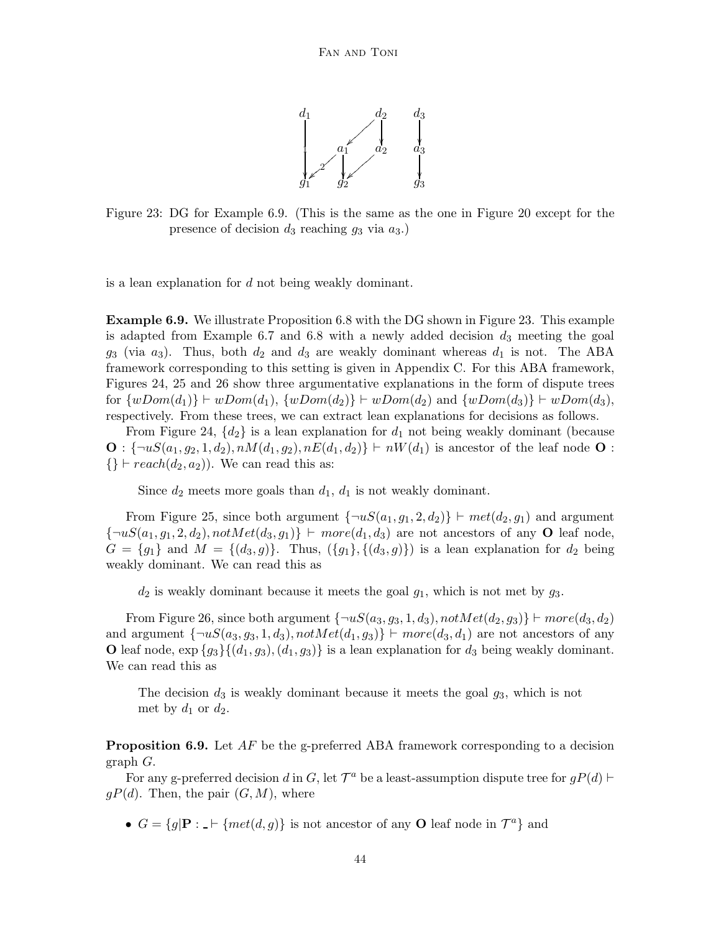

Figure 23: DG for Example 6.9. (This is the same as the one in Figure 20 except for the presence of decision  $d_3$  reaching  $g_3$  via  $a_3$ .)

is a lean explanation for d not being weakly dominant.

Example 6.9. We illustrate Proposition 6.8 with the DG shown in Figure 23. This example is adapted from Example 6.7 and 6.8 with a newly added decision  $d_3$  meeting the goal  $g_3$  (via  $a_3$ ). Thus, both  $d_2$  and  $d_3$  are weakly dominant whereas  $d_1$  is not. The ABA framework corresponding to this setting is given in Appendix C. For this ABA framework, Figures 24, 25 and 26 show three argumentative explanations in the form of dispute trees for  $\{wDom(d_1)\}\vdash wDom(d_1), \{wDom(d_2)\}\vdash wDom(d_2)$  and  $\{wDom(d_3)\}\vdash wDom(d_3),$ respectively. From these trees, we can extract lean explanations for decisions as follows.

From Figure 24,  $\{d_2\}$  is a lean explanation for  $d_1$  not being weakly dominant (because  $\mathbf{O}: \{\neg uS(a_1, g_2, 1, d_2), nM(d_1, g_2), nE(d_1, d_2)\}\vdash nW(d_1)$  is ancestor of the leaf node  $\mathbf{O}:$  $\{\}\vdash reach(d_2, a_2)$ ). We can read this as:

Since  $d_2$  meets more goals than  $d_1$ ,  $d_1$  is not weakly dominant.

From Figure 25, since both argument  $\{\neg uS(a_1, g_1, 2, d_2)\}\vdash met(d_2, g_1)$  and argument  ${\lbrace \neg uS(a_1, g_1, 2, d_2), notMet(d_3, g_1) \rbrace \vdash more(d_1, d_3)}$  are not ancestors of any **O** leaf node,  $G = \{g_1\}$  and  $M = \{(d_3, g)\}\$ . Thus,  $(\{g_1\}, \{(d_3, g)\})$  is a lean explanation for  $d_2$  being weakly dominant. We can read this as

 $d_2$  is weakly dominant because it meets the goal  $g_1$ , which is not met by  $g_3$ .

From Figure 26, since both argument  $\{\neg uS(a_3, g_3, 1, d_3), notMet(d_2, g_3)\}\vdash more(d_3, d_2)$ and argument  $\{\neg uS(a_3, g_3, 1, d_3), notMet(d_1, g_3)\}\vdash more(d_3, d_1)$  are not ancestors of any O leaf node,  $\exp \{g_3\}\{(d_1, g_3), (d_1, g_3)\}\$ is a lean explanation for  $d_3$  being weakly dominant. We can read this as

The decision  $d_3$  is weakly dominant because it meets the goal  $g_3$ , which is not met by  $d_1$  or  $d_2$ .

**Proposition 6.9.** Let  $AF$  be the g-preferred ABA framework corresponding to a decision graph G.

For any g-preferred decision d in G, let  $\mathcal{T}^a$  be a least-assumption dispute tree for  $gP(d)$   $\vdash$  $gP(d)$ . Then, the pair  $(G, M)$ , where

•  $G = \{g | \mathbf{P} : \mathbf{I} \mid \{met(d, g)\}\}\$ is not ancestor of any **O** leaf node in  $\mathcal{T}^a\}$  and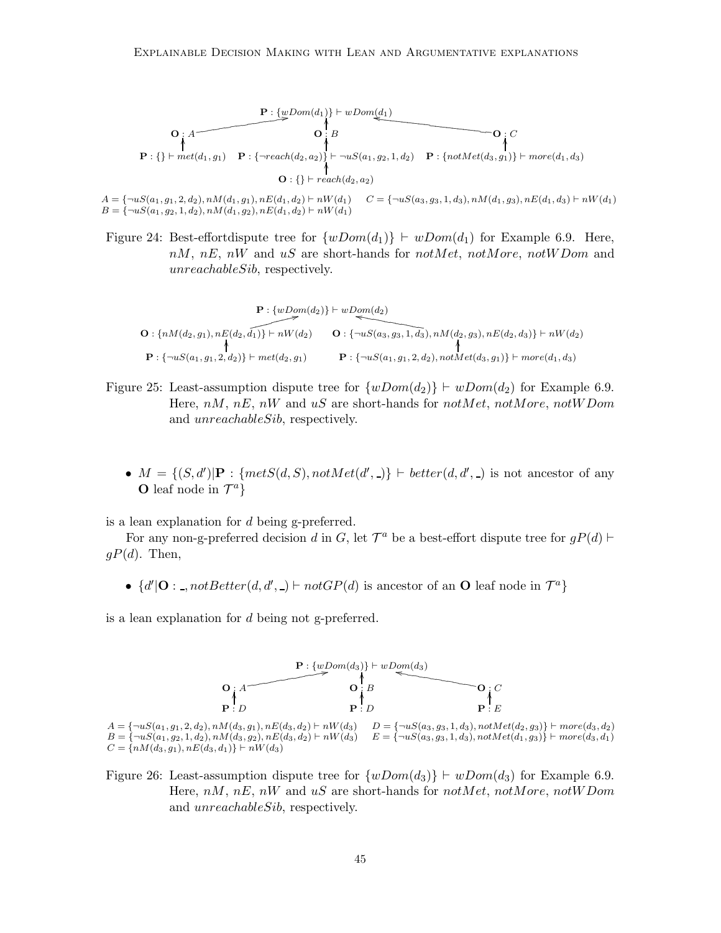

$$
A = \{\neg uS(a_1, g_1, 2, d_2), nM(d_1, g_1), nE(d_1, d_2) \vdash nW(d_1) \quad C = \{\neg uS(a_3, g_3, 1, d_3), nM(d_1, g_3), nE(d_1, d_3) \vdash nW(d_1) \land B = \{\neg uS(a_1, g_2, 1, d_2), nM(d_1, g_2), nE(d_1, d_2) \vdash nW(d_1) \land B = \{\neg uS(a_1, g_2, 1, d_2), nM(d_1, g_2), nE(d_1, d_2) \vdash nW(d_1) \land B = \{\neg uS(a_1, g_3, 1, d_3), nE(d_1, d_3) \vdash nW(d_1) \land B = \{\neg uS(a_1, g_3, 1, d_3), nE(d_1, d_3) \vdash nW(d_1) \land B = \{\neg uS(a_1, g_3, 1, d_3), nE(d_1, d_3) \vdash nW(d_1) \land B = \{\neg uS(a_1, g_3, 1, d_3), nE(d_1, d_3) \vdash nW(d_1) \land B = \{\neg uS(a_1, g_3, 1, d_3), nE(d_1, d_3) \vdash nW(d_1) \land B = \{\neg uS(a_1, g_3, 1, d_3) \land mE(d_1, d_3) \vdash nW(d_1) \land B = \{\neg uS(a_1, g_3, 1, d_3) \land mE(d_1, d_3) \vdash nW(d_1) \land B = \{\neg uS(a_1, g_3, 1, d_3) \land mE(d_1, d_3) \vdash nW(d_1) \land B = \{\neg uS(a_1, g_3, 1, d_3) \land mE(d_1, d_3) \vdash nW(d_1) \land B = \{\neg uS(a_1, g_3, 1, d_3) \land mE(d_1, d_3) \land B = \{\neg uS(a_1, g_3, 1, d_3) \land mE(d_1, d_3) \land B = \{\neg uS(a_1, g_3, 1, d_3) \land mE(d_1) \land B = \{\neg uS(a_1, g_3, 1, d_3) \land mE(d_1) \land B = \{\neg uS(a_1, g_3,
$$

Figure 24: Best-effortdispute tree for  $\{wDom(d_1)\}\vdash wDom(d_1)$  for Example 6.9. Here,  $nM$ ,  $nE$ ,  $nW$  and  $uS$  are short-hands for  $notMet$ ,  $notMore$ ,  $notWDom$  and unreachableSib, respectively.

$$
\mathbf{O}: \{nM(d_2, g_1), nE(d_2, \widehat{d_1})\} \vdash nW(d_2) \qquad \mathbf{O}: \{\neg uS(a_3, g_3, 1, \widehat{d_3}), nM(d_2, g_3), nE(d_2, d_3)\} \vdash nW(d_2) \}
$$
\n
$$
\mathbf{P}: \{\neg uS(a_1, g_1, 2, d_2)\} \vdash met(d_2, g_1) \qquad \mathbf{P}: \{\neg uS(a_1, g_1, 2, d_2), n\text{ of } t(d_3, g_1)\} \vdash more(d_1, d_3)
$$

- Figure 25: Least-assumption dispute tree for  $\{wDom(d_2)\}\vdash wDom(d_2)$  for Example 6.9. Here,  $nM$ ,  $nE$ ,  $nW$  and  $uS$  are short-hands for  $notMet$ ,  $not More$ ,  $notW$ and unreachableSib, respectively.
	- $M = \{(S, d') | P : \{metS(d, S), notMet(d', -)\}\vdash better(d, d', -)$  is not ancestor of any **O** leaf node in  $\mathcal{T}^a$ }

is a lean explanation for d being g-preferred.

For any non-g-preferred decision d in G, let  $\mathcal{T}^a$  be a best-effort dispute tree for  $gP(d)$   $\vdash$  $gP(d)$ . Then,

•  $\{d' | \mathbf{O} : \_, not Better(d, d', \_) \vdash not GP(d) \text{ is ancestor of an } \mathbf{O} \text{ leaf node in } \mathcal{T}^a\}$ 

is a lean explanation for d being not g-preferred.



 $A = \{\neg u S(a_1, g_1, 2, d_2), n M(d_3, g_1), n E(d_3, d_2) \vdash n W(d_3) \}$   $D = \{\neg u S(a_3, g_3, 1, d_3), n o t M e t (d_2, g_3) \} \vdash more(d_3, d_2)$  $B = \{\neg u S(a_1, g_2, 1, d_2), n M(d_3, g_2), n E(d_3, d_2) \vdash n W(d_3) \}$   $E = \{\neg u S(a_3, g_3, 1, d_3), n o t M e t(d_1, g_3)\}\vdash more(d_3, d_1)$  $C = \{nM(d_3, g_1), nE(d_3, d_1)\}\vdash nW(d_3)$ 

Figure 26: Least-assumption dispute tree for  $\{wDom(d_3)\}\vdash wDom(d_3)$  for Example 6.9. Here,  $nM$ ,  $nE$ ,  $nW$  and uS are short-hands for notMet, notMore, notWDom and unreachableSib, respectively.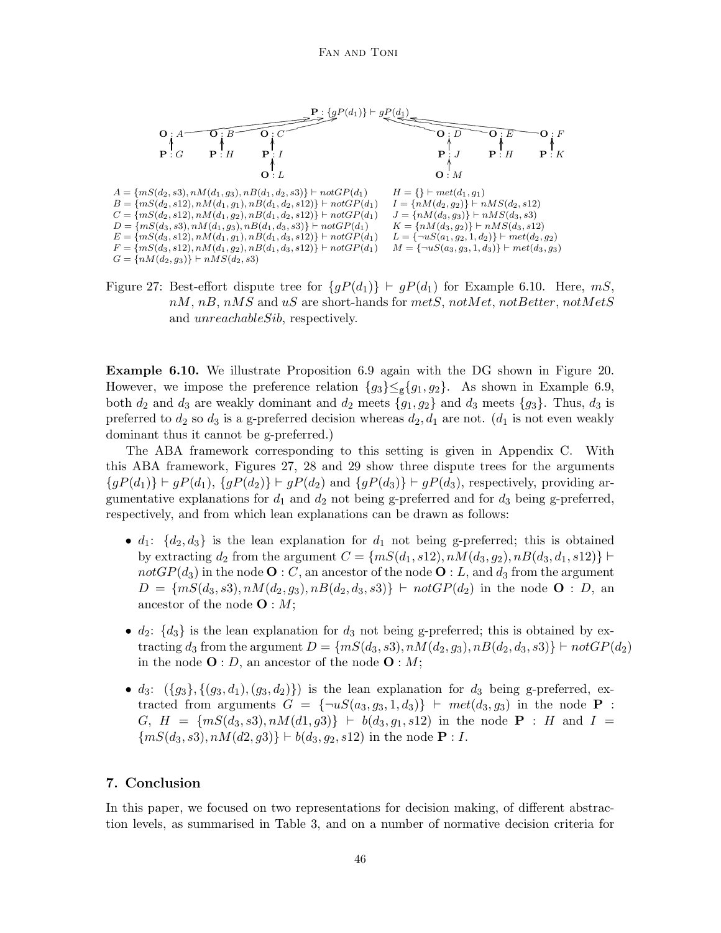

Figure 27: Best-effort dispute tree for  ${gP(d_1)}$  ⊢  $gP(d_1)$  for Example 6.10. Here, mS,  $nM$ ,  $nB$ ,  $nMS$  and  $uS$  are short-hands for  $mets$ ,  $notMet$ ,  $not Better$ ,  $not MetS$ and unreachableSib, respectively.

Example 6.10. We illustrate Proposition 6.9 again with the DG shown in Figure 20. However, we impose the preference relation  ${g_3} \leq_g {g_1, g_2}$ . As shown in Example 6.9, both  $d_2$  and  $d_3$  are weakly dominant and  $d_2$  meets  $\{g_1, g_2\}$  and  $d_3$  meets  $\{g_3\}$ . Thus,  $d_3$  is preferred to  $d_2$  so  $d_3$  is a g-preferred decision whereas  $d_2, d_1$  are not.  $(d_1$  is not even weakly dominant thus it cannot be g-preferred.)

The ABA framework corresponding to this setting is given in Appendix C. With this ABA framework, Figures 27, 28 and 29 show three dispute trees for the arguments  ${gP(d_1)}$   $\vdash gP(d_1), {gP(d_2)}$   $\vdash gP(d_2)$  and  ${gP(d_3)}$   $\vdash gP(d_3)$ , respectively, providing argumentative explanations for  $d_1$  and  $d_2$  not being g-preferred and for  $d_3$  being g-preferred, respectively, and from which lean explanations can be drawn as follows:

- $d_1$ :  $\{d_2, d_3\}$  is the lean explanation for  $d_1$  not being g-preferred; this is obtained by extracting  $d_2$  from the argument  $C = \{mS(d_1, s12), nM(d_3, g_2), nB(d_3, d_1, s12)\}\vdash$ notGP( $d_3$ ) in the node **O** : C, an ancestor of the node **O** : L, and  $d_3$  from the argument  $D = \{mS(d_3, s3), nM(d_2, g_3), nB(d_2, d_3, s3)\}\,\vdash\nobreak notGP(d_2)$  in the node  $O: D$ , an ancestor of the node  $\mathbf{O}: M;$
- $d_2$ :  $\{d_3\}$  is the lean explanation for  $d_3$  not being g-preferred; this is obtained by extracting d<sub>3</sub> from the argument  $D = \{mS(d_3, s3), nM(d_2, g_3), nB(d_2, d_3, s3)\}\vdash notGP(d_2)$ in the node  $\mathbf{O}: D$ , an ancestor of the node  $\mathbf{O}: M$ ;
- d<sub>3</sub>:  $({g_3}, {g_3}, {g_1}, {g_3}, {d_2})$  is the lean explanation for d<sub>3</sub> being g-preferred, extracted from arguments  $G = {\neg uS(a_3, g_3, 1, d_3)}$  ⊢  $met(d_3, g_3)$  in the node **P** : G,  $H = \{mS(d_3, s3), nM(d1, g3)\}\ + b(d_3, g_1, s12)$  in the node **P** : H and  $I =$  ${mS(d_3, s3), nM(d2, g3)} \vdash b(d_3, g_2, s12)$  in the node **P** : *I*.

## 7. Conclusion

In this paper, we focused on two representations for decision making, of different abstraction levels, as summarised in Table 3, and on a number of normative decision criteria for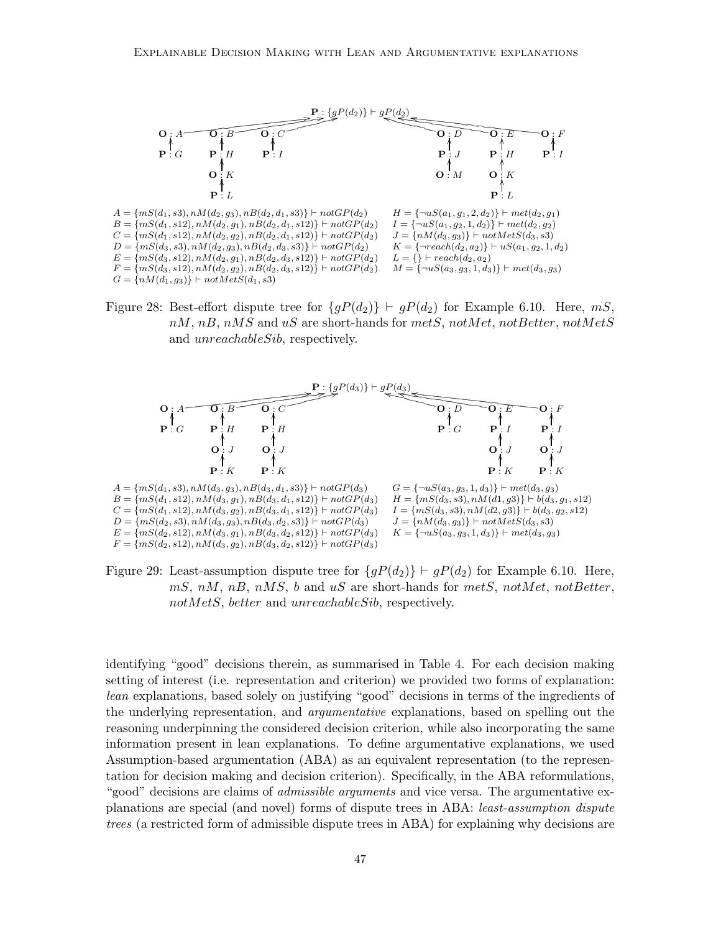

Figure 28: Best-effort dispute tree for  ${gP(d_2)}$   $\vdash$   $gP(d_2)$  for Example 6.10. Here, mS,  $nM$ ,  $nB$ ,  $nMS$  and  $uS$  are short-hands for  $mets$ ,  $notMet$ ,  $notBetter$ ,  $notMets$ and unreachableSib, respectively.



Figure 29: Least-assumption dispute tree for  ${gP(d_2)}$   $\vdash$   $gP(d_2)$  for Example 6.10. Here,  $mS$ ,  $nM$ ,  $nB$ ,  $nMS$ ,  $b$  and  $uS$  are short-hands for  $m$ etS, notMet, notBetter, notMetS, better and unreachableSib, respectively.

identifying "good" decisions therein, as summarised in Table 4. For each decision making setting of interest (i.e. representation and criterion) we provided two forms of explanation: lean explanations, based solely on justifying "good" decisions in terms of the ingredients of the underlying representation, and argumentative explanations, based on spelling out the reasoning underpinning the considered decision criterion, while also incorporating the same information present in lean explanations. To define argumentative explanations, we used Assumption-based argumentation (ABA) as an equivalent representation (to the representation for decision making and decision criterion). Specifically, in the ABA reformulations, "good" decisions are claims of *admissible arguments* and vice versa. The argumentative explanations are special (and novel) forms of dispute trees in ABA: least-assumption dispute trees (a restricted form of admissible dispute trees in ABA) for explaining why decisions are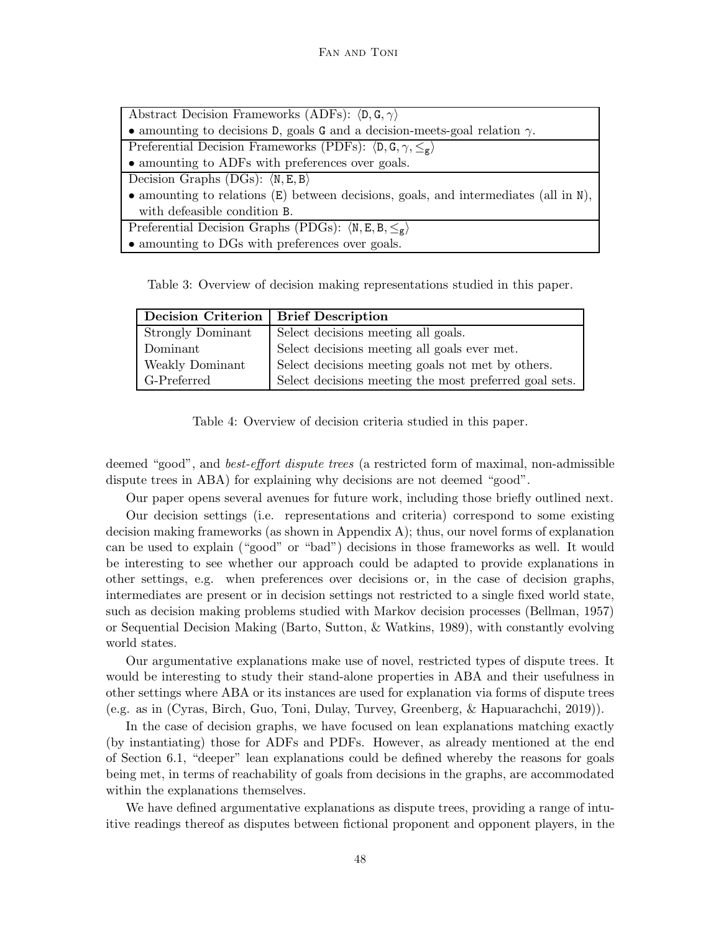| Abstract Decision Frameworks (ADFs): $\langle D, G, \gamma \rangle$                    |
|----------------------------------------------------------------------------------------|
| • amounting to decisions D, goals G and a decision-meets-goal relation $\gamma$ .      |
| Preferential Decision Frameworks (PDFs): $\langle D, G, \gamma, \leq_g \rangle$        |
| • amounting to ADFs with preferences over goals.                                       |
| Decision Graphs (DGs): $\langle N, E, B \rangle$                                       |
| • amounting to relations $(E)$ between decisions, goals, and intermediates (all in N), |
| with defeasible condition B.                                                           |
| Preferential Decision Graphs (PDGs): $\langle N, E, B, \leq_g \rangle$                 |
| • amounting to DGs with preferences over goals.                                        |

Table 3: Overview of decision making representations studied in this paper.

| Decision Criterion | <b>Brief Description</b>                               |
|--------------------|--------------------------------------------------------|
| Strongly Dominant  | Select decisions meeting all goals.                    |
| Dominant           | Select decisions meeting all goals ever met.           |
| Weakly Dominant    | Select decisions meeting goals not met by others.      |
| G-Preferred        | Select decisions meeting the most preferred goal sets. |

Table 4: Overview of decision criteria studied in this paper.

deemed "good", and *best-effort dispute trees* (a restricted form of maximal, non-admissible dispute trees in ABA) for explaining why decisions are not deemed "good".

Our paper opens several avenues for future work, including those briefly outlined next.

Our decision settings (i.e. representations and criteria) correspond to some existing decision making frameworks (as shown in Appendix A); thus, our novel forms of explanation can be used to explain ("good" or "bad") decisions in those frameworks as well. It would be interesting to see whether our approach could be adapted to provide explanations in other settings, e.g. when preferences over decisions or, in the case of decision graphs, intermediates are present or in decision settings not restricted to a single fixed world state, such as decision making problems studied with Markov decision processes (Bellman, 1957) or Sequential Decision Making (Barto, Sutton, & Watkins, 1989), with constantly evolving world states.

Our argumentative explanations make use of novel, restricted types of dispute trees. It would be interesting to study their stand-alone properties in ABA and their usefulness in other settings where ABA or its instances are used for explanation via forms of dispute trees (e.g. as in (Cyras, Birch, Guo, Toni, Dulay, Turvey, Greenberg, & Hapuarachchi, 2019)).

In the case of decision graphs, we have focused on lean explanations matching exactly (by instantiating) those for ADFs and PDFs. However, as already mentioned at the end of Section 6.1, "deeper" lean explanations could be defined whereby the reasons for goals being met, in terms of reachability of goals from decisions in the graphs, are accommodated within the explanations themselves.

We have defined argumentative explanations as dispute trees, providing a range of intuitive readings thereof as disputes between fictional proponent and opponent players, in the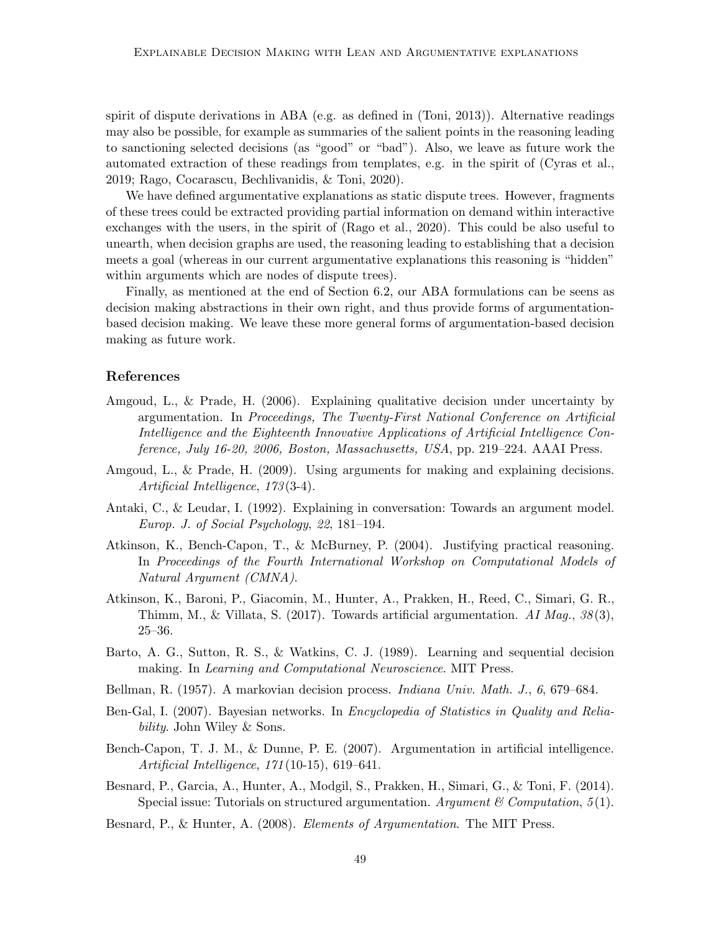spirit of dispute derivations in ABA (e.g. as defined in (Toni, 2013)). Alternative readings may also be possible, for example as summaries of the salient points in the reasoning leading to sanctioning selected decisions (as "good" or "bad"). Also, we leave as future work the automated extraction of these readings from templates, e.g. in the spirit of (Cyras et al., 2019; Rago, Cocarascu, Bechlivanidis, & Toni, 2020).

We have defined argumentative explanations as static dispute trees. However, fragments of these trees could be extracted providing partial information on demand within interactive exchanges with the users, in the spirit of (Rago et al., 2020). This could be also useful to unearth, when decision graphs are used, the reasoning leading to establishing that a decision meets a goal (whereas in our current argumentative explanations this reasoning is "hidden" within arguments which are nodes of dispute trees).

Finally, as mentioned at the end of Section 6.2, our ABA formulations can be seens as decision making abstractions in their own right, and thus provide forms of argumentationbased decision making. We leave these more general forms of argumentation-based decision making as future work.

## References

- Amgoud, L., & Prade, H. (2006). Explaining qualitative decision under uncertainty by argumentation. In Proceedings, The Twenty-First National Conference on Artificial Intelligence and the Eighteenth Innovative Applications of Artificial Intelligence Conference, July 16-20, 2006, Boston, Massachusetts, USA, pp. 219–224. AAAI Press.
- Amgoud, L., & Prade, H. (2009). Using arguments for making and explaining decisions. Artificial Intelligence, 173(3-4).
- Antaki, C., & Leudar, I. (1992). Explaining in conversation: Towards an argument model. Europ. J. of Social Psychology, 22, 181–194.
- Atkinson, K., Bench-Capon, T., & McBurney, P. (2004). Justifying practical reasoning. In Proceedings of the Fourth International Workshop on Computational Models of Natural Argument (CMNA).
- Atkinson, K., Baroni, P., Giacomin, M., Hunter, A., Prakken, H., Reed, C., Simari, G. R., Thimm, M., & Villata, S. (2017). Towards artificial argumentation. AI Mag.,  $38(3)$ , 25–36.
- Barto, A. G., Sutton, R. S., & Watkins, C. J. (1989). Learning and sequential decision making. In Learning and Computational Neuroscience. MIT Press.
- Bellman, R. (1957). A markovian decision process. Indiana Univ. Math. J., 6, 679–684.
- Ben-Gal, I. (2007). Bayesian networks. In *Encyclopedia of Statistics in Quality and Relia*bility. John Wiley & Sons.
- Bench-Capon, T. J. M., & Dunne, P. E. (2007). Argumentation in artificial intelligence. Artificial Intelligence, 171(10-15), 619–641.
- Besnard, P., Garcia, A., Hunter, A., Modgil, S., Prakken, H., Simari, G., & Toni, F. (2014). Special issue: Tutorials on structured argumentation. Argument & Computation,  $5(1)$ .
- Besnard, P., & Hunter, A. (2008). *Elements of Argumentation*. The MIT Press.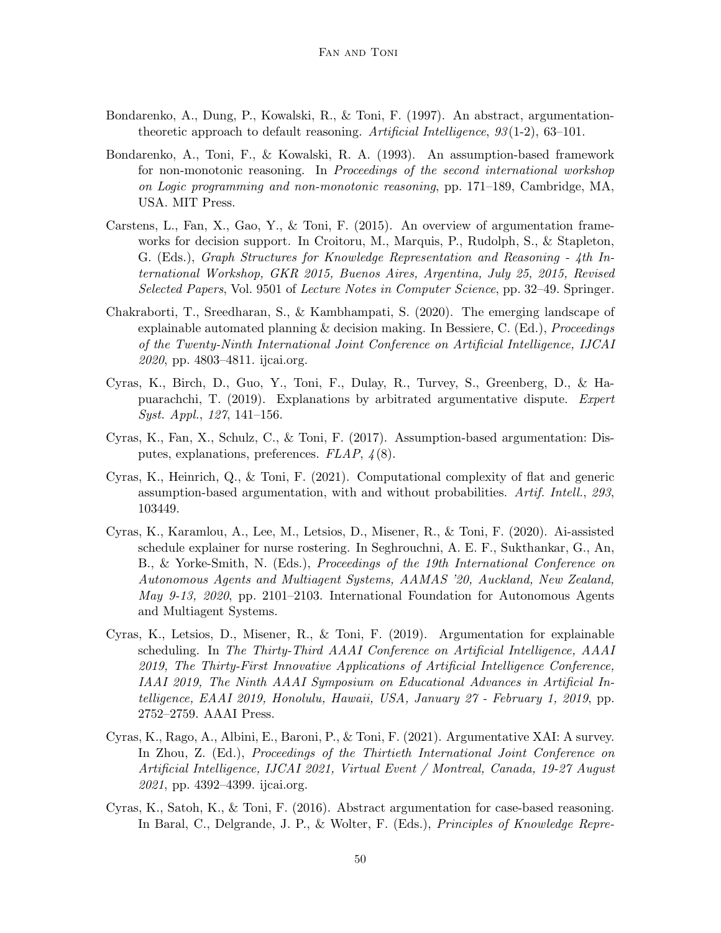- Bondarenko, A., Dung, P., Kowalski, R., & Toni, F. (1997). An abstract, argumentationtheoretic approach to default reasoning. Artificial Intelligence,  $93(1-2)$ , 63-101.
- Bondarenko, A., Toni, F., & Kowalski, R. A. (1993). An assumption-based framework for non-monotonic reasoning. In Proceedings of the second international workshop on Logic programming and non-monotonic reasoning, pp. 171–189, Cambridge, MA, USA. MIT Press.
- Carstens, L., Fan, X., Gao, Y., & Toni, F. (2015). An overview of argumentation frameworks for decision support. In Croitoru, M., Marquis, P., Rudolph, S., & Stapleton, G. (Eds.), Graph Structures for Knowledge Representation and Reasoning - 4th International Workshop, GKR 2015, Buenos Aires, Argentina, July 25, 2015, Revised Selected Papers, Vol. 9501 of Lecture Notes in Computer Science, pp. 32–49. Springer.
- Chakraborti, T., Sreedharan, S., & Kambhampati, S. (2020). The emerging landscape of explainable automated planning  $\&$  decision making. In Bessiere, C. (Ed.), *Proceedings* of the Twenty-Ninth International Joint Conference on Artificial Intelligence, IJCAI 2020, pp. 4803–4811. ijcai.org.
- Cyras, K., Birch, D., Guo, Y., Toni, F., Dulay, R., Turvey, S., Greenberg, D., & Hapuarachchi, T. (2019). Explanations by arbitrated argumentative dispute. Expert Syst. Appl., 127, 141–156.
- Cyras, K., Fan, X., Schulz, C., & Toni, F. (2017). Assumption-based argumentation: Disputes, explanations, preferences. FLAP, 4(8).
- Cyras, K., Heinrich, Q., & Toni, F. (2021). Computational complexity of flat and generic assumption-based argumentation, with and without probabilities. Artif. Intell., 293, 103449.
- Cyras, K., Karamlou, A., Lee, M., Letsios, D., Misener, R., & Toni, F. (2020). Ai-assisted schedule explainer for nurse rostering. In Seghrouchni, A. E. F., Sukthankar, G., An, B., & Yorke-Smith, N. (Eds.), Proceedings of the 19th International Conference on Autonomous Agents and Multiagent Systems, AAMAS '20, Auckland, New Zealand, May 9-13, 2020, pp. 2101–2103. International Foundation for Autonomous Agents and Multiagent Systems.
- Cyras, K., Letsios, D., Misener, R., & Toni, F. (2019). Argumentation for explainable scheduling. In The Thirty-Third AAAI Conference on Artificial Intelligence, AAAI 2019, The Thirty-First Innovative Applications of Artificial Intelligence Conference, IAAI 2019, The Ninth AAAI Symposium on Educational Advances in Artificial Intelligence, EAAI 2019, Honolulu, Hawaii, USA, January 27 - February 1, 2019, pp. 2752–2759. AAAI Press.
- Cyras, K., Rago, A., Albini, E., Baroni, P., & Toni, F. (2021). Argumentative XAI: A survey. In Zhou, Z. (Ed.), Proceedings of the Thirtieth International Joint Conference on Artificial Intelligence, IJCAI 2021, Virtual Event / Montreal, Canada, 19-27 August 2021, pp. 4392–4399. ijcai.org.
- Cyras, K., Satoh, K., & Toni, F. (2016). Abstract argumentation for case-based reasoning. In Baral, C., Delgrande, J. P., & Wolter, F. (Eds.), Principles of Knowledge Repre-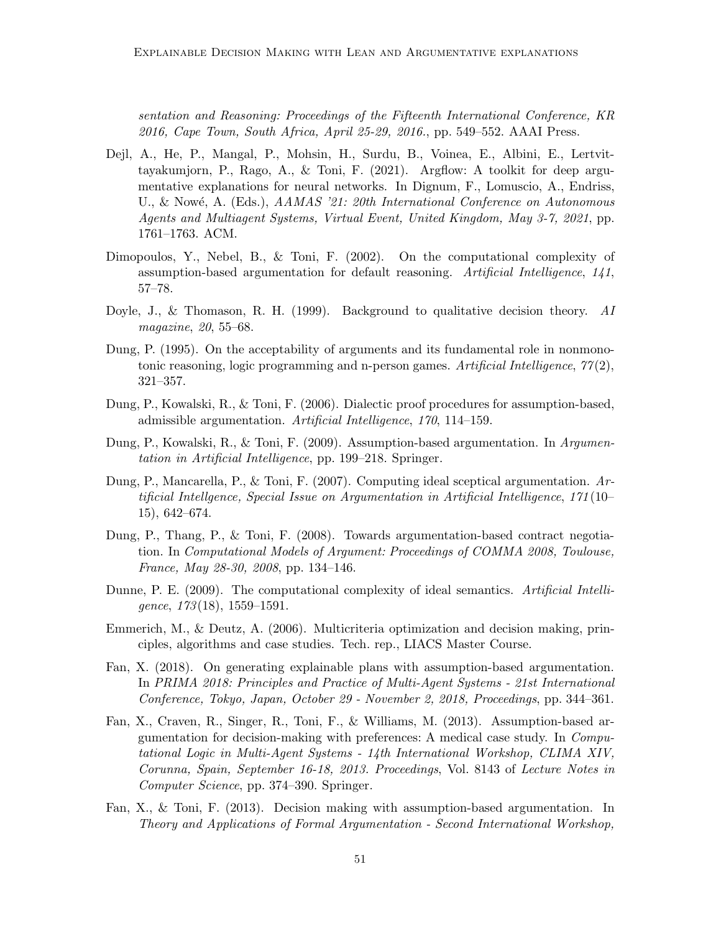sentation and Reasoning: Proceedings of the Fifteenth International Conference, KR 2016, Cape Town, South Africa, April 25-29, 2016., pp. 549–552. AAAI Press.

- Dejl, A., He, P., Mangal, P., Mohsin, H., Surdu, B., Voinea, E., Albini, E., Lertvittayakumjorn, P., Rago, A., & Toni, F. (2021). Argflow: A toolkit for deep argumentative explanations for neural networks. In Dignum, F., Lomuscio, A., Endriss, U., & Nowé, A. (Eds.), AAMAS '21: 20th International Conference on Autonomous Agents and Multiagent Systems, Virtual Event, United Kingdom, May 3-7, 2021, pp. 1761–1763. ACM.
- Dimopoulos, Y., Nebel, B., & Toni, F. (2002). On the computational complexity of assumption-based argumentation for default reasoning. Artificial Intelligence, 141, 57–78.
- Doyle, J., & Thomason, R. H. (1999). Background to qualitative decision theory.  $AI$ magazine, 20, 55–68.
- Dung, P. (1995). On the acceptability of arguments and its fundamental role in nonmonotonic reasoning, logic programming and n-person games. Artificial Intelligence,  $77(2)$ , 321–357.
- Dung, P., Kowalski, R., & Toni, F. (2006). Dialectic proof procedures for assumption-based, admissible argumentation. Artificial Intelligence, 170, 114–159.
- Dung, P., Kowalski, R., & Toni, F. (2009). Assumption-based argumentation. In Argumentation in Artificial Intelligence, pp. 199–218. Springer.
- Dung, P., Mancarella, P., & Toni, F. (2007). Computing ideal sceptical argumentation. Artificial Intellgence, Special Issue on Argumentation in Artificial Intelligence, 171(10– 15), 642–674.
- Dung, P., Thang, P., & Toni, F. (2008). Towards argumentation-based contract negotiation. In Computational Models of Argument: Proceedings of COMMA 2008, Toulouse, France, May 28-30, 2008, pp. 134–146.
- Dunne, P. E. (2009). The computational complexity of ideal semantics. Artificial Intelli- $\text{gence}, \ 173(18), \ 1559-1591.$
- Emmerich, M., & Deutz, A. (2006). Multicriteria optimization and decision making, principles, algorithms and case studies. Tech. rep., LIACS Master Course.
- Fan, X. (2018). On generating explainable plans with assumption-based argumentation. In PRIMA 2018: Principles and Practice of Multi-Agent Systems - 21st International Conference, Tokyo, Japan, October 29 - November 2, 2018, Proceedings, pp. 344–361.
- Fan, X., Craven, R., Singer, R., Toni, F., & Williams, M. (2013). Assumption-based argumentation for decision-making with preferences: A medical case study. In Computational Logic in Multi-Agent Systems - 14th International Workshop, CLIMA XIV, Corunna, Spain, September 16-18, 2013. Proceedings, Vol. 8143 of Lecture Notes in Computer Science, pp. 374–390. Springer.
- Fan, X., & Toni, F. (2013). Decision making with assumption-based argumentation. In Theory and Applications of Formal Argumentation - Second International Workshop,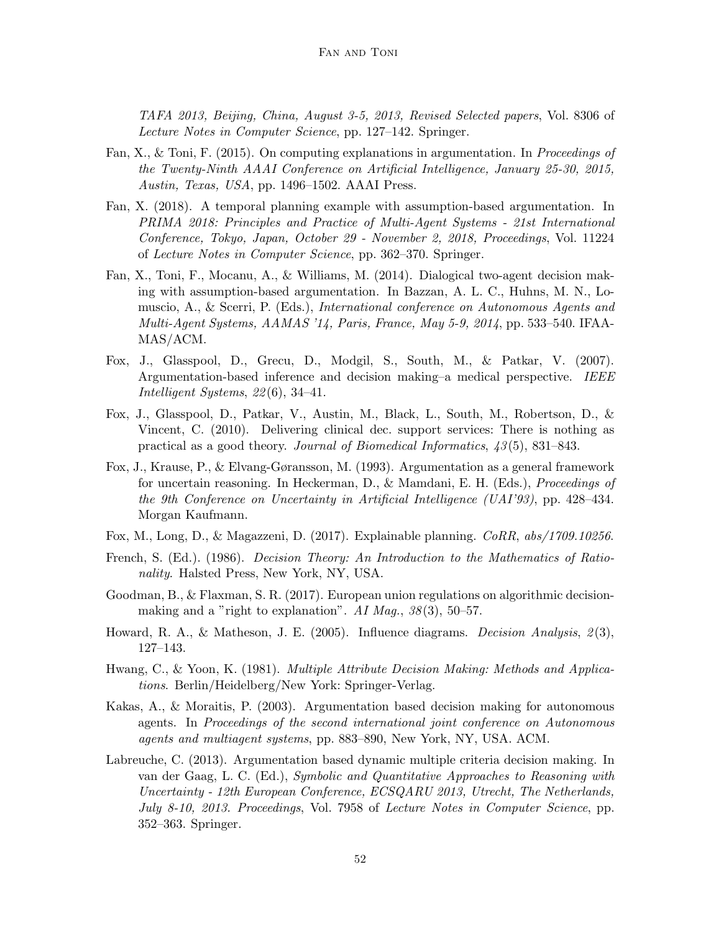TAFA 2013, Beijing, China, August 3-5, 2013, Revised Selected papers, Vol. 8306 of Lecture Notes in Computer Science, pp. 127–142. Springer.

- Fan, X., & Toni, F. (2015). On computing explanations in argumentation. In Proceedings of the Twenty-Ninth AAAI Conference on Artificial Intelligence, January 25-30, 2015, Austin, Texas, USA, pp. 1496–1502. AAAI Press.
- Fan, X. (2018). A temporal planning example with assumption-based argumentation. In PRIMA 2018: Principles and Practice of Multi-Agent Systems - 21st International Conference, Tokyo, Japan, October 29 - November 2, 2018, Proceedings, Vol. 11224 of Lecture Notes in Computer Science, pp. 362–370. Springer.
- Fan, X., Toni, F., Mocanu, A., & Williams, M. (2014). Dialogical two-agent decision making with assumption-based argumentation. In Bazzan, A. L. C., Huhns, M. N., Lomuscio, A., & Scerri, P. (Eds.), International conference on Autonomous Agents and Multi-Agent Systems, AAMAS '14, Paris, France, May 5-9, 2014, pp. 533–540. IFAA-MAS/ACM.
- Fox, J., Glasspool, D., Grecu, D., Modgil, S., South, M., & Patkar, V. (2007). Argumentation-based inference and decision making–a medical perspective. IEEE Intelligent Systems, 22(6), 34–41.
- Fox, J., Glasspool, D., Patkar, V., Austin, M., Black, L., South, M., Robertson, D., & Vincent, C. (2010). Delivering clinical dec. support services: There is nothing as practical as a good theory. Journal of Biomedical Informatics, 43(5), 831–843.
- Fox, J., Krause, P., & Elvang-Gøransson, M. (1993). Argumentation as a general framework for uncertain reasoning. In Heckerman, D., & Mamdani, E. H. (Eds.), Proceedings of the 9th Conference on Uncertainty in Artificial Intelligence (UAI'93), pp. 428–434. Morgan Kaufmann.
- Fox, M., Long, D., & Magazzeni, D. (2017). Explainable planning. CoRR, abs/1709.10256.
- French, S. (Ed.). (1986). Decision Theory: An Introduction to the Mathematics of Rationality. Halsted Press, New York, NY, USA.
- Goodman, B., & Flaxman, S. R. (2017). European union regulations on algorithmic decisionmaking and a "right to explanation". AI Mag.,  $38(3)$ , 50–57.
- Howard, R. A., & Matheson, J. E. (2005). Influence diagrams. *Decision Analysis*,  $\mathcal{L}(3)$ , 127–143.
- Hwang, C., & Yoon, K. (1981). Multiple Attribute Decision Making: Methods and Applications. Berlin/Heidelberg/New York: Springer-Verlag.
- Kakas, A., & Moraitis, P. (2003). Argumentation based decision making for autonomous agents. In Proceedings of the second international joint conference on Autonomous agents and multiagent systems, pp. 883–890, New York, NY, USA. ACM.
- Labreuche, C. (2013). Argumentation based dynamic multiple criteria decision making. In van der Gaag, L. C. (Ed.), Symbolic and Quantitative Approaches to Reasoning with Uncertainty - 12th European Conference, ECSQARU 2013, Utrecht, The Netherlands, July 8-10, 2013. Proceedings, Vol. 7958 of Lecture Notes in Computer Science, pp. 352–363. Springer.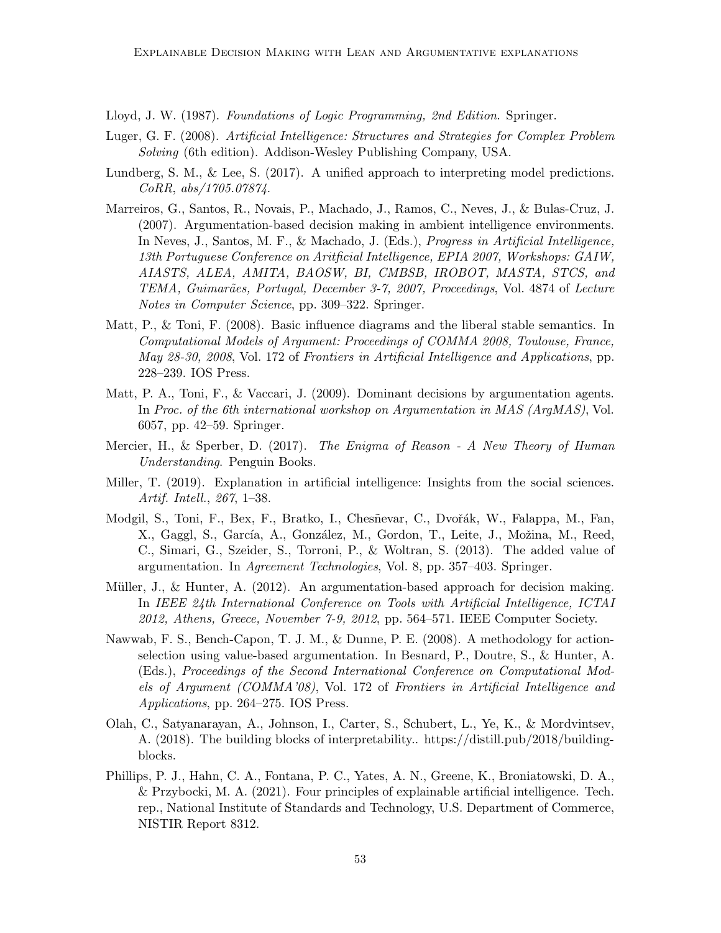Lloyd, J. W. (1987). Foundations of Logic Programming, 2nd Edition. Springer.

- Luger, G. F. (2008). Artificial Intelligence: Structures and Strategies for Complex Problem Solving (6th edition). Addison-Wesley Publishing Company, USA.
- Lundberg, S. M., & Lee, S. (2017). A unified approach to interpreting model predictions. CoRR, abs/1705.07874.
- Marreiros, G., Santos, R., Novais, P., Machado, J., Ramos, C., Neves, J., & Bulas-Cruz, J. (2007). Argumentation-based decision making in ambient intelligence environments. In Neves, J., Santos, M. F., & Machado, J. (Eds.), Progress in Artificial Intelligence, 13th Portuguese Conference on Aritficial Intelligence, EPIA 2007, Workshops: GAIW, AIASTS, ALEA, AMITA, BAOSW, BI, CMBSB, IROBOT, MASTA, STCS, and TEMA, Guimarães, Portugal, December 3-7, 2007, Proceedings, Vol. 4874 of Lecture Notes in Computer Science, pp. 309–322. Springer.
- Matt, P., & Toni, F. (2008). Basic influence diagrams and the liberal stable semantics. In Computational Models of Argument: Proceedings of COMMA 2008, Toulouse, France, May 28-30, 2008, Vol. 172 of Frontiers in Artificial Intelligence and Applications, pp. 228–239. IOS Press.
- Matt, P. A., Toni, F., & Vaccari, J. (2009). Dominant decisions by argumentation agents. In Proc. of the 6th international workshop on Argumentation in MAS (ArgMAS), Vol. 6057, pp. 42–59. Springer.
- Mercier, H., & Sperber, D. (2017). The Enigma of Reason A New Theory of Human Understanding. Penguin Books.
- Miller, T. (2019). Explanation in artificial intelligence: Insights from the social sciences. Artif. Intell., 267, 1–38.
- Modgil, S., Toni, F., Bex, F., Bratko, I., Chesñevar, C., Dvořák, W., Falappa, M., Fan, X., Gaggl, S., García, A., González, M., Gordon, T., Leite, J., Možina, M., Reed, C., Simari, G., Szeider, S., Torroni, P., & Woltran, S. (2013). The added value of argumentation. In Agreement Technologies, Vol. 8, pp. 357–403. Springer.
- Müller, J., & Hunter, A.  $(2012)$ . An argumentation-based approach for decision making. In IEEE 24th International Conference on Tools with Artificial Intelligence, ICTAI 2012, Athens, Greece, November 7-9, 2012, pp. 564–571. IEEE Computer Society.
- Nawwab, F. S., Bench-Capon, T. J. M., & Dunne, P. E. (2008). A methodology for actionselection using value-based argumentation. In Besnard, P., Doutre, S., & Hunter, A. (Eds.), Proceedings of the Second International Conference on Computational Models of Argument (COMMA'08), Vol. 172 of Frontiers in Artificial Intelligence and Applications, pp. 264–275. IOS Press.
- Olah, C., Satyanarayan, A., Johnson, I., Carter, S., Schubert, L., Ye, K., & Mordvintsev, A. (2018). The building blocks of interpretability.. https://distill.pub/2018/buildingblocks.
- Phillips, P. J., Hahn, C. A., Fontana, P. C., Yates, A. N., Greene, K., Broniatowski, D. A., & Przybocki, M. A. (2021). Four principles of explainable artificial intelligence. Tech. rep., National Institute of Standards and Technology, U.S. Department of Commerce, NISTIR Report 8312.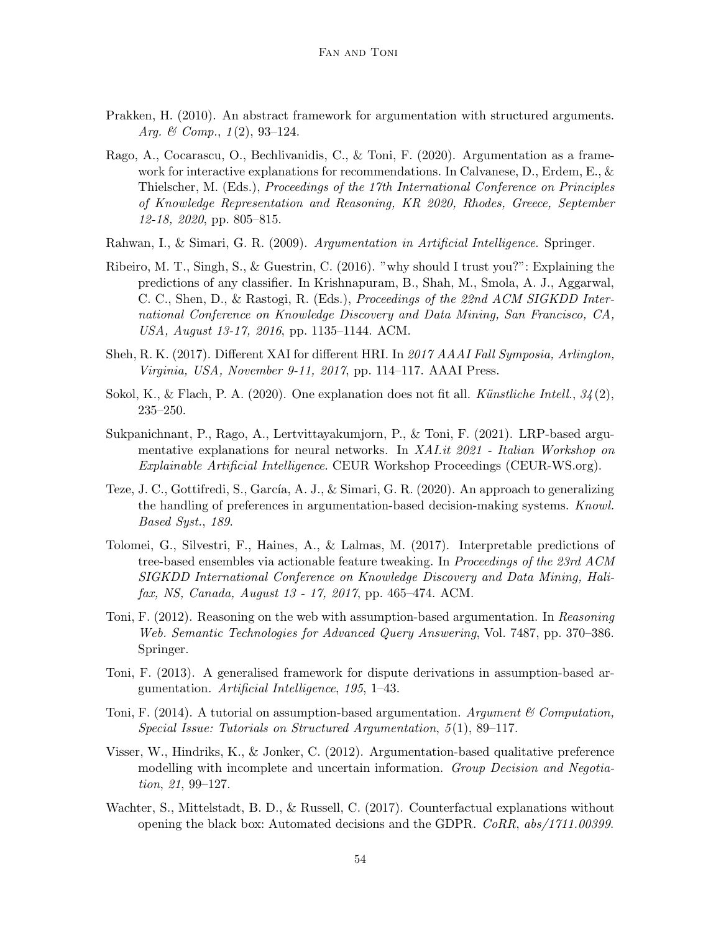- Prakken, H. (2010). An abstract framework for argumentation with structured arguments. Arg. & Comp.,  $1(2)$ , 93-124.
- Rago, A., Cocarascu, O., Bechlivanidis, C., & Toni, F. (2020). Argumentation as a framework for interactive explanations for recommendations. In Calvanese, D., Erdem, E., & Thielscher, M. (Eds.), Proceedings of the 17th International Conference on Principles of Knowledge Representation and Reasoning, KR 2020, Rhodes, Greece, September 12-18, 2020, pp. 805–815.
- Rahwan, I., & Simari, G. R. (2009). Argumentation in Artificial Intelligence. Springer.
- Ribeiro, M. T., Singh, S., & Guestrin, C. (2016). "why should I trust you?": Explaining the predictions of any classifier. In Krishnapuram, B., Shah, M., Smola, A. J., Aggarwal, C. C., Shen, D., & Rastogi, R. (Eds.), Proceedings of the 22nd ACM SIGKDD International Conference on Knowledge Discovery and Data Mining, San Francisco, CA, USA, August 13-17, 2016, pp. 1135–1144. ACM.
- Sheh, R. K. (2017). Different XAI for different HRI. In 2017 AAAI Fall Symposia, Arlington, Virginia, USA, November 9-11, 2017, pp. 114–117. AAAI Press.
- Sokol, K., & Flach, P. A. (2020). One explanation does not fit all. Künstliche Intell.,  $34(2)$ , 235–250.
- Sukpanichnant, P., Rago, A., Lertvittayakumjorn, P., & Toni, F. (2021). LRP-based argumentative explanations for neural networks. In XAI.it 2021 - Italian Workshop on Explainable Artificial Intelligence. CEUR Workshop Proceedings (CEUR-WS.org).
- Teze, J. C., Gottifredi, S., García, A. J., & Simari, G. R. (2020). An approach to generalizing the handling of preferences in argumentation-based decision-making systems. Knowl. Based Syst., 189.
- Tolomei, G., Silvestri, F., Haines, A., & Lalmas, M. (2017). Interpretable predictions of tree-based ensembles via actionable feature tweaking. In Proceedings of the 23rd ACM SIGKDD International Conference on Knowledge Discovery and Data Mining, Halifax, NS, Canada, August 13 - 17, 2017, pp. 465–474. ACM.
- Toni, F. (2012). Reasoning on the web with assumption-based argumentation. In Reasoning Web. Semantic Technologies for Advanced Query Answering, Vol. 7487, pp. 370–386. Springer.
- Toni, F. (2013). A generalised framework for dispute derivations in assumption-based argumentation. Artificial Intelligence, 195, 1–43.
- Toni, F. (2014). A tutorial on assumption-based argumentation. Argument  $\mathscr{C}$  Computation, Special Issue: Tutorials on Structured Argumentation, 5(1), 89–117.
- Visser, W., Hindriks, K., & Jonker, C. (2012). Argumentation-based qualitative preference modelling with incomplete and uncertain information. Group Decision and Negotiation, 21, 99-127.
- Wachter, S., Mittelstadt, B. D., & Russell, C. (2017). Counterfactual explanations without opening the black box: Automated decisions and the GDPR. CoRR, abs/1711.00399.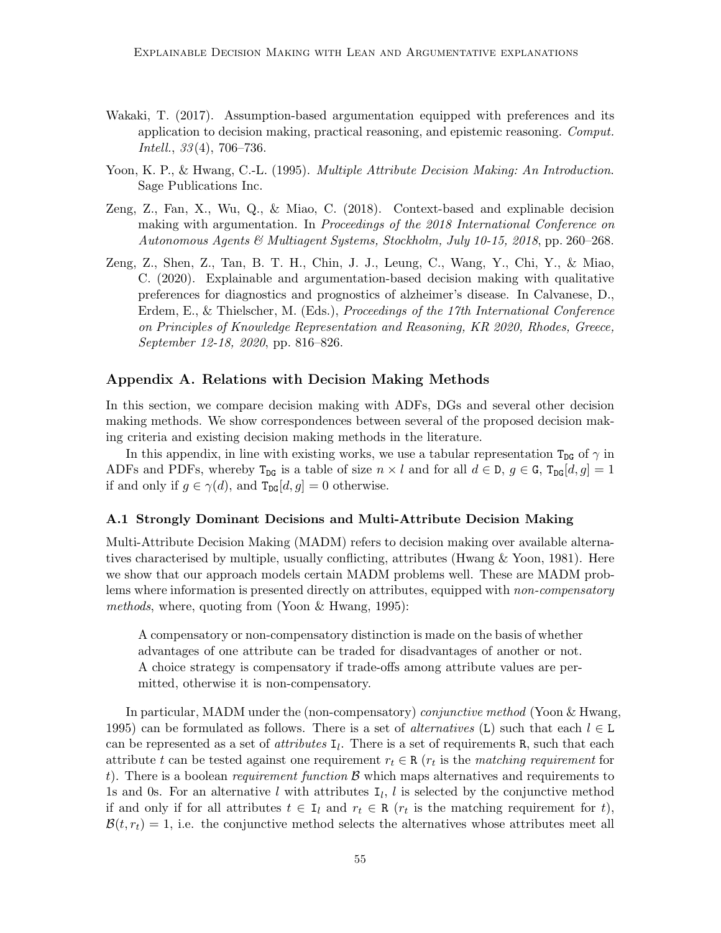- Wakaki, T. (2017). Assumption-based argumentation equipped with preferences and its application to decision making, practical reasoning, and epistemic reasoning. Comput. Intell., 33(4), 706–736.
- Yoon, K. P., & Hwang, C.-L. (1995). Multiple Attribute Decision Making: An Introduction. Sage Publications Inc.
- Zeng, Z., Fan, X., Wu, Q., & Miao, C. (2018). Context-based and explinable decision making with argumentation. In Proceedings of the 2018 International Conference on Autonomous Agents & Multiagent Systems, Stockholm, July 10-15, 2018, pp. 260–268.
- Zeng, Z., Shen, Z., Tan, B. T. H., Chin, J. J., Leung, C., Wang, Y., Chi, Y., & Miao, C. (2020). Explainable and argumentation-based decision making with qualitative preferences for diagnostics and prognostics of alzheimer's disease. In Calvanese, D., Erdem, E., & Thielscher, M. (Eds.), Proceedings of the 17th International Conference on Principles of Knowledge Representation and Reasoning, KR 2020, Rhodes, Greece, September 12-18, 2020, pp. 816–826.

## Appendix A. Relations with Decision Making Methods

In this section, we compare decision making with ADFs, DGs and several other decision making methods. We show correspondences between several of the proposed decision making criteria and existing decision making methods in the literature.

In this appendix, in line with existing works, we use a tabular representation  $T_{DG}$  of  $\gamma$  in ADFs and PDFs, whereby  $T_{DG}$  is a table of size  $n \times l$  and for all  $d \in D$ ,  $g \in G$ ,  $T_{DG}[d, g] = 1$ if and only if  $g \in \gamma(d)$ , and  $T_{\text{DG}}[d, g] = 0$  otherwise.

#### A.1 Strongly Dominant Decisions and Multi-Attribute Decision Making

Multi-Attribute Decision Making (MADM) refers to decision making over available alternatives characterised by multiple, usually conflicting, attributes (Hwang & Yoon, 1981). Here we show that our approach models certain MADM problems well. These are MADM problems where information is presented directly on attributes, equipped with *non-compensatory* methods, where, quoting from (Yoon  $\&$  Hwang, 1995):

A compensatory or non-compensatory distinction is made on the basis of whether advantages of one attribute can be traded for disadvantages of another or not. A choice strategy is compensatory if trade-offs among attribute values are permitted, otherwise it is non-compensatory.

In particular, MADM under the (non-compensatory) conjunctive method (Yoon & Hwang, 1995) can be formulated as follows. There is a set of *alternatives* (L) such that each  $l \in L$ can be represented as a set of *attributes*  $I_l$ . There is a set of requirements R, such that each attribute t can be tested against one requirement  $r_t \in \mathbb{R}$  ( $r_t$  is the matching requirement for t). There is a boolean *requirement function*  $\beta$  which maps alternatives and requirements to 1s and 0s. For an alternative l with attributes  $I_l$ , l is selected by the conjunctive method if and only if for all attributes  $t \in I_l$  and  $r_t \in R$  ( $r_t$  is the matching requirement for t),  $\mathcal{B}(t, r_t) = 1$ , i.e. the conjunctive method selects the alternatives whose attributes meet all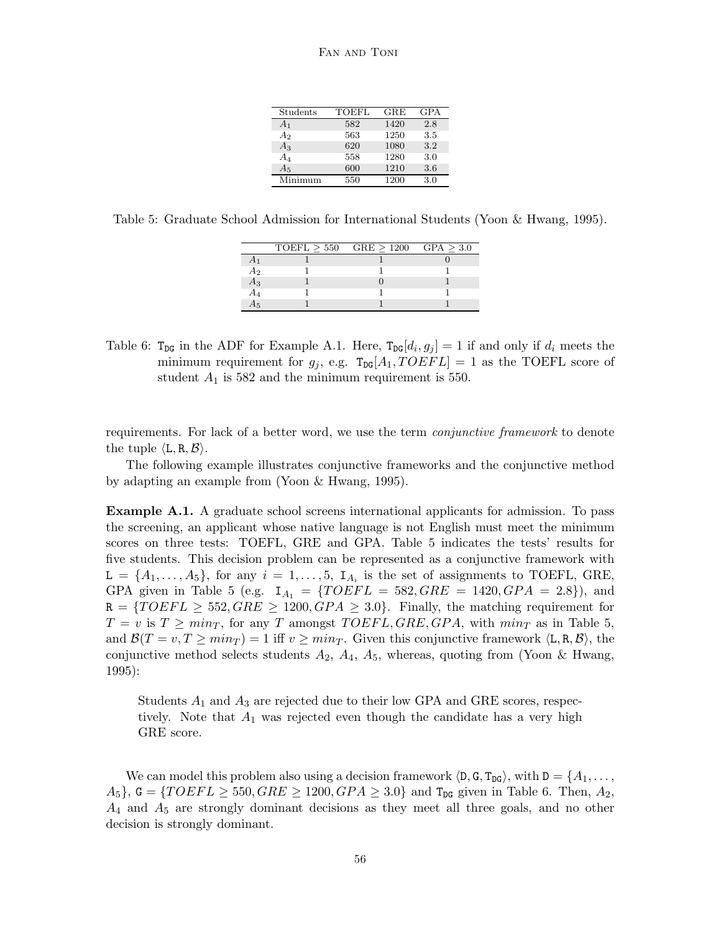| Students       | TOEFL | GRE  | <b>GPA</b> |
|----------------|-------|------|------------|
| A <sub>1</sub> | 582   | 1420 | 2.8        |
| A <sub>2</sub> | 563   | 1250 | 3.5        |
| $A_3$          | 620   | 1080 | 3.2        |
| $A_4$          | 558   | 1280 | 3.0        |
| $A_5$          | 600   | 1210 | 3.6        |
| Minimum        | 550   | 1200 | 3.0        |

Table 5: Graduate School Admission for International Students (Yoon & Hwang, 1995).

|    | TOEFL > 550 | $GRE > 1200$ $GPA > 3.0$ |  |
|----|-------------|--------------------------|--|
|    |             |                          |  |
| Aэ |             |                          |  |
| А3 |             |                          |  |
|    |             |                          |  |
| 75 |             |                          |  |
|    |             |                          |  |

Table 6:  $T_{DG}$  in the ADF for Example A.1. Here,  $T_{DG}[d_i, g_j] = 1$  if and only if  $d_i$  meets the minimum requirement for  $g_i$ , e.g.  $T_{DG}[A_1, TOEFL] = 1$  as the TOEFL score of student  $A_1$  is 582 and the minimum requirement is 550.

requirements. For lack of a better word, we use the term *conjunctive framework* to denote the tuple  $\langle L, R, B \rangle$ .

The following example illustrates conjunctive frameworks and the conjunctive method by adapting an example from (Yoon & Hwang, 1995).

Example A.1. A graduate school screens international applicants for admission. To pass the screening, an applicant whose native language is not English must meet the minimum scores on three tests: TOEFL, GRE and GPA. Table 5 indicates the tests' results for five students. This decision problem can be represented as a conjunctive framework with  $\mathsf{L} = \{A_1, \ldots, A_5\}$ , for any  $i = 1, \ldots, 5$ ,  $\mathsf{I}_{A_i}$  is the set of assignments to TOEFL, GRE, GPA given in Table 5 (e.g.  $I_{A_1} = \{TOEFL = 582, GRE = 1420, GPA = 2.8\}$ ), and  $R = \{TOEFL \geq 552, GRE \geq 1200, GPA \geq 3.0\}$ . Finally, the matching requirement for  $T = v$  is  $T \geq min_T$ , for any T amongst TOEFL, GRE, GPA, with  $min_T$  as in Table 5, and  $\mathcal{B}(T = v, T \geq min_T) = 1$  iff  $v \geq min_T$ . Given this conjunctive framework  $\langle L, R, B \rangle$ , the conjunctive method selects students  $A_2$ ,  $A_4$ ,  $A_5$ , whereas, quoting from (Yoon & Hwang, 1995):

Students  $A_1$  and  $A_3$  are rejected due to their low GPA and GRE scores, respectively. Note that  $A_1$  was rejected even though the candidate has a very high GRE score.

We can model this problem also using a decision framework  $\langle D, G, T_{DG} \rangle$ , with  $D = \{A_1, \ldots, A_n\}$  $A_5$ ,  $G = \{TOEFL \geq 550, GRE \geq 1200, GPA \geq 3.0\}$  and  $T_{DG}$  given in Table 6. Then,  $A_2$ ,  $A_4$  and  $A_5$  are strongly dominant decisions as they meet all three goals, and no other decision is strongly dominant.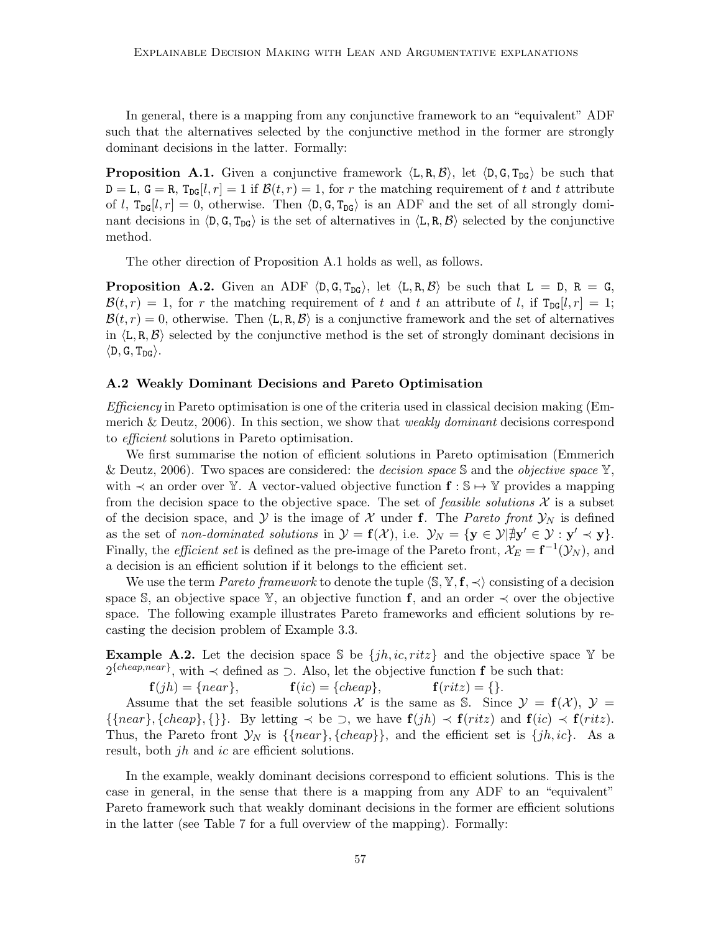In general, there is a mapping from any conjunctive framework to an "equivalent" ADF such that the alternatives selected by the conjunctive method in the former are strongly dominant decisions in the latter. Formally:

**Proposition A.1.** Given a conjunctive framework  $\langle L, R, B \rangle$ , let  $\langle D, G, T_{DG} \rangle$  be such that  $D = L$ ,  $G = R$ ,  $T_{DG}[l, r] = 1$  if  $\mathcal{B}(t, r) = 1$ , for r the matching requirement of t and t attribute of l,  $T_{DG}[l, r] = 0$ , otherwise. Then  $\langle D, G, T_{DG} \rangle$  is an ADF and the set of all strongly dominant decisions in  $\langle D, G, T_{DG} \rangle$  is the set of alternatives in  $\langle L, R, B \rangle$  selected by the conjunctive method.

The other direction of Proposition A.1 holds as well, as follows.

**Proposition A.2.** Given an ADF  $\langle D, G, T_{DG} \rangle$ , let  $\langle L, R, B \rangle$  be such that  $L = D, R = G$ ,  $\mathcal{B}(t,r) = 1$ , for r the matching requirement of t and t an attribute of l, if  $T_{DG}[l,r] = 1$ ;  $\mathcal{B}(t, r) = 0$ , otherwise. Then  $\langle \mathbf{L}, \mathbf{R}, \mathcal{B} \rangle$  is a conjunctive framework and the set of alternatives in  $\langle L, R, \mathcal{B} \rangle$  selected by the conjunctive method is the set of strongly dominant decisions in  $\langle D, G, T_{\text{DG}} \rangle$ .

#### A.2 Weakly Dominant Decisions and Pareto Optimisation

 $Efficiency$  in Pareto optimisation is one of the criteria used in classical decision making (Emmerich & Deutz, 2006). In this section, we show that *weakly dominant* decisions correspond to efficient solutions in Pareto optimisation.

We first summarise the notion of efficient solutions in Pareto optimisation (Emmerich & Deutz, 2006). Two spaces are considered: the *decision space*  $\mathcal S$  and the *objective space*  $\mathbb Y$ , with  $\prec$  an order over Y. A vector-valued objective function  $f : \mathbb{S} \mapsto \mathbb{Y}$  provides a mapping from the decision space to the objective space. The set of *feasible solutions*  $\mathcal X$  is a subset of the decision space, and Y is the image of X under f. The Pareto front  $\mathcal{Y}_N$  is defined as the set of non-dominated solutions in  $\mathcal{Y} = \mathbf{f}(\mathcal{X})$ , i.e.  $\mathcal{Y}_N = \{ \mathbf{y} \in \mathcal{Y} | \exists \mathbf{y}' \in \mathcal{Y} : \mathbf{y}' \prec \mathbf{y} \}.$ Finally, the *efficient set* is defined as the pre-image of the Pareto front,  $\mathcal{X}_E = \mathbf{f}^{-1}(\mathcal{Y}_N)$ , and a decision is an efficient solution if it belongs to the efficient set.

We use the term *Pareto framework* to denote the tuple  $\langle \mathbb{S}, \mathbb{Y}, \mathbf{f}, \prec \rangle$  consisting of a decision space S, an objective space Y, an objective function f, and an order  $\prec$  over the objective space. The following example illustrates Pareto frameworks and efficient solutions by recasting the decision problem of Example 3.3.

**Example A.2.** Let the decision space S be  $\{jh, ic, ritz\}$  and the objective space Y be  $2^{\{cheap, near\}}$ , with  $\prec$  defined as  $\supset$ . Also, let the objective function **f** be such that:

 $f(jh) = \{near\}, \qquad f(ic) = \{cheap\}, \qquad f(ritz) = \{\}.$ 

Assume that the set feasible solutions X is the same as S. Since  $\mathcal{Y} = \mathbf{f}(\mathcal{X})$ ,  $\mathcal{Y} =$  $\{\{near\}, \{ cheap\}, \{\}\}\$ . By letting  $\prec$  be  $\supset$ , we have  $f(jh) \prec f(ritz)$  and  $f(ic) \prec f(ritz)$ . Thus, the Pareto front  $\mathcal{Y}_N$  is  $\{\{near\}, \{ cheap\}\}\$ , and the efficient set is  $\{jh, ic\}$ . As a result, both  $jh$  and  $ic$  are efficient solutions.

In the example, weakly dominant decisions correspond to efficient solutions. This is the case in general, in the sense that there is a mapping from any ADF to an "equivalent" Pareto framework such that weakly dominant decisions in the former are efficient solutions in the latter (see Table 7 for a full overview of the mapping). Formally: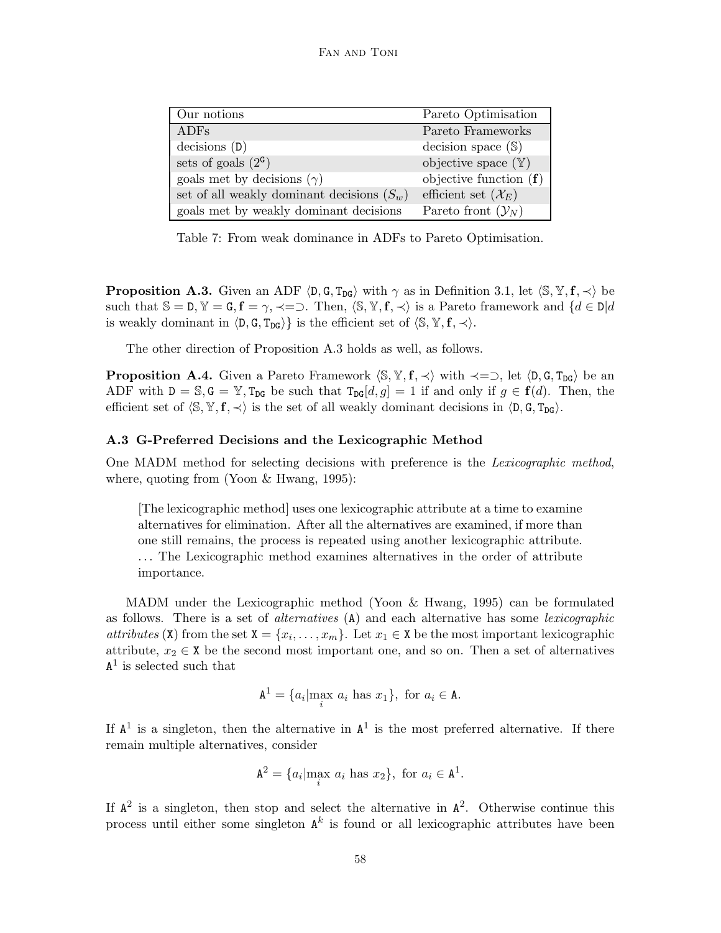| Our notions                                  | Pareto Optimisation             |
|----------------------------------------------|---------------------------------|
| <b>ADFs</b>                                  | Pareto Frameworks               |
| decisions(D)                                 | decision space $(\mathbb{S})$   |
| sets of goals $(2^{\mathsf{G}})$             | objective space $(\mathbb{Y})$  |
| goals met by decisions $(\gamma)$            | objective function $(f)$        |
| set of all weakly dominant decisions $(S_w)$ | efficient set $(\mathcal{X}_E)$ |
| goals met by weakly dominant decisions       | Pareto front $(\mathcal{Y}_N)$  |

Table 7: From weak dominance in ADFs to Pareto Optimisation.

**Proposition A.3.** Given an ADF  $\langle D, G, T_{DG} \rangle$  with  $\gamma$  as in Definition 3.1, let  $\langle S, Y, f, \prec \rangle$  be such that  $S = D$ ,  $Y = G$ ,  $f = \gamma$ ,  $\prec = \supset$ . Then,  $\langle S, Y, f, \prec \rangle$  is a Pareto framework and  $\{d \in D | d\}$ is weakly dominant in  $\langle D, G, T_{DG} \rangle$  is the efficient set of  $\langle S, Y, f, \prec \rangle$ .

The other direction of Proposition A.3 holds as well, as follows.

**Proposition A.4.** Given a Pareto Framework  $\langle \mathbb{S}, \mathbb{Y}, \mathbf{f}, \prec \rangle$  with  $\prec = \supset$ , let  $\langle \mathbb{D}, \mathbb{G}, \mathbb{T}_{D}\mathbb{G} \rangle$  be an ADF with  $D = \mathbb{S}, G = \mathbb{Y}, T_{DG}$  be such that  $T_{DG}[d, g] = 1$  if and only if  $g \in \mathbf{f}(d)$ . Then, the efficient set of  $\langle S, Y, f, \prec \rangle$  is the set of all weakly dominant decisions in  $\langle D, G, T_{\text{DG}} \rangle$ .

#### A.3 G-Preferred Decisions and the Lexicographic Method

One MADM method for selecting decisions with preference is the Lexicographic method, where, quoting from (Yoon & Hwang, 1995):

[The lexicographic method] uses one lexicographic attribute at a time to examine alternatives for elimination. After all the alternatives are examined, if more than one still remains, the process is repeated using another lexicographic attribute. . . . The Lexicographic method examines alternatives in the order of attribute importance.

MADM under the Lexicographic method (Yoon & Hwang, 1995) can be formulated as follows. There is a set of alternatives (A) and each alternative has some lexicographic *attributes* (X) from the set  $X = \{x_i, \ldots, x_m\}$ . Let  $x_1 \in X$  be the most important lexicographic attribute,  $x_2 \in X$  be the second most important one, and so on. Then a set of alternatives  $A<sup>1</sup>$  is selected such that

$$
\mathbf{A}^1 = \{a_i | \max_i a_i \text{ has } x_1\}, \text{ for } a_i \in \mathbf{A}.
$$

If  $A<sup>1</sup>$  is a singleton, then the alternative in  $A<sup>1</sup>$  is the most preferred alternative. If there remain multiple alternatives, consider

$$
\mathbf{A}^2 = \{a_i | \max_i a_i \text{ has } x_2\}, \text{ for } a_i \in \mathbf{A}^1.
$$

If  $A^2$  is a singleton, then stop and select the alternative in  $A^2$ . Otherwise continue this process until either some singleton  $A^k$  is found or all lexicographic attributes have been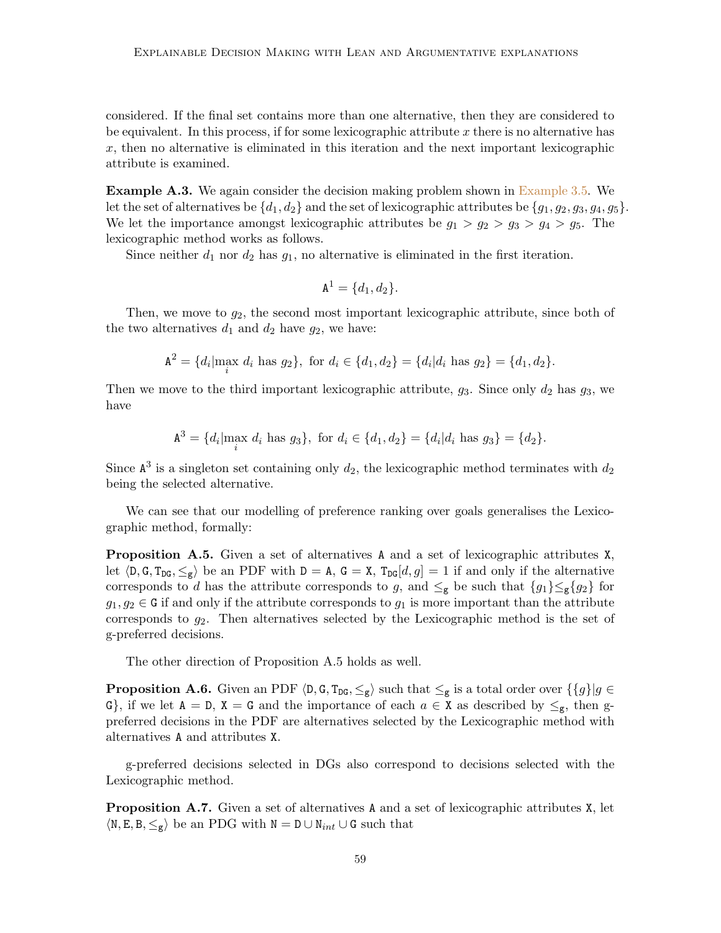considered. If the final set contains more than one alternative, then they are considered to be equivalent. In this process, if for some lexicographic attribute x there is no alternative has  $x$ , then no alternative is eliminated in this iteration and the next important lexicographic attribute is examined.

**Example A.3.** We again consider the decision making problem shown in Example 3.5. We let the set of alternatives be  $\{d_1, d_2\}$  and the set of lexicographic attributes be  $\{g_1, g_2, g_3, g_4, g_5\}$ . We let the importance amongst lexicographic attributes be  $g_1 > g_2 > g_3 > g_4 > g_5$ . The lexicographic method works as follows.

Since neither  $d_1$  nor  $d_2$  has  $g_1$ , no alternative is eliminated in the first iteration.

$$
\mathbf{A}^1 = \{d_1, d_2\}.
$$

Then, we move to  $g_2$ , the second most important lexicographic attribute, since both of the two alternatives  $d_1$  and  $d_2$  have  $g_2$ , we have:

$$
\mathbf{A}^2 = \{d_i | \max_i d_i \text{ has } g_2\}, \text{ for } d_i \in \{d_1, d_2\} = \{d_i | d_i \text{ has } g_2\} = \{d_1, d_2\}.
$$

Then we move to the third important lexicographic attribute,  $g_3$ . Since only  $d_2$  has  $g_3$ , we have

$$
\mathbf{A}^3 = \{d_i | \max_i d_i \text{ has } g_3\}, \text{ for } d_i \in \{d_1, d_2\} = \{d_i | d_i \text{ has } g_3\} = \{d_2\}.
$$

Since  $\mathbb{A}^3$  is a singleton set containing only  $d_2$ , the lexicographic method terminates with  $d_2$ being the selected alternative.

We can see that our modelling of preference ranking over goals generalises the Lexicographic method, formally:

**Proposition A.5.** Given a set of alternatives A and a set of lexicographic attributes  $X$ , let  $\langle D, G, T_{DG}, \leq_g \rangle$  be an PDF with  $D = A$ ,  $G = X$ ,  $T_{DG}[d, g] = 1$  if and only if the alternative corresponds to d has the attribute corresponds to g, and  $\leq_g$  be such that  $\{g_1\}\leq_g\{g_2\}$  for  $g_1, g_2 \in G$  if and only if the attribute corresponds to  $g_1$  is more important than the attribute corresponds to  $g_2$ . Then alternatives selected by the Lexicographic method is the set of g-preferred decisions.

The other direction of Proposition A.5 holds as well.

**Proposition A.6.** Given an PDF  $\langle \mathsf{D}, \mathsf{G}, \mathsf{T}_{\mathsf{DG}}, \leq_{\mathsf{g}} \rangle$  such that  $\leq_{\mathsf{g}}$  is a total order over  $\{\{g\}|g \in$ G, if we let  $A = D$ ,  $X = G$  and the importance of each  $a \in X$  as described by  $\leq_{g}$ , then gpreferred decisions in the PDF are alternatives selected by the Lexicographic method with alternatives A and attributes X.

g-preferred decisions selected in DGs also correspond to decisions selected with the Lexicographic method.

**Proposition A.7.** Given a set of alternatives A and a set of lexicographic attributes X, let  $\langle N, E, B, \leq_g \rangle$  be an PDG with  $N = D \cup N_{int} \cup G$  such that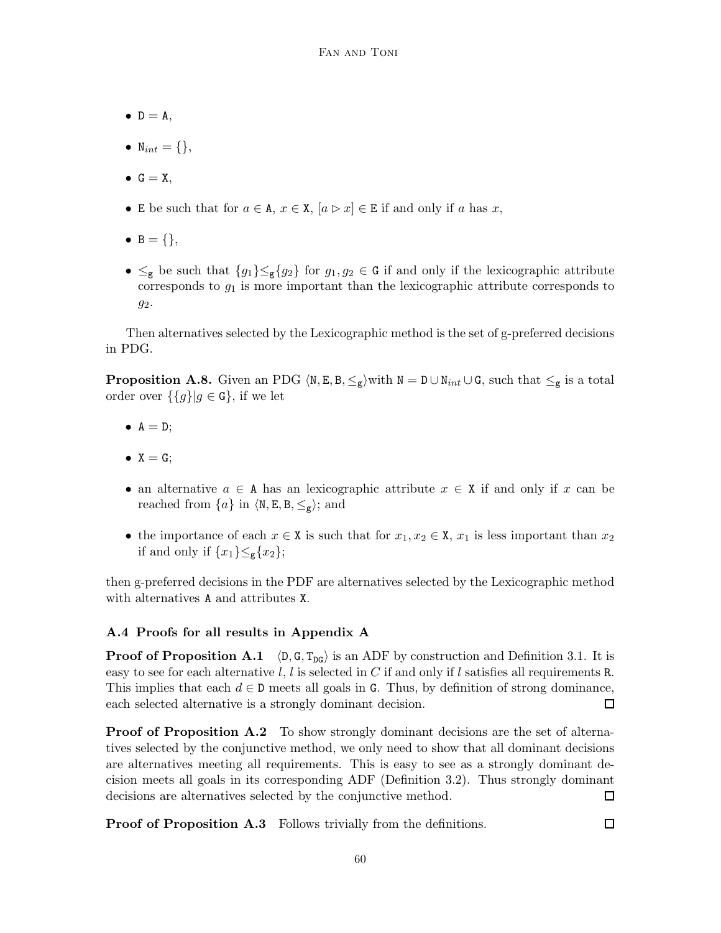- $\bullet$  D = A,
- $N_{int} = \{\},\$
- $\bullet$  G = X,
- E be such that for  $a \in A$ ,  $x \in X$ ,  $[a \triangleright x] \in E$  if and only if a has x,
- $B = \{\},\$
- $\leq_g$  be such that  $\{g_1\}\leq_g \{g_2\}$  for  $g_1, g_2 \in G$  if and only if the lexicographic attribute corresponds to  $g_1$  is more important than the lexicographic attribute corresponds to  $g_2$ .

Then alternatives selected by the Lexicographic method is the set of g-preferred decisions in PDG.

**Proposition A.8.** Given an PDG  $\langle N, E, B, \leq_g \rangle$  with  $N = D \cup N_{int} \cup G$ , such that  $\leq_g$  is a total order over  $\{\{g\}|g \in \mathbf{G}\}\$ , if we let

- $\bullet$  A = D;
- $X = G$ ;
- an alternative  $a \in A$  has an lexicographic attribute  $x \in X$  if and only if x can be reached from  $\{a\}$  in  $\langle N, E, B, \leq_g \rangle$ ; and
- the importance of each  $x \in X$  is such that for  $x_1, x_2 \in X$ ,  $x_1$  is less important than  $x_2$ if and only if  $\{x_1\} \leq_g \{x_2\};$

then g-preferred decisions in the PDF are alternatives selected by the Lexicographic method with alternatives A and attributes X.

## A.4 Proofs for all results in Appendix A

**Proof of Proposition A.1**  $\langle D, G, T_{DG} \rangle$  is an ADF by construction and Definition 3.1. It is easy to see for each alternative l, l is selected in C if and only if l satisfies all requirements R. This implies that each  $d \in \mathbb{D}$  meets all goals in G. Thus, by definition of strong dominance, each selected alternative is a strongly dominant decision. □

**Proof of Proposition A.2** To show strongly dominant decisions are the set of alternatives selected by the conjunctive method, we only need to show that all dominant decisions are alternatives meeting all requirements. This is easy to see as a strongly dominant decision meets all goals in its corresponding ADF (Definition 3.2). Thus strongly dominant decisions are alternatives selected by the conjunctive method.  $\Box$ 

**Proof of Proposition A.3** Follows trivially from the definitions.

 $\Box$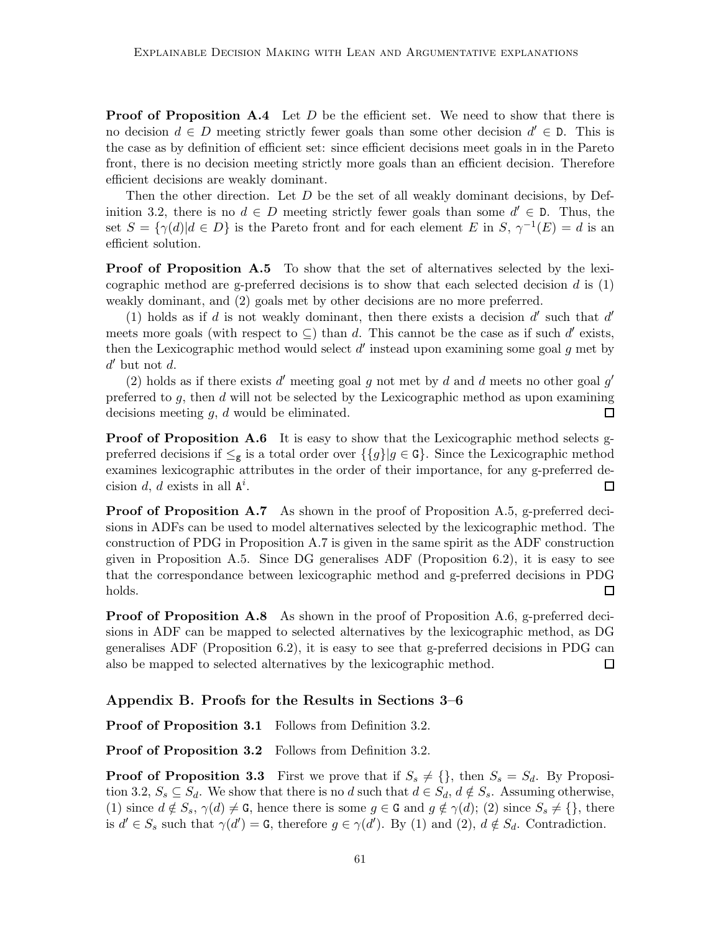**Proof of Proposition A.4** Let  $D$  be the efficient set. We need to show that there is no decision  $d \in D$  meeting strictly fewer goals than some other decision  $d' \in D$ . This is the case as by definition of efficient set: since efficient decisions meet goals in in the Pareto front, there is no decision meeting strictly more goals than an efficient decision. Therefore efficient decisions are weakly dominant.

Then the other direction. Let  $D$  be the set of all weakly dominant decisions, by Definition 3.2, there is no  $d \in D$  meeting strictly fewer goals than some  $d' \in D$ . Thus, the set  $S = {\gamma(d) | d \in D}$  is the Pareto front and for each element E in S,  $\gamma^{-1}(E) = d$  is an efficient solution.

**Proof of Proposition A.5** To show that the set of alternatives selected by the lexicographic method are g-preferred decisions is to show that each selected decision  $d$  is  $(1)$ weakly dominant, and (2) goals met by other decisions are no more preferred.

(1) holds as if  $d$  is not weakly dominant, then there exists a decision  $d'$  such that  $d'$ meets more goals (with respect to  $\subseteq$ ) than d. This cannot be the case as if such d' exists, then the Lexicographic method would select  $d'$  instead upon examining some goal  $g$  met by  $d'$  but not  $d$ .

(2) holds as if there exists  $d'$  meeting goal  $g$  not met by  $d$  and  $d$  meets no other goal  $g'$ preferred to  $g$ , then  $d$  will not be selected by the Lexicographic method as upon examining decisions meeting  $g, d$  would be eliminated.  $\Box$ 

Proof of Proposition A.6 It is easy to show that the Lexicographic method selects gpreferred decisions if  $\leq_g$  is a total order over  $\{g\}|g \in G\}$ . Since the Lexicographic method examines lexicographic attributes in the order of their importance, for any g-preferred decision d, d exists in all  $A^i$ .  $\Box$ 

**Proof of Proposition A.7** As shown in the proof of Proposition A.5, g-preferred decisions in ADFs can be used to model alternatives selected by the lexicographic method. The construction of PDG in Proposition A.7 is given in the same spirit as the ADF construction given in Proposition A.5. Since DG generalises ADF (Proposition 6.2), it is easy to see that the correspondance between lexicographic method and g-preferred decisions in PDG  $\Box$ holds.

**Proof of Proposition A.8** As shown in the proof of Proposition A.6, g-preferred decisions in ADF can be mapped to selected alternatives by the lexicographic method, as DG generalises ADF (Proposition 6.2), it is easy to see that g-preferred decisions in PDG can also be mapped to selected alternatives by the lexicographic method.  $\Box$ 

## Appendix B. Proofs for the Results in Sections 3–6

Proof of Proposition 3.1 Follows from Definition 3.2.

Proof of Proposition 3.2 Follows from Definition 3.2.

**Proof of Proposition 3.3** First we prove that if  $S_s \neq \{\}$ , then  $S_s = S_d$ . By Proposition 3.2,  $S_s \subseteq S_d$ . We show that there is no d such that  $d \in S_d$ ,  $d \notin S_s$ . Assuming otherwise, (1) since  $d \notin S_s$ ,  $\gamma(d) \neq G$ , hence there is some  $g \in G$  and  $g \notin \gamma(d)$ ; (2) since  $S_s \neq {\}$ , there is  $d' \in S_s$  such that  $\gamma(d') = G$ , therefore  $g \in \gamma(d')$ . By (1) and (2),  $d \notin S_d$ . Contradiction.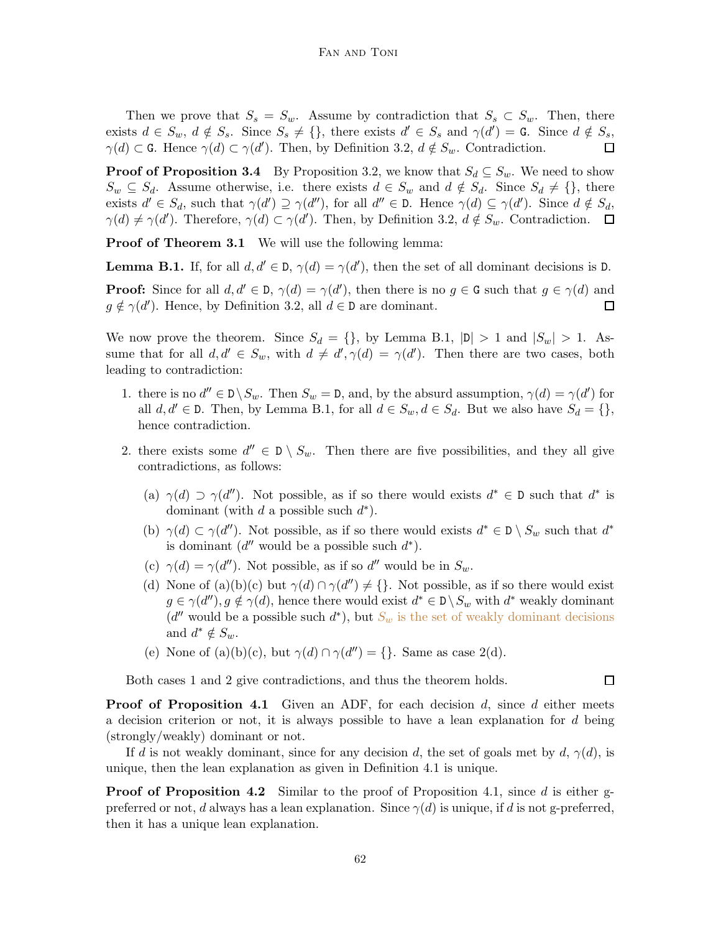Then we prove that  $S_s = S_w$ . Assume by contradiction that  $S_s \subset S_w$ . Then, there exists  $d \in S_w$ ,  $d \notin S_s$ . Since  $S_s \neq {\}$ , there exists  $d' \in S_s$  and  $\gamma(d') = \mathsf{G}$ . Since  $d \notin S_s$ ,  $\gamma(d) \subset G$ . Hence  $\gamma(d) \subset \gamma(d')$ . Then, by Definition 3.2,  $d \notin S_w$ . Contradiction.  $\Box$ 

**Proof of Proposition 3.4** By Proposition 3.2, we know that  $S_d \subseteq S_w$ . We need to show  $S_w \subseteq S_d$ . Assume otherwise, i.e. there exists  $d \in S_w$  and  $d \notin S_d$ . Since  $S_d \neq {\}$ , there exists  $d' \in S_d$ , such that  $\gamma(d') \supseteq \gamma(d'')$ , for all  $d'' \in \mathcal{D}$ . Hence  $\gamma(d) \subseteq \gamma(d')$ . Since  $d \notin S_d$ ,  $\gamma(d) \neq \gamma(d')$ . Therefore,  $\gamma(d) \subset \gamma(d')$ . Then, by Definition 3.2,  $d \notin S_w$ . Contradiction.

**Proof of Theorem 3.1** We will use the following lemma:

**Lemma B.1.** If, for all  $d, d' \in D$ ,  $\gamma(d) = \gamma(d')$ , then the set of all dominant decisions is D.

**Proof:** Since for all  $d, d' \in D$ ,  $\gamma(d) = \gamma(d')$ , then there is no  $g \in G$  such that  $g \in \gamma(d)$  and  $g \notin \gamma(d')$ . Hence, by Definition 3.2, all  $d \in \mathbb{D}$  are dominant.  $\Box$ 

We now prove the theorem. Since  $S_d = \{\}$ , by Lemma B.1,  $|\mathsf{D}| > 1$  and  $|S_w| > 1$ . Assume that for all  $d, d' \in S_w$ , with  $d \neq d', \gamma(d) = \gamma(d')$ . Then there are two cases, both leading to contradiction:

- 1. there is no  $d'' \in D \setminus S_w$ . Then  $S_w = D$ , and, by the absurd assumption,  $\gamma(d) = \gamma(d')$  for all  $d, d' \in \mathcal{D}$ . Then, by Lemma B.1, for all  $d \in S_w, d \in S_d$ . But we also have  $S_d = \{\},\$ hence contradiction.
- 2. there exists some  $d'' \in D \setminus S_w$ . Then there are five possibilities, and they all give contradictions, as follows:
	- (a)  $\gamma(d) \supset \gamma(d'')$ . Not possible, as if so there would exists  $d^* \in \mathbb{D}$  such that  $d^*$  is dominant (with  $d$  a possible such  $d^*$ ).
	- (b)  $\gamma(d) \subset \gamma(d'')$ . Not possible, as if so there would exists  $d^* \in \mathcal{D} \setminus S_w$  such that  $d^*$ is dominant  $(d''$  would be a possible such  $d^*$ ).
	- (c)  $\gamma(d) = \gamma(d'')$ . Not possible, as if so d'' would be in  $S_w$ .
	- (d) None of (a)(b)(c) but  $\gamma(d) \cap \gamma(d'') \neq \{\}$ . Not possible, as if so there would exist  $g \in \gamma(d'')$ ,  $g \notin \gamma(d)$ , hence there would exist  $d^* \in \mathcal{D} \setminus S_w$  with  $d^*$  weakly dominant  $(d''$  would be a possible such  $d^*$ , but  $S_w$  is the set of weakly dominant decisions and  $d^* \notin S_w$ .
	- (e) None of (a)(b)(c), but  $\gamma(d) \cap \gamma(d'') = \{\}$ . Same as case 2(d).

Both cases 1 and 2 give contradictions, and thus the theorem holds.

**Proof of Proposition 4.1** Given an ADF, for each decision  $d$ , since  $d$  either meets a decision criterion or not, it is always possible to have a lean explanation for d being (strongly/weakly) dominant or not.

If d is not weakly dominant, since for any decision d, the set of goals met by d,  $\gamma(d)$ , is unique, then the lean explanation as given in Definition 4.1 is unique.

**Proof of Proposition 4.2** Similar to the proof of Proposition 4.1, since d is either gpreferred or not, d always has a lean explanation. Since  $\gamma(d)$  is unique, if d is not g-preferred, then it has a unique lean explanation.

 $\Box$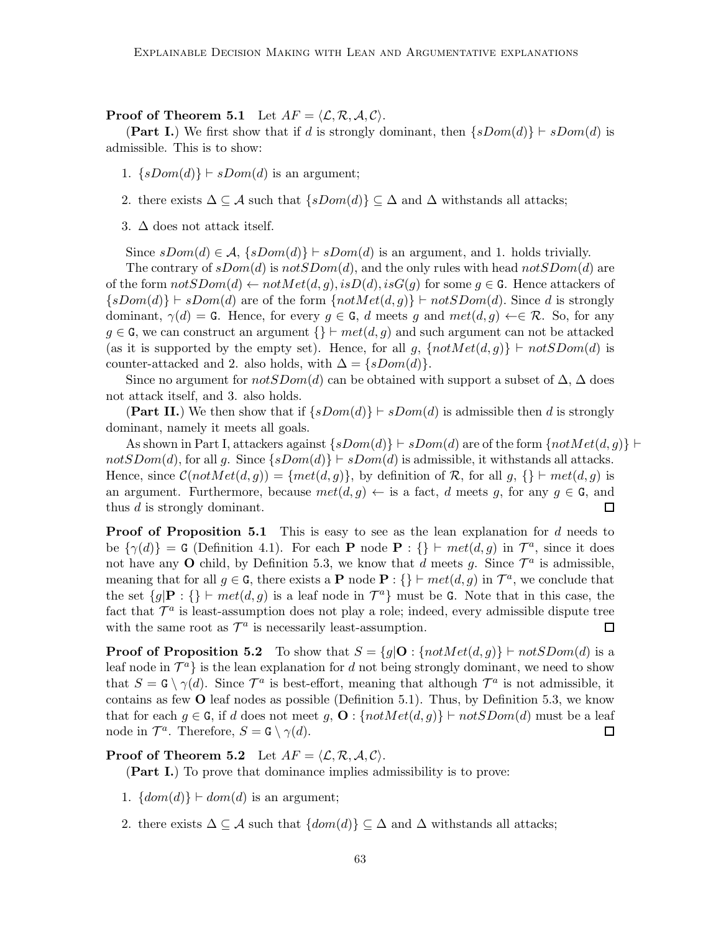**Proof of Theorem 5.1** Let  $AF = \langle \mathcal{L}, \mathcal{R}, \mathcal{A}, \mathcal{C} \rangle$ .

(Part I.) We first show that if d is strongly dominant, then  $\{sDom(d)\}\vdash sDom(d)$  is admissible. This is to show:

- 1.  $\{sDom(d)\}\vdash sDom(d)$  is an argument;
- 2. there exists  $\Delta \subseteq \mathcal{A}$  such that  $\{sDom(d)\}\subseteq \Delta$  and  $\Delta$  withstands all attacks;
- 3.  $\Delta$  does not attack itself.

Since  $sDom(d) \in \mathcal{A}, \{sDom(d)\} \vdash sDom(d)$  is an argument, and 1. holds trivially.

The contrary of  $sDom(d)$  is not  $SDom(d)$ , and the only rules with head not  $SDom(d)$  are of the form  $notSDom(d) \leftarrow notMet(d, g), isD(d), isG(g)$  for some  $g \in G$ . Hence attackers of  $\{sDom(d)\}\nightharpoonup sDom(d)$  are of the form  $\{notMet(d, g)\}\nightharpoonup not SDom(d)$ . Since d is strongly dominant,  $\gamma(d) = G$ . Hence, for every  $q \in G$ , d meets q and  $met(d, q) \leftarrow \in \mathcal{R}$ . So, for any  $g \in G$ , we can construct an argument  $\{\}\vdash met(d,g)$  and such argument can not be attacked (as it is supported by the empty set). Hence, for all g,  $\{notMet(d, g)\}\vdash notSDom(d)$  is counter-attacked and 2. also holds, with  $\Delta = \{sDom(d)\}.$ 

Since no argument for  $notSDom(d)$  can be obtained with support a subset of  $\Delta$ ,  $\Delta$  does not attack itself, and 3. also holds.

(Part II.) We then show that if  $\{sDom(d)\}\vdash sDom(d)$  is admissible then d is strongly dominant, namely it meets all goals.

As shown in Part I, attackers against  $\{sDom(d)\}\vdash sDom(d)$  are of the form  $\{notMet(d, q)\}\vdash$  $notSDom(d)$ , for all g. Since  $\{sDom(d)\}\vdash sDom(d)$  is admissible, it withstands all attacks. Hence, since  $\mathcal{C}(notMet(d, g)) = \{met(d, g)\}\$ , by definition of R, for all g,  $\{\}\vdash met(d, g)$  is an argument. Furthermore, because  $met(d, g) \leftarrow$  is a fact, d meets g, for any  $g \in G$ , and thus d is strongly dominant.  $\Box$ 

**Proof of Proposition 5.1** This is easy to see as the lean explanation for  $d$  needs to be  $\{\gamma(d)\} = G$  (Definition 4.1). For each **P** node **P** : {}  $\vdash met(d, g)$  in  $\mathcal{T}^a$ , since it does not have any O child, by Definition 5.3, we know that d meets g. Since  $\mathcal{T}^a$  is admissible, meaning that for all  $g \in G$ , there exists a **P** node **P** : {}  $\vdash met(d, g)$  in  $\mathcal{T}^a$ , we conclude that the set  ${g | \mathbf{P} : \{\}\vdash met(d, g) \text{ is a leaf node in } \mathcal{T}^a\}$  must be G. Note that in this case, the fact that  $\mathcal{T}^a$  is least-assumption does not play a role; indeed, every admissible dispute tree with the same root as  $\mathcal{T}^a$  is necessarily least-assumption.  $\Box$ 

**Proof of Proposition 5.2** To show that  $S = \{g | \mathbf{O} : \{notMet(d, g)\}\vdash notSDom(d) \text{ is a }$ leaf node in  $\mathcal{T}^a$  is the lean explanation for d not being strongly dominant, we need to show that  $S = G \setminus \gamma(d)$ . Since  $\mathcal{T}^a$  is best-effort, meaning that although  $\mathcal{T}^a$  is not admissible, it contains as few  $O$  leaf nodes as possible (Definition 5.1). Thus, by Definition 5.3, we know that for each  $g \in G$ , if d does not meet  $g$ ,  $\mathbf{O}$ : { $notMet(d, g)$ } ⊢  $notSDom(d)$  must be a leaf node in  $\mathcal{T}^a$ . Therefore,  $S = \mathsf{G} \setminus \gamma(d)$ .  $\Box$ 

**Proof of Theorem 5.2** Let  $AF = \langle \mathcal{L}, \mathcal{R}, \mathcal{A}, \mathcal{C} \rangle$ .

(Part I.) To prove that dominance implies admissibility is to prove:

- 1.  $\{dom(d)\}\vdash dom(d)$  is an argument;
- 2. there exists  $\Delta \subseteq \mathcal{A}$  such that  $\{dom(d)\}\subseteq \Delta$  and  $\Delta$  withstands all attacks;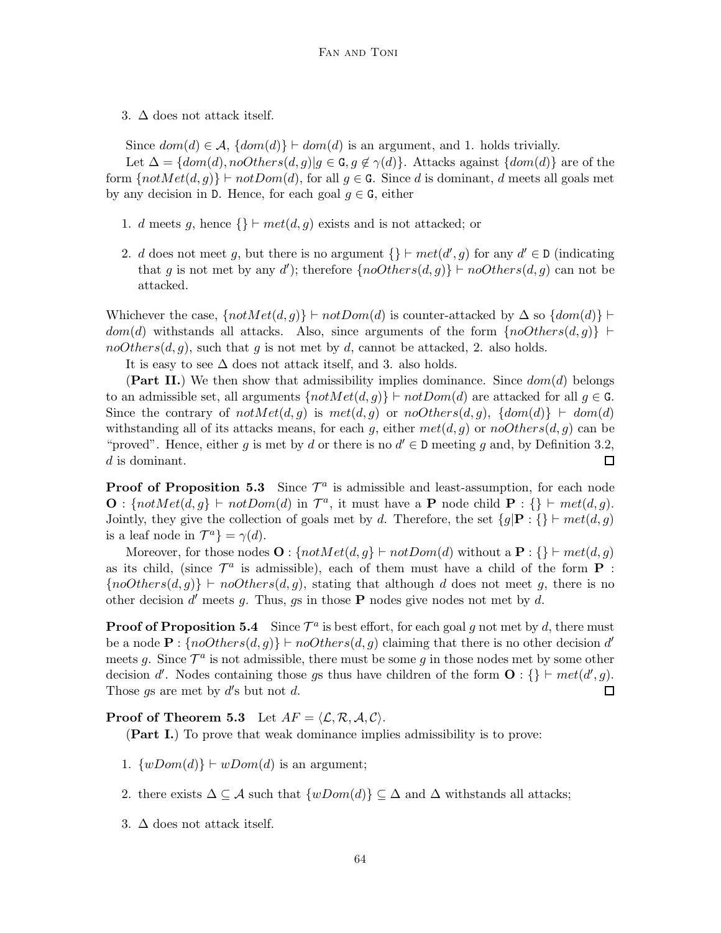3.  $\Delta$  does not attack itself.

Since  $dom(d) \in \mathcal{A}$ ,  $\{dom(d)\} \vdash dom(d)$  is an argument, and 1. holds trivially.

Let  $\Delta = \{dom(d), no Others(d, g) | g \in G, g \notin \gamma(d)\}.$  Attacks against  $\{dom(d)\}\$ are of the form  $\{notMet(d, g)\} \vdash notDom(d)$ , for all  $g \in G$ . Since d is dominant, d meets all goals met by any decision in D. Hence, for each goal  $g \in G$ , either

- 1. d meets g, hence  $\{\}\vdash met(d,g)$  exists and is not attacked; or
- 2. d does not meet g, but there is no argument  $\{\}\vdash met(d', g)$  for any  $d' \in \mathcal{D}$  (indicating that g is not met by any d'); therefore  $\{noOthers(d, g)\} \vdash noOthers(d, g)$  can not be attacked.

Whichever the case,  $\{notMet(d, g)\}\vdash notDom(d)$  is counter-attacked by  $\Delta$  so  $\{dom(d)\}\vdash$  $dom(d)$  withstands all attacks. Also, since arguments of the form  $\{noOthers(d, q)\}\vdash$  $noOthers(d, g)$ , such that g is not met by d, cannot be attacked, 2. also holds.

It is easy to see  $\Delta$  does not attack itself, and 3. also holds.

(Part II.) We then show that admissibility implies dominance. Since  $dom(d)$  belongs to an admissible set, all arguments  $\{notMet(d, g)\} \vdash notDom(d)$  are attacked for all  $g \in G$ . Since the contrary of  $notMet(d, g)$  is  $met(d, g)$  or  $noOthers(d, g)$ ,  $\{dom(d)\} \vdash dom(d)$ withstanding all of its attacks means, for each g, either  $met(d, g)$  or  $noOthers(d, g)$  can be "proved". Hence, either g is met by d or there is no  $d' \in \mathbb{D}$  meeting g and, by Definition 3.2, d is dominant.  $\Box$ 

**Proof of Proposition 5.3** Since  $\mathcal{T}^a$  is admissible and least-assumption, for each node **O** :  $\{notMet(d, g) \vdash notDom(d) \text{ in } \mathcal{T}^a, \text{ it must have a } \mathbf{P} \text{ node child } \mathbf{P} : \{\} \vdash met(d, g).$ Jointly, they give the collection of goals met by d. Therefore, the set  $\{g | \mathbf{P} : \{\} \vdash met(d, g)\}$ is a leaf node in  $\mathcal{T}^a$ } =  $\gamma(d)$ .

Moreover, for those nodes  $\mathbf{O}: \{notMet(d, q) \vdash notDom(d) \text{ without a } \mathbf{P}: \{\} \vdash met(d, q) \}$ as its child, (since  $\mathcal{T}^a$  is admissible), each of them must have a child of the form **P** :  ${noOthers(d, g)} \vdash noOthers(d, g)$ , stating that although d does not meet g, there is no other decision  $d'$  meets g. Thus, gs in those **P** nodes give nodes not met by d.

**Proof of Proposition 5.4** Since  $\mathcal{T}^a$  is best effort, for each goal g not met by d, there must be a node  $\mathbf{P}$  : {noOthers(d, g)}  $\vdash noOthers(d, g)$  claiming that there is no other decision d' meets g. Since  $\mathcal{T}^a$  is not admissible, there must be some g in those nodes met by some other decision d'. Nodes containing those gs thus have children of the form  $\mathbf{O}: \{\} \vdash met(d', g)$ . Those  $gs$  are met by  $d's$  but not  $d$ .  $\Box$ 

**Proof of Theorem 5.3** Let  $AF = \langle \mathcal{L}, \mathcal{R}, \mathcal{A}, \mathcal{C} \rangle$ .

(Part I.) To prove that weak dominance implies admissibility is to prove:

- 1.  $\{wDom(d)\}\vdash wDom(d)$  is an argument;
- 2. there exists  $\Delta \subseteq \mathcal{A}$  such that  $\{wDom(d)\}\subseteq \Delta$  and  $\Delta$  withstands all attacks;
- 3.  $\Delta$  does not attack itself.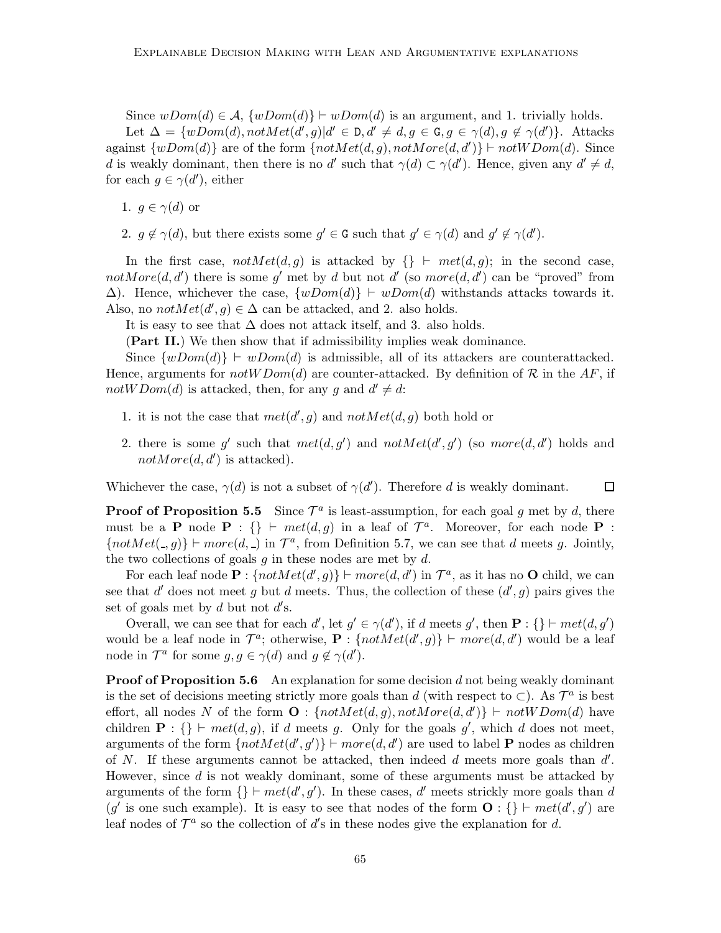Since  $wDom(d) \in \mathcal{A}, \{wDom(d)\}\vdash wDom(d)$  is an argument, and 1. trivially holds. Let  $\Delta = \{wDom(d), notMet(d', g)|d' \in \mathbb{D}, d' \neq d, g \in \mathbb{G}, g \in \gamma(d), g \notin \gamma(d')\}.$  Attacks against  $\{wDom(d)\}\$ are of the form  $\{notMet(d, g), notMore(d, d')\}\vdash notWDom(d).$  Since d is weakly dominant, then there is no d' such that  $\gamma(d) \subset \gamma(d')$ . Hence, given any  $d' \neq d$ , for each  $g \in \gamma(d')$ , either

1.  $g \in \gamma(d)$  or

2.  $g \notin \gamma(d)$ , but there exists some  $g' \in \mathcal{G}$  such that  $g' \in \gamma(d)$  and  $g' \notin \gamma(d')$ .

In the first case,  $notMet(d, g)$  is attacked by  $\{\} \vdash met(d, g)$ ; in the second case, notMore $(d, d')$  there is some g' met by d but not d' (so more $(d, d')$  can be "proved" from  $\Delta$ ). Hence, whichever the case,  $\{wDom(d)\}\vdash wDom(d)$  withstands attacks towards it. Also, no  $notMet(d', g) \in \Delta$  can be attacked, and 2. also holds.

It is easy to see that  $\Delta$  does not attack itself, and 3. also holds.

(Part II.) We then show that if admissibility implies weak dominance.

Since  $\{wDom(d)\}\vdash wDom(d)$  is admissible, all of its attackers are counterattacked. Hence, arguments for notW Dom(d) are counter-attacked. By definition of  $\mathcal R$  in the AF, if notWDom(d) is attacked, then, for any g and  $d' \neq d$ :

- 1. it is not the case that  $met(d', g)$  and  $notMet(d, g)$  both hold or
- 2. there is some g' such that  $met(d, g')$  and  $notMet(d', g')$  (so  $more(d, d')$  holds and  $notMore(d, d')$  is attacked).

Whichever the case,  $\gamma(d)$  is not a subset of  $\gamma(d')$ . Therefore d is weakly dominant.  $\Box$ 

**Proof of Proposition 5.5** Since  $\mathcal{T}^a$  is least-assumption, for each goal g met by d, there must be a **P** node **P** : {}  $\vdash met(d, g)$  in a leaf of  $\mathcal{T}^a$ . Moreover, for each node **P** :  ${notMet(., g)} \vdash more(d, \_)$  in  $\mathcal{T}^a$ , from Definition 5.7, we can see that d meets g. Jointly, the two collections of goals  $g$  in these nodes are met by  $d$ .

For each leaf node  $\mathbf{P}$  :  $\{notMet(d', g)\}\vdash more(d, d')$  in  $\mathcal{T}^a$ , as it has no **O** child, we can see that d' does not meet g but d meets. Thus, the collection of these  $(d', g)$  pairs gives the set of goals met by  $d$  but not  $d$ 's.

Overall, we can see that for each  $d'$ , let  $g' \in \gamma(d')$ , if d meets g', then  $\mathbf{P} : \{\} \vdash met(d, g')$ would be a leaf node in  $\mathcal{T}^a$ ; otherwise,  $\mathbf{P}$ :  $\{notMet(d', g)\}\vdash more(d, d')$  would be a leaf node in  $\mathcal{T}^a$  for some  $g, g \in \gamma(d)$  and  $g \notin \gamma(d')$ .

**Proof of Proposition 5.6** An explanation for some decision  $d$  not being weakly dominant is the set of decisions meeting strictly more goals than d (with respect to  $\subset$ ). As  $\mathcal{T}^a$  is best effort, all nodes N of the form  $\mathbf{O}:$  { $notMet(d, g)$ ,  $not More(d, d')$ } ⊢  $not WDom(d)$  have children  $\mathbf{P}$  : {}  $\vdash met(d, g)$ , if d meets g. Only for the goals g', which d does not meet, arguments of the form  $\{notMet(d', g')\} \vdash more(d, d')$  are used to label **P** nodes as children of N. If these arguments cannot be attacked, then indeed  $d$  meets more goals than  $d'$ . However, since d is not weakly dominant, some of these arguments must be attacked by arguments of the form  $\{\}\vdash met(d', g')$ . In these cases, d' meets strickly more goals than d (g' is one such example). It is easy to see that nodes of the form  $\mathbf{O}$  : {} ⊢ met(d', g') are leaf nodes of  $\mathcal{T}^a$  so the collection of d's in these nodes give the explanation for d.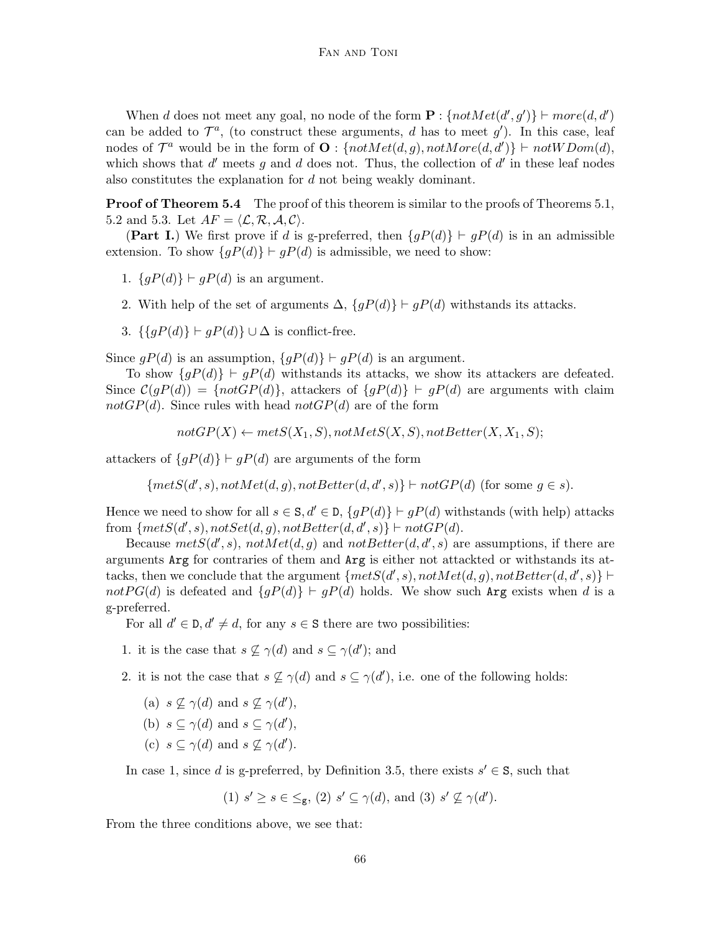When d does not meet any goal, no node of the form  $\mathbf{P}$  :  $\{notMet(d', g')\} \vdash more(d, d')$ can be added to  $\mathcal{T}^a$ , (to construct these arguments, d has to meet  $g'$ ). In this case, leaf nodes of  $\mathcal{T}^a$  would be in the form of  $\mathbf{O}:$  { $notMet(d, g)$ ,  $not More(d, d')$ }  $\vdash not WDom(d)$ , which shows that  $d'$  meets g and d does not. Thus, the collection of  $d'$  in these leaf nodes also constitutes the explanation for d not being weakly dominant.

**Proof of Theorem 5.4** The proof of this theorem is similar to the proofs of Theorems 5.1, 5.2 and 5.3. Let  $AF = \langle \mathcal{L}, \mathcal{R}, \mathcal{A}, \mathcal{C} \rangle$ .

(Part I.) We first prove if d is g-preferred, then  $\{gP(d)\}\vdash gP(d)$  is in an admissible extension. To show  $\{gP(d)\}\vdash gP(d)$  is admissible, we need to show:

- 1.  $\{gP(d)\}\vdash gP(d)$  is an argument.
- 2. With help of the set of arguments  $\Delta$ ,  $\{gP(d)\}\vdash gP(d)$  withstands its attacks.
- 3.  $\{\{qP(d)\}\vdash qP(d)\}\cup\Delta$  is conflict-free.

Since  $gP(d)$  is an assumption,  $\{gP(d)\}\vdash gP(d)$  is an argument.

To show  $\{gP(d)\}\vdash gP(d)$  withstands its attacks, we show its attackers are defeated. Since  $C(gP(d)) = \{notGP(d)\}\$ , attackers of  $\{gP(d)\}\vdash gP(d)$  are arguments with claim notGP(d). Since rules with head notGP(d) are of the form

$$
not GP(X) \leftarrow metS(X_1, S), notMetS(X, S), notBetter(X, X_1, S);
$$

attackers of  $\{gP(d)\}\vdash gP(d)$  are arguments of the form

$$
\{metS(d',s), notMet(d,g), notBetter(d,d',s)\} \vdash notGP(d) \text{ (for some } g \in s).
$$

Hence we need to show for all  $s \in S, d' \in D, \{gP(d)\}\vdash gP(d)$  withstands (with help) attacks from  $\{metS(d', s), notSet(d, g), notBetter(d, d', s)\} \vdash notGP(d).$ 

Because  $metS(d', s)$ ,  $notMet(d, g)$  and  $not Better(d, d', s)$  are assumptions, if there are arguments Arg for contraries of them and Arg is either not attackted or withstands its attacks, then we conclude that the argument  $\{metS(d',s), notMet(d,g), notBetter(d,d',s)\}$ not P G(d) is defeated and  $\{gP(d)\}\vdash gP(d)$  holds. We show such Arg exists when d is a g-preferred.

For all  $d' \in \mathcal{D}, d' \neq d$ , for any  $s \in \mathbb{S}$  there are two possibilities:

- 1. it is the case that  $s \nsubseteq \gamma(d)$  and  $s \subseteq \gamma(d')$ ; and
- 2. it is not the case that  $s \nsubseteq \gamma(d)$  and  $s \subseteq \gamma(d')$ , i.e. one of the following holds:
	- (a)  $s \nsubseteq \gamma(d)$  and  $s \nsubseteq \gamma(d')$ ,
	- (b)  $s \subseteq \gamma(d)$  and  $s \subseteq \gamma(d')$ ,
	- (c)  $s \subseteq \gamma(d)$  and  $s \nsubseteq \gamma(d')$ .

In case 1, since d is g-preferred, by Definition 3.5, there exists  $s' \in S$ , such that

(1) 
$$
s' \ge s \in \le_g
$$
, (2)  $s' \subseteq \gamma(d)$ , and (3)  $s' \nsubseteq \gamma(d')$ .

From the three conditions above, we see that: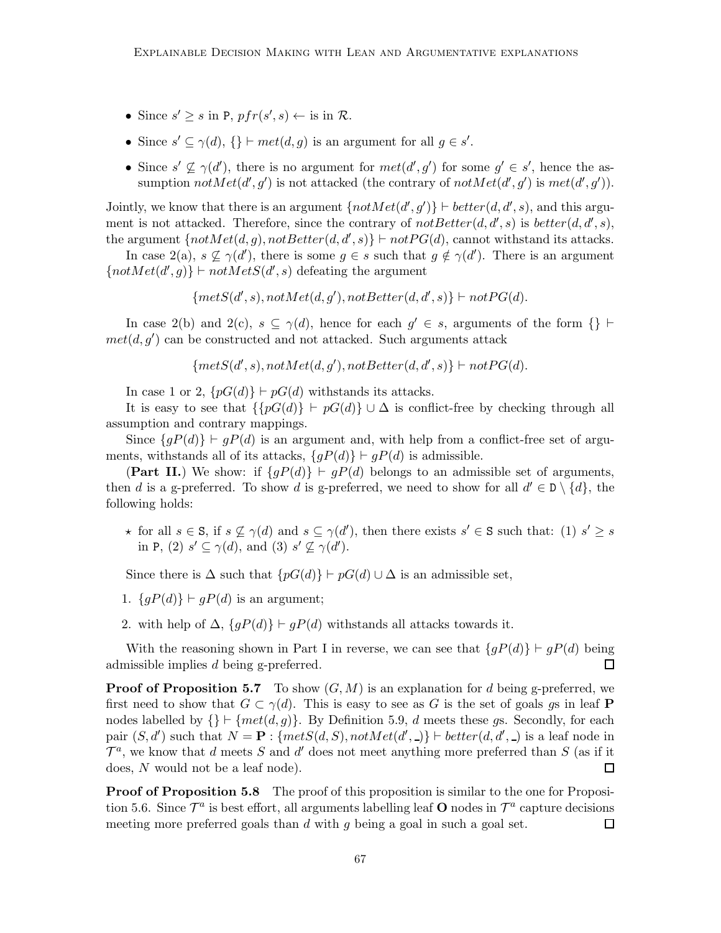- Since  $s' \geq s$  in P,  $pfr(s', s) \leftarrow$  is in  $\mathcal{R}$ .
- Since  $s' \subseteq \gamma(d)$ ,  $\{\}\vdash met(d,g)$  is an argument for all  $g \in s'.$
- Since  $s' \nsubseteq \gamma(d')$ , there is no argument for  $met(d', g')$  for some  $g' \in s'$ , hence the assumption  $notMet(d', g')$  is not attacked (the contrary of  $not Met(d', g')$  is  $met(d', g')$ ).

Jointly, we know that there is an argument  $\{notMet(d', g')\} \vdash better(d, d', s)$ , and this argument is not attacked. Therefore, since the contrary of  $notBetter(d, d', s)$  is  $better(d, d', s)$ , the argument  $\{notMet(d, g), notBetter(d, d', s)\} \vdash notPG(d),$  cannot withstand its attacks.

In case 2(a),  $s \nsubseteq \gamma(d')$ , there is some  $g \in s$  such that  $g \notin \gamma(d')$ . There is an argument  ${notMet(d', g)}$  ⊢ not $Met(S(d', s)$  defeating the argument

 ${mets(d', s), notMet(d, g'), not Better(d, d', s)} \vdash notPG(d).$ 

In case 2(b) and 2(c),  $s \subseteq \gamma(d)$ , hence for each  $g' \in s$ , arguments of the form {} ⊢  $met(d, g')$  can be constructed and not attacked. Such arguments attack

 ${mets(d', s), notMet(d, g'), not Better(d, d', s)}$   $\vdash notPG(d).$ 

In case 1 or 2,  $\{pG(d)\}\vdash pG(d)$  withstands its attacks.

It is easy to see that  $\{pG(d)\}\vdash pG(d)\}\cup\Delta$  is conflict-free by checking through all assumption and contrary mappings.

Since  ${qP(d) \nmid qP(d)$  is an argument and, with help from a conflict-free set of arguments, withstands all of its attacks,  $\{qP(d)\}\vdash qP(d)$  is admissible.

(Part II.) We show: if  $\{gP(d)\}\vdash gP(d)$  belongs to an admissible set of arguments, then d is a g-preferred. To show d is g-preferred, we need to show for all  $d' \in D \setminus \{d\}$ , the following holds:

 $\star$  for all  $s \in \mathbb{S}$ , if  $s \nsubseteq \gamma(d)$  and  $s \subseteq \gamma(d')$ , then there exists  $s' \in \mathbb{S}$  such that: (1)  $s' \geq s$ in P, (2)  $s' \subseteq \gamma(d)$ , and (3)  $s' \nsubseteq \gamma(d')$ .

Since there is  $\Delta$  such that  $\{pG(d)\}\vdash pG(d)\cup\Delta$  is an admissible set,

- 1.  $\{gP(d)\}\vdash gP(d)$  is an argument;
- 2. with help of  $\Delta$ ,  $\{qP(d)\}\vdash qP(d)$  withstands all attacks towards it.

With the reasoning shown in Part I in reverse, we can see that  ${gP(d)} \vdash gP(d)$  being admissible implies d being g-preferred. П

**Proof of Proposition 5.7** To show  $(G, M)$  is an explanation for d being g-preferred, we first need to show that  $G \subset \gamma(d)$ . This is easy to see as G is the set of goals gs in leaf P nodes labelled by  $\{\}\vdash \{met(d, q)\}\$ . By Definition 5.9, d meets these gs. Secondly, for each pair  $(S, d')$  such that  $N = \mathbf{P}$ : { $mets(d, S)$ ,  $notMet(d', )$ }  $\vdash better(d, d', )$  is a leaf node in  $\mathcal{T}^a$ , we know that d meets S and d' does not meet anything more preferred than S (as if it does, N would not be a leaf node).  $\Box$ 

**Proof of Proposition 5.8** The proof of this proposition is similar to the one for Proposition 5.6. Since  $\mathcal{T}^a$  is best effort, all arguments labelling leaf **O** nodes in  $\mathcal{T}^a$  capture decisions meeting more preferred goals than  $d$  with  $q$  being a goal in such a goal set. 囗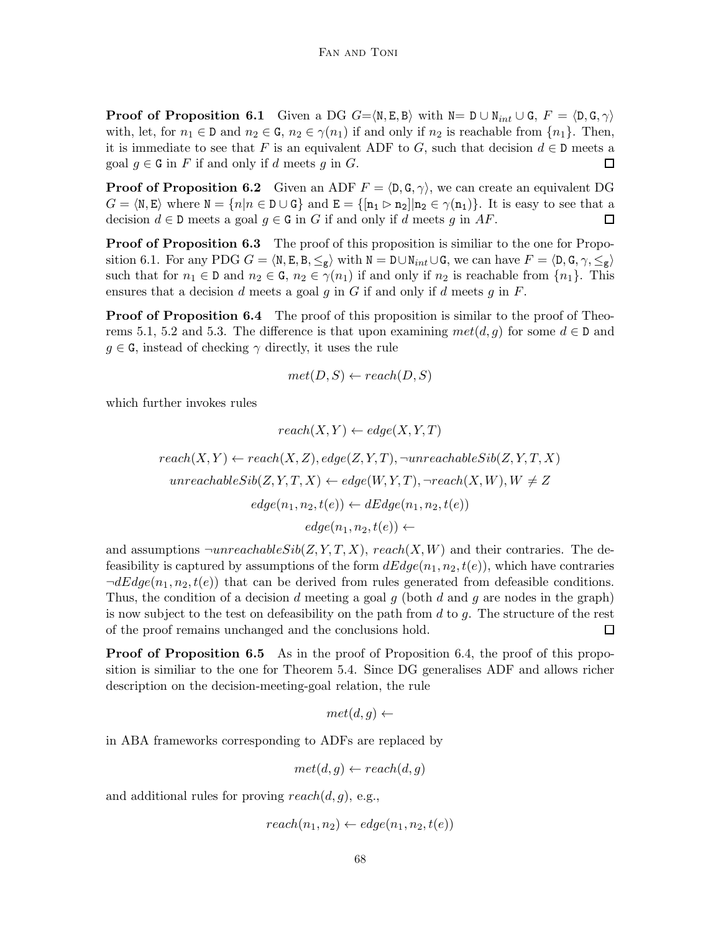**Proof of Proposition 6.1** Given a DG  $G = \langle N, E, B \rangle$  with  $N = D \cup N_{int} \cup G, F = \langle D, G, \gamma \rangle$ with, let, for  $n_1 \in \mathbb{D}$  and  $n_2 \in \mathbb{G}$ ,  $n_2 \in \gamma(n_1)$  if and only if  $n_2$  is reachable from  $\{n_1\}$ . Then, it is immediate to see that F is an equivalent ADF to G, such that decision  $d \in \mathbb{D}$  meets a goal  $g \in G$  in F if and only if d meets g in G.  $\Box$ 

**Proof of Proposition 6.2** Given an ADF  $F = \langle D, G, \gamma \rangle$ , we can create an equivalent DG  $G = \langle N, E \rangle$  where  $N = \{n | n \in D \cup G\}$  and  $E = \{[n_1 \triangleright n_2] | n_2 \in \gamma(n_1)\}$ . It is easy to see that a decision  $d \in \mathbb{D}$  meets a goal  $q \in \mathbb{G}$  in G if and only if d meets q in AF.  $\Box$ 

**Proof of Proposition 6.3** The proof of this proposition is similiar to the one for Proposition 6.1. For any PDG  $G = \langle N, E, B, \leq_g \rangle$  with  $N = D \cup N_{int} \cup G$ , we can have  $F = \langle D, G, \gamma, \leq_g \rangle$ such that for  $n_1 \in \mathsf{D}$  and  $n_2 \in \mathsf{G}$ ,  $n_2 \in \gamma(n_1)$  if and only if  $n_2$  is reachable from  $\{n_1\}$ . This ensures that a decision d meets a goal  $g$  in  $G$  if and only if d meets  $g$  in  $F$ .

**Proof of Proposition 6.4** The proof of this proposition is similar to the proof of Theorems 5.1, 5.2 and 5.3. The difference is that upon examining  $met(d, q)$  for some  $d \in \mathbb{D}$  and  $g \in G$ , instead of checking  $\gamma$  directly, it uses the rule

$$
met(D, S) \leftarrow reach(D, S)
$$

 $r(x, x)$  )  $(x, x, m)$ 

which further invokes rules

$$
reach(X, Y) \leftarrow edge(X, Y, T)
$$

$$
reach(X, Y) \leftarrow reach(X, Z), edge(Z, Y, T), \neg unreachableSib(Z, Y, T, X)
$$

$$
unreachableSib(Z, Y, T, X) \leftarrow edge(W, Y, T), \neg reach(X, W), W \neq Z
$$

$$
edge(n_1, n_2, t(e)) \leftarrow dEdge(n_1, n_2, t(e))
$$

$$
edge(n_1, n_2, t(e)) \leftarrow
$$

and assumptions  $\neg$ *unreachableSib(Z, Y, T, X), reach(X, W)* and their contraries. The defeasibility is captured by assumptions of the form  $dEdge(n_1, n_2, t(e))$ , which have contraries  $\neg dEdge(n_1, n_2, t(e))$  that can be derived from rules generated from defeasible conditions. Thus, the condition of a decision d meeting a goal  $q$  (both d and  $q$  are nodes in the graph) is now subject to the test on defeasibility on the path from  $d$  to  $q$ . The structure of the rest of the proof remains unchanged and the conclusions hold.  $\Box$ 

**Proof of Proposition 6.5** As in the proof of Proposition 6.4, the proof of this proposition is similiar to the one for Theorem 5.4. Since DG generalises ADF and allows richer description on the decision-meeting-goal relation, the rule

$$
met(d, g) \leftarrow
$$

in ABA frameworks corresponding to ADFs are replaced by

$$
met(d, g) \leftarrow reach(d, g)
$$

and additional rules for proving  $reach(d, g)$ , e.g.,

$$
reach(n_1, n_2) \leftarrow edge(n_1, n_2, t(e))
$$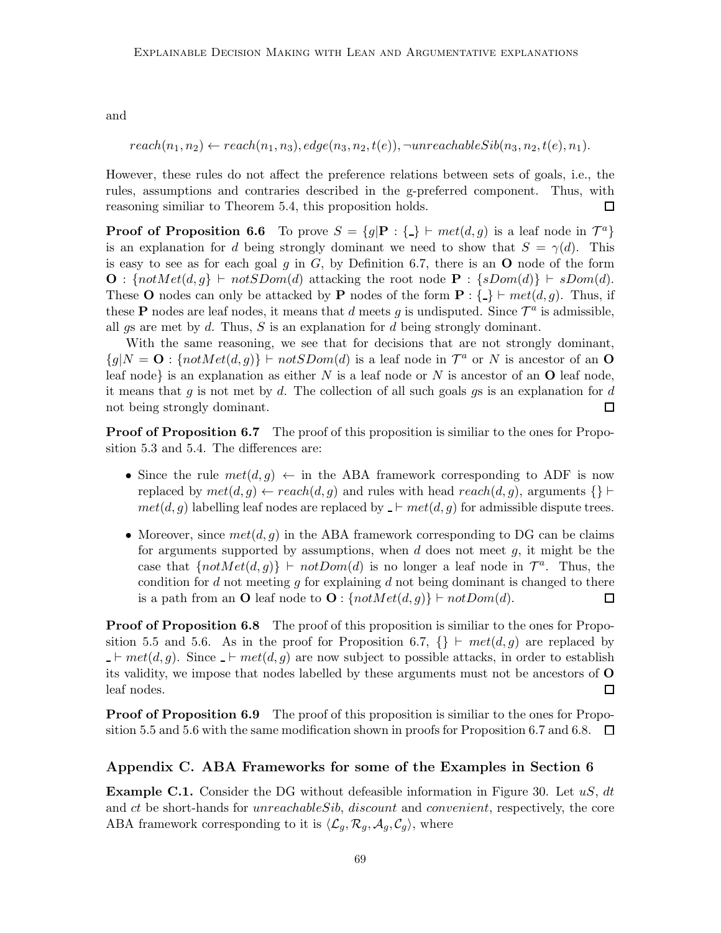and

$$
reach(n_1, n_2) \leftarrow reach(n_1, n_3), edge(n_3, n_2, t(e)), \neg unreachableSib(n_3, n_2, t(e), n_1).
$$

However, these rules do not affect the preference relations between sets of goals, i.e., the rules, assumptions and contraries described in the g-preferred component. Thus, with reasoning similiar to Theorem 5.4, this proposition holds.  $\Box$ 

**Proof of Proposition 6.6** To prove  $S = \{g | \mathbf{P} : \{\_\} \vdash met(d, g) \text{ is a leaf node in } \mathcal{T}^a\}$ is an explanation for d being strongly dominant we need to show that  $S = \gamma(d)$ . This is easy to see as for each goal g in  $G$ , by Definition 6.7, there is an  $O$  node of the form **O** : { $notMet(d, g$ } ⊢  $notSDom(d)$  attacking the root node **P** : { $sDom(d)$ } ⊢  $sDom(d)$ . These O nodes can only be attacked by P nodes of the form  $P : \{\_\} \vdash met(d, g)$ . Thus, if these **P** nodes are leaf nodes, it means that d meets g is undisputed. Since  $\mathcal{T}^a$  is admissible, all gs are met by  $d$ . Thus,  $S$  is an explanation for  $d$  being strongly dominant.

With the same reasoning, we see that for decisions that are not strongly dominant,  ${g|N = \mathbf{O}: \{notMet(d, g)\}\vdash notSDom(d) \text{ is a leaf node in } \mathcal{T}^a \text{ or } N \text{ is ancestor of an } \mathbf{O}}$ leaf node} is an explanation as either  $N$  is a leaf node or  $N$  is ancestor of an  $O$  leaf node, it means that g is not met by d. The collection of all such goals gs is an explanation for d not being strongly dominant.  $\Box$ 

**Proof of Proposition 6.7** The proof of this proposition is similiar to the ones for Proposition 5.3 and 5.4. The differences are:

- Since the rule  $met(d, g) \leftarrow$  in the ABA framework corresponding to ADF is now replaced by  $met(d, g) \leftarrow reach(d, g)$  and rules with head  $reach(d, g)$ , arguments {} ⊢  $met(d, g)$  labelling leaf nodes are replaced by  $\vdash met(d, g)$  for admissible dispute trees.
- Moreover, since  $met(d, g)$  in the ABA framework corresponding to DG can be claims for arguments supported by assumptions, when  $d$  does not meet  $g$ , it might be the case that  $\{notMet(d, g)\}\vdash notDom(d)$  is no longer a leaf node in  $\mathcal{T}^a$ . Thus, the condition for d not meeting  $g$  for explaining  $d$  not being dominant is changed to there is a path from an O leaf node to  $O: \{notMet(d, g)\} \vdash notDom(d).$  $\Box$

**Proof of Proposition 6.8** The proof of this proposition is similiar to the ones for Proposition 5.5 and 5.6. As in the proof for Proposition 6.7,  $\{\}\vdash met(d, g)$  are replaced by  $-\vdash met(d, g)$ . Since  $-\vdash met(d, g)$  are now subject to possible attacks, in order to establish its validity, we impose that nodes labelled by these arguments must not be ancestors of O leaf nodes. □

**Proof of Proposition 6.9** The proof of this proposition is similiar to the ones for Proposition 5.5 and 5.6 with the same modification shown in proofs for Proposition 6.7 and 6.8.  $\Box$ 

# Appendix C. ABA Frameworks for some of the Examples in Section 6

**Example C.1.** Consider the DG without defeasible information in Figure 30. Let  $uS$ , dt and ct be short-hands for *unreachableSib*, *discount* and *convenient*, respectively, the core ABA framework corresponding to it is  $\langle \mathcal{L}_q, \mathcal{R}_q, \mathcal{A}_q, \mathcal{C}_q \rangle$ , where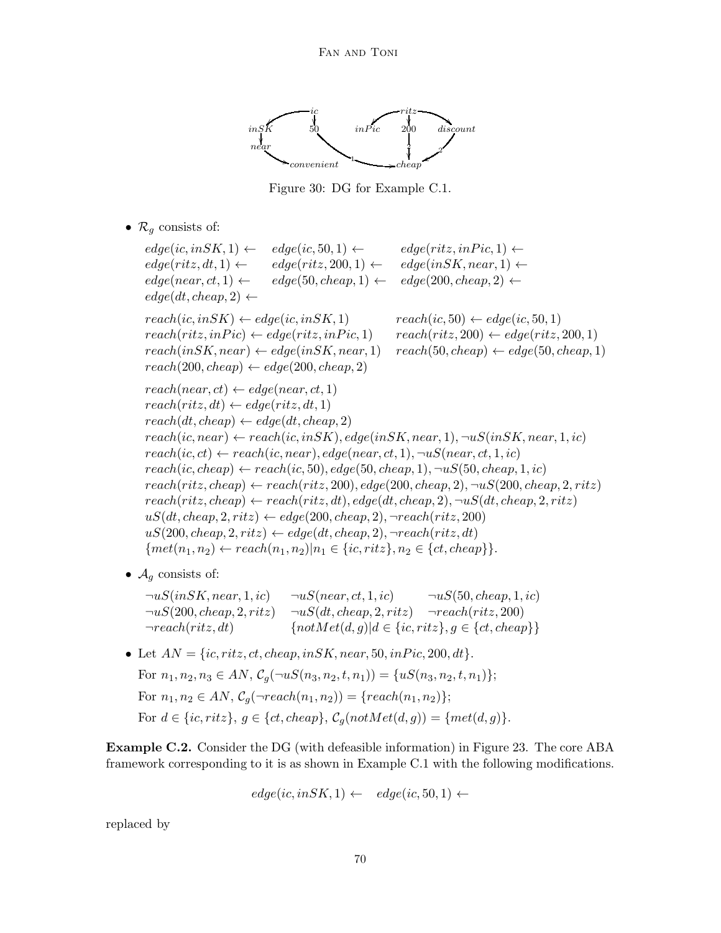

Figure 30: DG for Example C.1.

•  $\mathcal{R}_q$  consists of:

 $edge(ic, in SK, 1) \leftarrow \quad edge(ic, 50, 1) \leftarrow \quad edge(ritz, in Pic, 1) \leftarrow$  $edge(ritz, dt, 1) \leftarrow \quad edge(ritz, 200, 1) \leftarrow \quad edge(inSK, near, 1) \leftarrow$  $edge(new, ct, 1) \leftarrow \text{edge}(50, \text{clean}, 1) \leftarrow \text{edge}(200, \text{clean}, 2) \leftarrow$  $edge(dt, cheap, 2) \leftarrow$  $reach(ic, in SK) \leftarrow edge(ic, in SK, 1)$   $reach(ic, 50) \leftarrow edge(ic, 50, 1)$  $reach(ritz, inPic) \leftarrow edge(ritz, inPic, 1)$   $reach(ritz, 200) \leftarrow edge(ritz, 200, 1)$  $reach(inSK, near) \leftarrow edge(inSK, near, 1) \quad reach(50, cheap) \leftarrow edge(50, cheap, 1)$  $reach(200, cheap) \leftarrow edge(200, cheap, 2)$  $reach(near, ct) \leftarrow edge(near, ct, 1)$  $reach(ritz, dt) \leftarrow edge(ritz, dt, 1)$  $reach(dt, cheap) \leftarrow edge(dt, cheap, 2)$  $reach(ic, near) \leftarrow reach(ic, in SK), edge(in SK, near, 1), \neg uS(in SK, near, 1, ic)$  $reach(ic, ct) \leftarrow reach(ic, near), edge(near, ct, 1), \neg uS(near, ct, 1, ic)$  $reach(ic, cheap) \leftarrow reach(ic, 50), edge(50, cheap, 1), \neg uS(50, cheap, 1, ic)$  $reach(ritz, cheap) \leftarrow reach(ritz, 200), edge(200, cheap, 2), \neg uS(200, cheap, 2, ritz)$  $reach(ritz, cheap) \leftarrow reach(ritz, dt), edge(dt, cheap, 2), \neg uS(dt, cheap, 2, ritz)$  $uS(dt, cheap, 2, ritz) \leftarrow edge(200, cheap, 2), \neg reach(ritz, 200)$  $uS(200, cheap, 2, ritz) \leftarrow edge(dt, cheap, 2), \neg reach(ritz, dt)$  ${met(n_1, n_2) \leftarrow reach(n_1, n_2)|n_1 \in \{ic, ritz\}, n_2 \in \{ct, cheap\}}.$ 

•  $\mathcal{A}_q$  consists of:

 $\neg uS(inSK, near, 1, ic)$   $\neg uS(near, ct, 1, ic)$   $\neg uS(50, cheap, 1, ic)$  $\neg uS(200, cheap, 2, ritz)$   $\neg uS(dt, cheap, 2, ritz)$   $\neg reach(ritz, 200)$  $\neg reach(ritz, dt)$  {not $Met(d, g)|d \in \{ic, ritz\}, g \in \{ct, cheap\}$ }

• Let  $AN = \{ic, ritz, ct, cheap, in SK, near, 50, in Pic, 200, dt\}.$ For  $n_1, n_2, n_3 \in AN$ ,  $C_q(\neg uS(n_3, n_2, t, n_1)) = \{uS(n_3, n_2, t, n_1)\};$ For  $n_1, n_2 \in AN$ ,  $C_q(\neg reach(n_1, n_2)) = \{reach(n_1, n_2)\};$ For  $d \in \{ic, ritz\}, q \in \{ct, cheap\}, \mathcal{C}_q(notMet(d, q)) = \{met(d, q)\}.$ 

Example C.2. Consider the DG (with defeasible information) in Figure 23. The core ABA framework corresponding to it is as shown in Example C.1 with the following modifications.

$$
edge(ic, in SK, 1) \leftarrow edge(ic, 50, 1) \leftarrow
$$

replaced by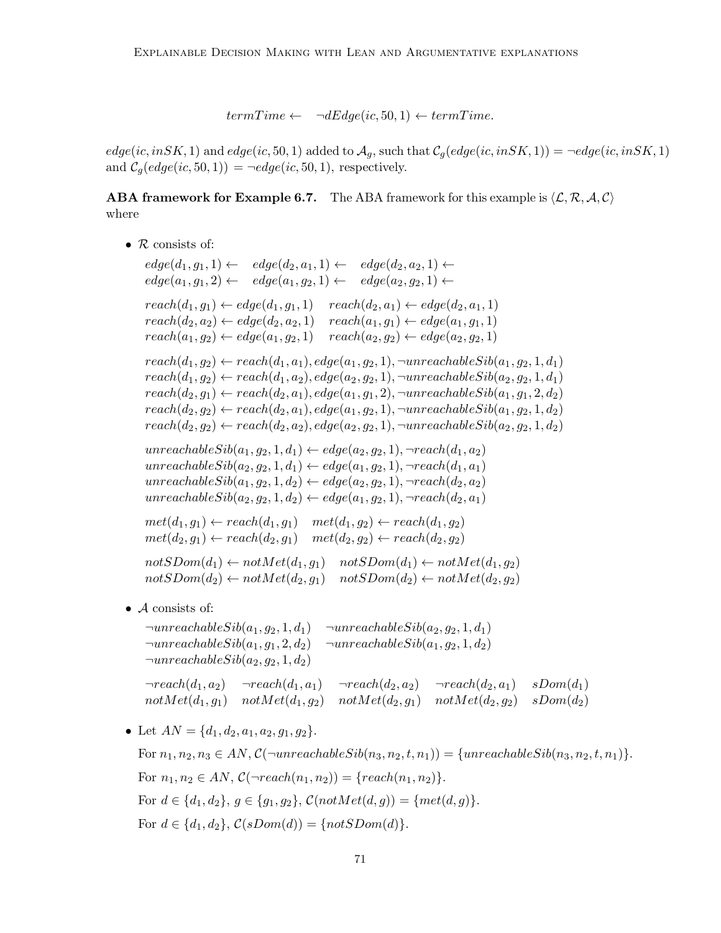$term Time \leftarrow \neg dEdge(ic, 50, 1) \leftarrow term Time.$ 

 $edge(ic, in SK, 1)$  and  $edge(ic, 50, 1)$  added to  $\mathcal{A}_q$ , such that  $\mathcal{C}_q(edge(ic, in SK, 1)) = \neg edge(ic, in SK, 1)$ and  $C_q(edge(ic, 50, 1)) = \neg edge(ic, 50, 1)$ , respectively.

**ABA framework for Example 6.7.** The ABA framework for this example is  $\langle \mathcal{L}, \mathcal{R}, \mathcal{A}, \mathcal{C} \rangle$ where

•  $R$  consists of:

 $edge(d_1, g_1, 1) \leftarrow \quad edge(d_2, a_1, 1) \leftarrow \quad edge(d_2, a_2, 1) \leftarrow$  $edge(a_1, g_1, 2) \leftarrow edge(a_1, g_2, 1) \leftarrow edge(a_2, g_2, 1) \leftarrow$  $reach(d_1, g_1) \leftarrow edge(d_1, g_1, 1)$   $reach(d_2, a_1) \leftarrow edge(d_2, a_1, 1)$  $reach(d_2, a_2) \leftarrow edge(d_2, a_2, 1) \quad reach(a_1, g_1) \leftarrow edge(a_1, g_1, 1)$  $reach(a_1, g_2) \leftarrow edge(a_1, g_2, 1)$   $reach(a_2, g_2) \leftarrow edge(a_2, g_2, 1)$  $reach(d_1, g_2) \leftarrow reach(d_1, a_1), edge(a_1, g_2, 1), \neg unreachableSib(a_1, g_2, 1, d_1)$  $reach(d_1, g_2) \leftarrow reach(d_1, a_2), edge(a_2, g_2, 1), \neg unreachableSib(a_2, g_2, 1, d_1)$  $reach(d_2, g_1) \leftarrow reach(d_2, a_1), edge(a_1, g_1, 2), \neg unreachableSib(a_1, g_1, 2, d_2)$  $reach(d_2, g_2) \leftarrow reach(d_2, a_1), edge(a_1, g_2, 1), \neg unreachableSib(a_1, g_2, 1, d_2)$  $reach(d_2, g_2) \leftarrow reach(d_2, a_2), edge(a_2, g_2, 1), \neg unreachableSib(a_2, g_2, 1, d_2)$ unreachable $Sib(a_1, q_2, 1, d_1) \leftarrow edge(a_2, q_2, 1), \neg reach(d_1, a_2)$  $unreachableSib(a_2, g_2, 1, d_1) \leftarrow edge(a_1, g_2, 1), \neg reach(d_1, a_1)$ unreachable $Sib(a_1, g_2, 1, d_2) \leftarrow edge(a_2, g_2, 1), \neg reach(d_2, a_2)$  $unreachableSib(a_2, g_2, 1, d_2) \leftarrow edge(a_1, g_2, 1), \neg reach(d_2, a_1)$  $met(d_1, g_1) \leftarrow reach(d_1, g_1) \quad met(d_1, g_2) \leftarrow reach(d_1, g_2)$  $met(d_2, q_1) \leftarrow reach(d_2, q_1) \quad met(d_2, q_2) \leftarrow reach(d_2, q_2)$  $notSDom(d_1) \leftarrow notMet(d_1, g_1)$   $notSDom(d_1) \leftarrow notMet(d_1, g_2)$  $notSDom(d_2) \leftarrow notMet(d_2, q_1)$   $notSDom(d_2) \leftarrow notMet(d_2, q_2)$ 

• A consists of:

 $\neg$ unreachable $Sib(a_1, g_2, 1, d_1)$   $\neg$ unreachable $Sib(a_2, g_2, 1, d_1)$  $\neg$ unreachable $Sib(a_1, q_1, 2, d_2)$   $\neg$ unreachable $Sib(a_1, q_2, 1, d_2)$  $\neg$ unreachable $Sib(a_2, q_2, 1, d_2)$  $\neg reach(d_1, a_2)$   $\neg reach(d_1, a_1)$   $\neg reach(d_2, a_2)$   $\neg reach(d_2, a_1)$   $sDom(d_1)$  $notMet(d_1, g_1)$   $notMet(d_1, g_2)$   $not Met(d_2, g_1)$   $not Met(d_2, g_2)$   $sDom(d_2)$ 

• Let  $AN = \{d_1, d_2, a_1, a_2, g_1, g_2\}.$ 

For  $n_1, n_2, n_3 \in AN$ ,  $\mathcal{C}(\neg$ unreachable $Sib(n_3, n_2, t, n_1)) = \{unreachableSib(n_3, n_2, t, n_1)\}.$ For  $n_1, n_2 \in AN$ ,  $C(\neg reach(n_1, n_2)) = \{reach(n_1, n_2)\}.$ For  $d \in \{d_1, d_2\}, g \in \{g_1, g_2\}, \mathcal{C}(notMet(d, g)) = \{met(d, g)\}.$ For  $d \in \{d_1, d_2\}$ ,  $\mathcal{C}(sDom(d)) = \{notSDom(d)\}.$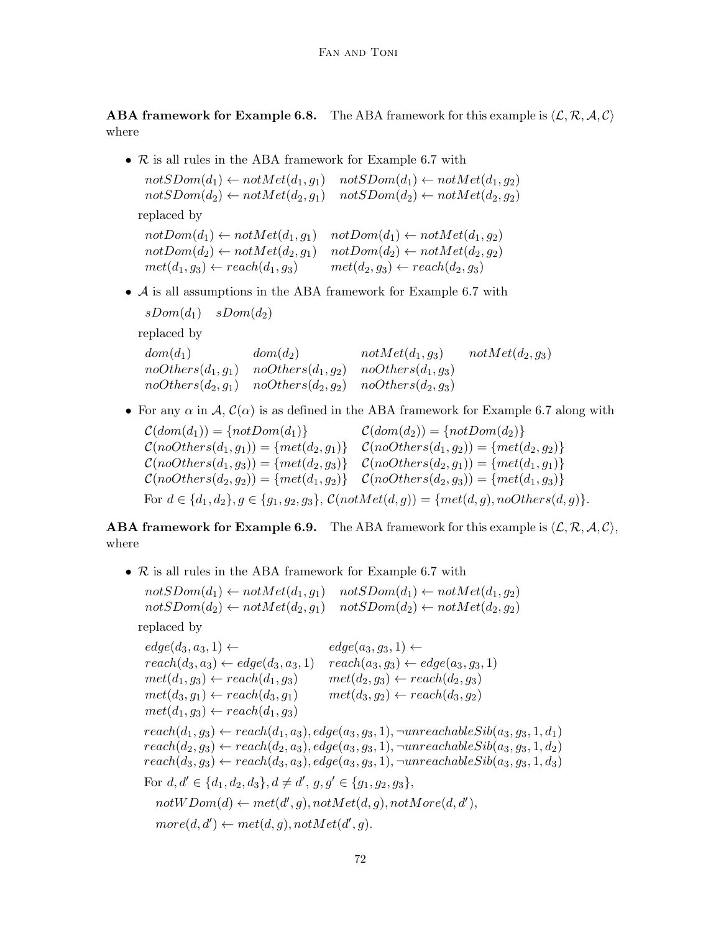**ABA framework for Example 6.8.** The ABA framework for this example is  $\langle \mathcal{L}, \mathcal{R}, \mathcal{A}, \mathcal{C} \rangle$ where

• R is all rules in the ABA framework for Example 6.7 with

 $notSDom(d_1) \leftarrow notMet(d_1, g_1)$   $notSDom(d_1) \leftarrow notMet(d_1, g_2)$  $notSDom(d_2) \leftarrow notMet(d_2, q_1)$   $notSDom(d_2) \leftarrow notMet(d_2, q_2)$ replaced by

 $notDom(d_1) \leftarrow notMet(d_1, q_1)$   $notDom(d_1) \leftarrow notMet(d_1, q_2)$  $notDom(d_2) \leftarrow notMet(d_2, g_1)$   $notDom(d_2) \leftarrow notMet(d_2, g_2)$  $met(d_1, q_3) \leftarrow reach(d_1, q_3)$   $met(d_2, q_3) \leftarrow reach(d_2, q_3)$ 

• A is all assumptions in the ABA framework for Example 6.7 with

 $sDom(d_1)$   $sDom(d_2)$ replaced by  $dom(d_1)$   $dom(d_2)$   $notMet(d_1, g_3)$   $not Met(d_2, g_3)$  $noOthers(d_1, g_1)$   $noOthers(d_1, g_2)$   $noOthers(d_1, g_3)$  $noothers(d_2, g_1)$   $noOthers(d_2, g_2)$   $noOthers(d_2, g_3)$ 

• For any  $\alpha$  in A,  $\mathcal{C}(\alpha)$  is as defined in the ABA framework for Example 6.7 along with

 $\mathcal{C}(dom(d_1)) = \{notDom(d_1)\}$   $\mathcal{C}(dom(d_2)) = \{notDom(d_2)\}$  $\mathcal{C}(noOthers(d_1, g_1)) = \{met(d_2, g_1)\}$   $\mathcal{C}(noOthers(d_1, g_2)) = \{met(d_2, g_2)\}$  $\mathcal{C}(noOthers(d_1, g_3)) = \{met(d_2, g_3)\}$   $\mathcal{C}(noOthers(d_2, g_1)) = \{met(d_1, g_1)\}$  $\mathcal{C}(noOthers(d_2, g_2)) = \{met(d_1, g_2)\}$   $\mathcal{C}(noOthers(d_2, g_3)) = \{met(d_1, g_3)\}$ For  $d \in \{d_1, d_2\}, g \in \{g_1, g_2, g_3\}, \mathcal{C}(notMet(d, g)) = \{met(d, g), no Others(d, g)\}.$ 

**ABA framework for Example 6.9.** The ABA framework for this example is  $\langle \mathcal{L}, \mathcal{R}, \mathcal{A}, \mathcal{C} \rangle$ , where

• R is all rules in the ABA framework for Example 6.7 with

 $notSDom(d_1) \leftarrow notMet(d_1, g_1)$   $notSDom(d_1) \leftarrow notMet(d_1, g_2)$  $notSDom(d_2) \leftarrow notMet(d_2, g_1)$   $notSDom(d_2) \leftarrow notMet(d_2, g_2)$ 

replaced by

 $edge(a_3, a_3, 1) \leftarrow$   $edge(a_3, g_3, 1) \leftarrow$  $reach(d_3, a_3) \leftarrow edge(d_3, a_3, 1)$   $reach(a_3, g_3) \leftarrow edge(a_3, g_3, 1)$  $met(d_1, g_3) \leftarrow reach(d_1, g_3)$   $met(d_2, g_3) \leftarrow reach(d_2, g_3)$  $met(d_3, g_1) \leftarrow reach(d_3, g_1)$   $met(d_3, g_2) \leftarrow reach(d_3, g_2)$  $met(d_1, g_3) \leftarrow reach(d_1, g_3)$  $reach(d_1, g_3) \leftarrow reach(d_1, a_3), edge(a_3, g_3, 1), \neg unreachableSib(a_3, g_3, 1, d_1)$  $reach(d_2, g_3) \leftarrow reach(d_2, a_3), edge(a_3, g_3, 1), \neg unreachableSib(a_3, g_3, 1, d_2)$  $reach(d_3, g_3) \leftarrow reach(d_3, a_3), edge(a_3, g_3, 1), \neg unreachableSib(a_3, g_3, 1, d_3)$ For  $d, d' \in \{d_1, d_2, d_3\}, d \neq d', g, g' \in \{g_1, g_2, g_3\},\$  $notWDom(d) \leftarrow met(d', g), notMet(d, g), notMore(d, d'),$  $more(d, d') \leftarrow met(d, g), notMet(d', g).$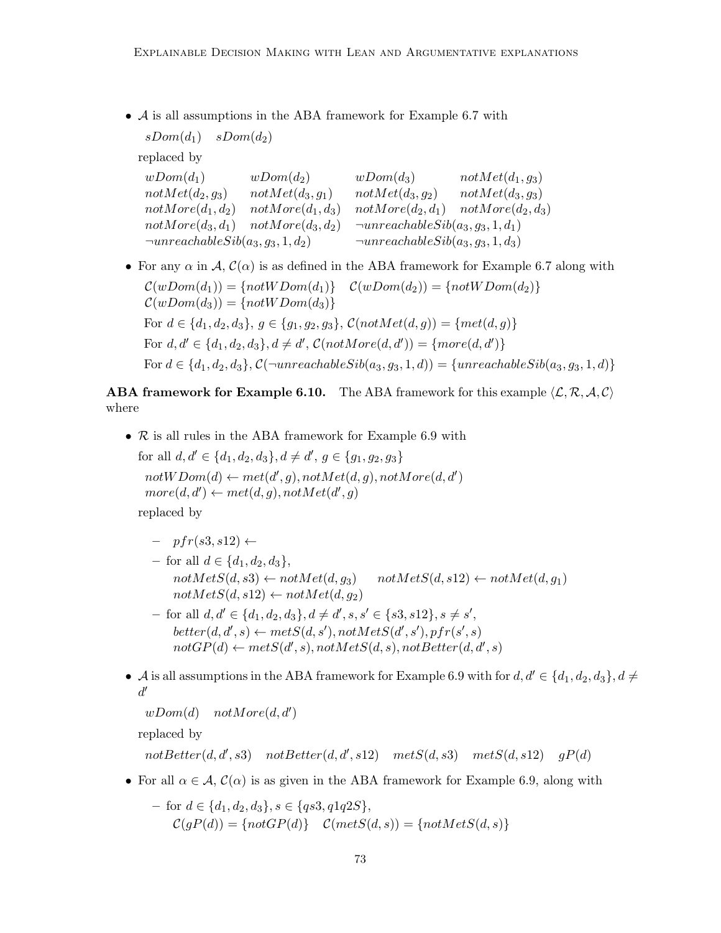• A is all assumptions in the ABA framework for Example 6.7 with

 $sDom(d_1)$   $sDom(d_2)$ replaced by  $wDom(d_1)$   $wDom(d_2)$   $wDom(d_3)$   $notMet(d_1, g_3)$ <br>  $not Met(d_2, g_3)$   $not Met(d_3, g_1)$   $not Met(d_3, g_2)$   $not Met(d_3, g_3)$  $notMet(d_3, g_1)$   $not Met(d_3, g_2)$   $not Met(d_3, g_3)$  $notMore(d_1, d_2)$   $notMore(d_1, d_3)$   $notMore(d_2, d_1)$   $notMore(d_2, d_3)$  $notMore(d_3, d_1)$   $not More(d_3, d_2)$   $\neg unreachableSib(a_3, g_3, 1, d_1)$  $\neg$ unreachable $Sib(a_3, g_3, 1, d_2)$   $\neg$ unreachable $Sib(a_3, g_3, 1, d_3)$ 

• For any  $\alpha$  in A,  $\mathcal{C}(\alpha)$  is as defined in the ABA framework for Example 6.7 along with  $\mathcal{C}(wDom(d_1)) = \{notWDom(d_1)\} \quad \mathcal{C}(wDom(d_2)) = \{notWDom(d_2)\}$  $\mathcal{C}(wDom(d_3)) = \{notWDom(d_3)\}\$ For  $d \in \{d_1, d_2, d_3\}, q \in \{g_1, g_2, g_3\}, \mathcal{C}(notMet(d, q)) = \{met(d, q)\}\$ For  $d, d' \in \{d_1, d_2, d_3\}, d \neq d'$ ,  $C(notMore(d, d')) = \{more(d, d')\}$ For  $d \in \{d_1, d_2, d_3\}, \mathcal{C}(\neg$ unreachable $Sib(a_3, g_3, 1, d)) = \{unreachableSib(a_3, g_3, 1, d)\}\$ 

**ABA framework for Example 6.10.** The ABA framework for this example  $\langle \mathcal{L}, \mathcal{R}, \mathcal{A}, \mathcal{C} \rangle$ where

• R is all rules in the ABA framework for Example 6.9 with for all  $d, d' \in \{d_1, d_2, d_3\}, d \neq d', g \in \{g_1, g_2, g_3\}$  $notWDom(d) \leftarrow met(d', g), notMet(d, g), notMore(d, d')$  $more(d, d') \leftarrow met(d, g), notMet(d', g)$ 

replaced by

- $-$  pfr(s3, s12)  $\leftarrow$
- for all  $d \in \{d_1, d_2, d_3\},\$  $notMetS(d, s3) \leftarrow notMet(d, q_3)$   $notMetS(d, s12) \leftarrow notMet(d, q_1)$  $notMetS(d, s12) \leftarrow notMet(d, g_2)$
- $-$  for all  $d, d' \in \{d_1, d_2, d_3\}, d \neq d', s, s' \in \{s3, s12\}, s \neq s',$  $better(d, d', s) \leftarrow metS(d, s'), notMetS(d', s'), pfr(s', s)$  $not GP(d) \leftarrow metS(d', s), notMetS(d, s), notBetter(d, d', s)$
- A is all assumptions in the ABA framework for Example 6.9 with for  $d, d' \in \{d_1, d_2, d_3\}, d \neq$  $d'$

 $wDom(d)$  not $More(d, d')$ 

replaced by

 $not Better(d, d', s3)$   $not Better(d, d', s12)$   $metS(d, s3)$   $metS(d, s12)$   $gP(d)$ 

• For all  $\alpha \in \mathcal{A}$ ,  $\mathcal{C}(\alpha)$  is as given in the ABA framework for Example 6.9, along with

- for 
$$
d \in \{d_1, d_2, d_3\}, s \in \{qs3, q1q2S\},
$$
  
\n $C(gP(d)) = \{notGP(d)\} \quad C(metS(d, s)) = \{notMetS(d, s)\}$